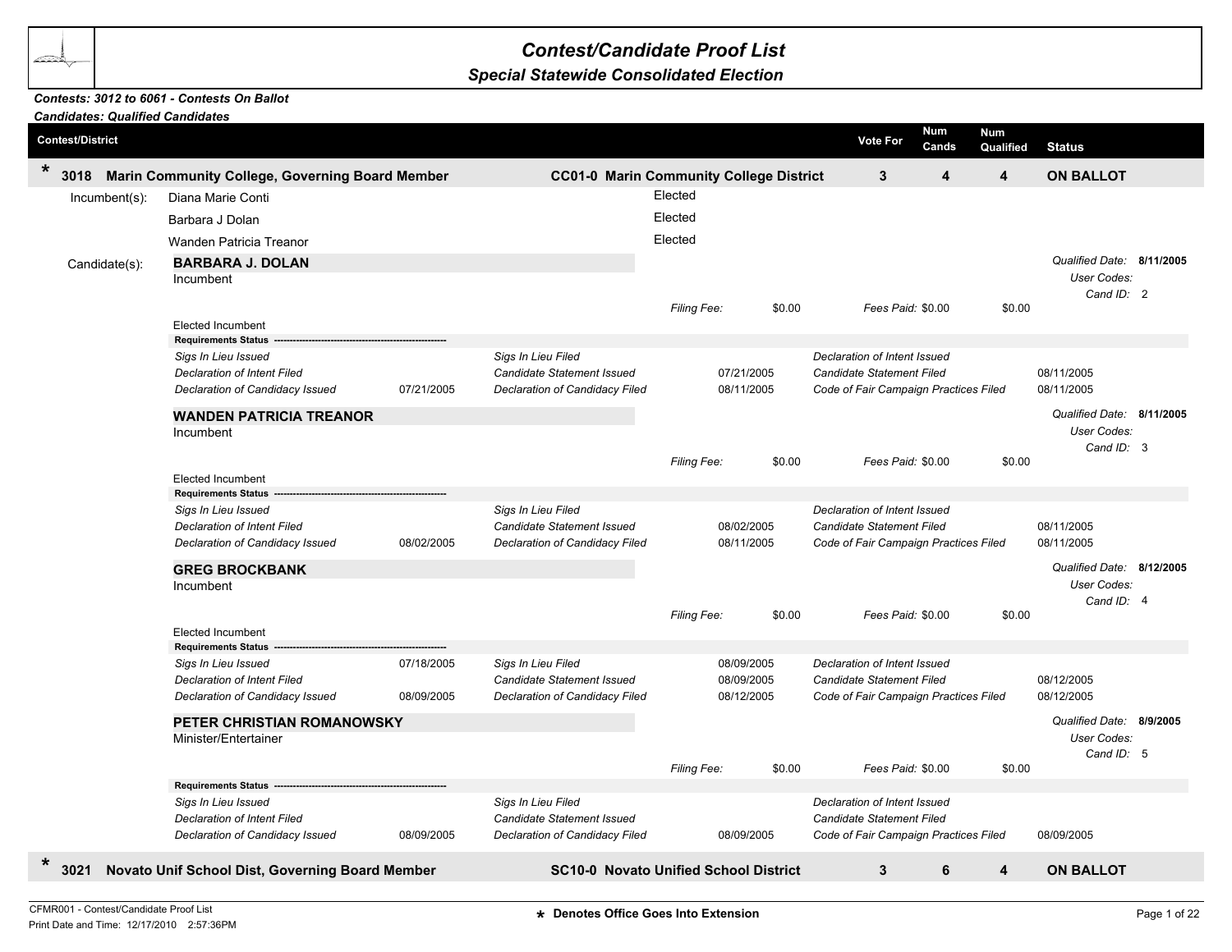## *Contest/Candidate Proof List*

## *Special Statewide Consolidated Election*

## *Contests: 3012 to 6061 - Contests On Ballot*

| <b>Candidates: Qualified Candidates</b>                                         |                                                        |            |                                                |             |                                       |                                       |                     |                         |                           |  |
|---------------------------------------------------------------------------------|--------------------------------------------------------|------------|------------------------------------------------|-------------|---------------------------------------|---------------------------------------|---------------------|-------------------------|---------------------------|--|
| <b>Contest/District</b>                                                         |                                                        |            |                                                |             |                                       | <b>Vote For</b>                       | <b>Num</b><br>Cands | <b>Num</b><br>Qualified | <b>Status</b>             |  |
| $\ast$<br>3018                                                                  | Marin Community College, Governing Board Member        |            | <b>CC01-0 Marin Community College District</b> |             |                                       | $\mathbf{3}$                          | $\boldsymbol{4}$    | 4                       | <b>ON BALLOT</b>          |  |
| $Incumbent(s)$ :                                                                | Diana Marie Conti                                      |            |                                                | Elected     |                                       |                                       |                     |                         |                           |  |
|                                                                                 | Barbara J Dolan                                        |            |                                                | Elected     |                                       |                                       |                     |                         |                           |  |
|                                                                                 | Wanden Patricia Treanor                                |            |                                                | Elected     |                                       |                                       |                     |                         |                           |  |
|                                                                                 | <b>BARBARA J. DOLAN</b>                                |            |                                                |             |                                       |                                       |                     |                         | Qualified Date: 8/11/2005 |  |
| Candidate(s):                                                                   | Incumbent                                              |            |                                                |             |                                       |                                       |                     |                         | User Codes:               |  |
|                                                                                 |                                                        |            |                                                |             |                                       |                                       |                     |                         | Cand ID: 2                |  |
|                                                                                 |                                                        |            |                                                | Filing Fee: | \$0.00                                | Fees Paid: \$0.00                     |                     | \$0.00                  |                           |  |
|                                                                                 | <b>Elected Incumbent</b><br><b>Requirements Status</b> |            |                                                |             |                                       |                                       |                     |                         |                           |  |
|                                                                                 | Sigs In Lieu Issued                                    |            | Sigs In Lieu Filed                             |             |                                       | Declaration of Intent Issued          |                     |                         |                           |  |
|                                                                                 | <b>Declaration of Intent Filed</b>                     |            | Candidate Statement Issued                     |             | 07/21/2005                            | Candidate Statement Filed             |                     |                         | 08/11/2005                |  |
|                                                                                 | Declaration of Candidacy Issued                        | 07/21/2005 | Declaration of Candidacy Filed                 |             | 08/11/2005                            | Code of Fair Campaign Practices Filed |                     |                         | 08/11/2005                |  |
|                                                                                 | <b>WANDEN PATRICIA TREANOR</b>                         |            |                                                |             |                                       |                                       |                     |                         | Qualified Date: 8/11/2005 |  |
|                                                                                 | Incumbent                                              |            |                                                |             |                                       |                                       |                     |                         | User Codes:               |  |
|                                                                                 |                                                        |            |                                                |             |                                       |                                       |                     |                         | Cand ID: 3                |  |
|                                                                                 |                                                        |            |                                                | Filing Fee: | \$0.00                                | Fees Paid: \$0.00                     |                     | \$0.00                  |                           |  |
|                                                                                 | <b>Elected Incumbent</b><br><b>Requirements Status</b> |            |                                                |             |                                       |                                       |                     |                         |                           |  |
|                                                                                 | Sigs In Lieu Issued                                    |            | Sigs In Lieu Filed                             |             |                                       | Declaration of Intent Issued          |                     |                         |                           |  |
|                                                                                 | Declaration of Intent Filed                            |            | Candidate Statement Issued                     |             | 08/02/2005                            | Candidate Statement Filed             |                     |                         | 08/11/2005                |  |
|                                                                                 | Declaration of Candidacy Issued                        | 08/02/2005 | Declaration of Candidacy Filed                 |             | 08/11/2005                            | Code of Fair Campaign Practices Filed |                     |                         | 08/11/2005                |  |
|                                                                                 | <b>GREG BROCKBANK</b>                                  |            |                                                |             |                                       |                                       |                     |                         | Qualified Date: 8/12/2005 |  |
|                                                                                 | Incumbent                                              |            |                                                |             |                                       |                                       |                     |                         | User Codes:               |  |
|                                                                                 |                                                        |            |                                                |             | \$0.00                                | Fees Paid: \$0.00                     |                     | \$0.00                  | Cand ID: 4                |  |
|                                                                                 | <b>Elected Incumbent</b>                               |            |                                                | Filing Fee: |                                       |                                       |                     |                         |                           |  |
|                                                                                 | <b>Requirements Status</b>                             |            |                                                |             |                                       |                                       |                     |                         |                           |  |
|                                                                                 | Sigs In Lieu Issued                                    | 07/18/2005 | Sigs In Lieu Filed                             |             | 08/09/2005                            | Declaration of Intent Issued          |                     |                         |                           |  |
|                                                                                 | <b>Declaration of Intent Filed</b>                     |            | Candidate Statement Issued                     |             | 08/09/2005                            | Candidate Statement Filed             |                     |                         | 08/12/2005                |  |
|                                                                                 | Declaration of Candidacy Issued                        | 08/09/2005 | Declaration of Candidacy Filed                 |             | 08/12/2005                            | Code of Fair Campaign Practices Filed |                     |                         | 08/12/2005                |  |
| PETER CHRISTIAN ROMANOWSKY                                                      |                                                        |            |                                                |             |                                       |                                       |                     |                         | Qualified Date: 8/9/2005  |  |
| Minister/Entertainer                                                            |                                                        |            |                                                |             |                                       |                                       |                     |                         | User Codes:               |  |
|                                                                                 |                                                        |            |                                                | Filing Fee: | \$0.00                                | Fees Paid: \$0.00                     |                     | \$0.00                  | Cand ID: 5                |  |
|                                                                                 | <b>Requirements Status</b>                             |            |                                                |             |                                       |                                       |                     |                         |                           |  |
|                                                                                 | Sigs In Lieu Issued                                    |            | Sigs In Lieu Filed                             |             |                                       | Declaration of Intent Issued          |                     |                         |                           |  |
| <b>Declaration of Intent Filed</b>                                              |                                                        |            | Candidate Statement Issued                     |             |                                       | Candidate Statement Filed             |                     |                         |                           |  |
| 08/09/2005<br>Declaration of Candidacy Issued<br>Declaration of Candidacy Filed |                                                        |            |                                                | 08/09/2005  | Code of Fair Campaign Practices Filed |                                       |                     | 08/09/2005              |                           |  |
| $\ast$<br>3021                                                                  | Novato Unif School Dist, Governing Board Member        |            | <b>SC10-0 Novato Unified School District</b>   |             |                                       | 3                                     | 6                   | 4                       | <b>ON BALLOT</b>          |  |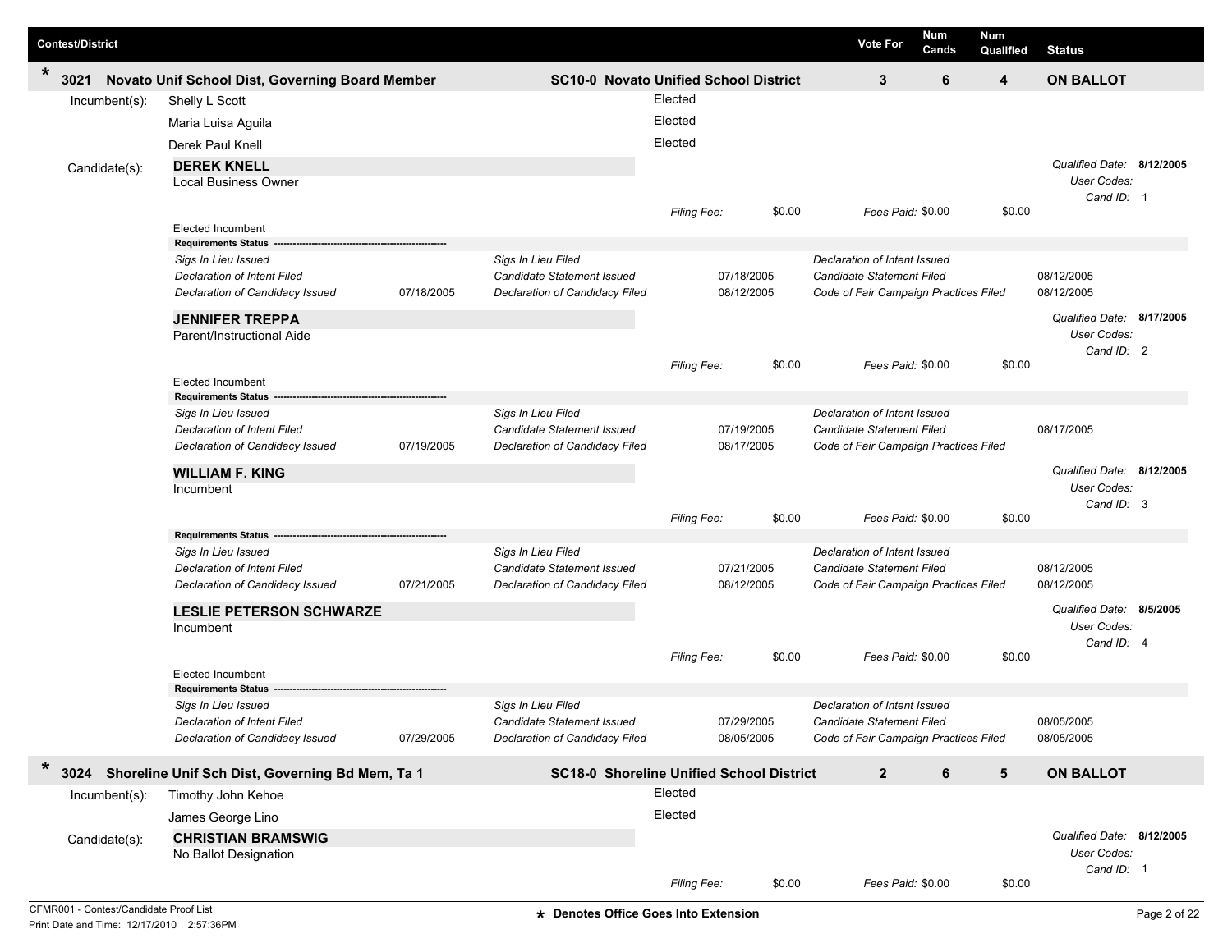| <b>Contest/District</b> |                                                      |            |                                                 |             |            |        | <b>Vote For</b>                       | Num<br>Cands      | <b>Num</b><br>Qualified | <b>Status</b>                           |  |
|-------------------------|------------------------------------------------------|------------|-------------------------------------------------|-------------|------------|--------|---------------------------------------|-------------------|-------------------------|-----------------------------------------|--|
| *<br>3021               | Novato Unif School Dist, Governing Board Member      |            | <b>SC10-0 Novato Unified School District</b>    |             |            |        | 3                                     | 6                 | 4                       | <b>ON BALLOT</b>                        |  |
| Incumbent(s):           | Shelly L Scott                                       |            |                                                 | Elected     |            |        |                                       |                   |                         |                                         |  |
|                         | Maria Luisa Aguila                                   |            |                                                 | Elected     |            |        |                                       |                   |                         |                                         |  |
|                         |                                                      |            |                                                 |             |            |        |                                       |                   |                         |                                         |  |
|                         | Derek Paul Knell                                     |            |                                                 | Elected     |            |        |                                       |                   |                         |                                         |  |
| Candidate(s):           | <b>DEREK KNELL</b>                                   |            |                                                 |             |            |        |                                       |                   |                         | Qualified Date: 8/12/2005               |  |
|                         | <b>Local Business Owner</b>                          |            |                                                 |             |            |        |                                       |                   |                         | User Codes:                             |  |
|                         |                                                      |            |                                                 | Filing Fee: |            | \$0.00 |                                       | Fees Paid: \$0.00 | \$0.00                  | Cand ID: 1                              |  |
|                         | <b>Elected Incumbent</b>                             |            |                                                 |             |            |        |                                       |                   |                         |                                         |  |
|                         | <b>Requirements Status</b>                           |            |                                                 |             |            |        |                                       |                   |                         |                                         |  |
|                         | Sigs In Lieu Issued                                  |            | Sigs In Lieu Filed                              |             |            |        | Declaration of Intent Issued          |                   |                         |                                         |  |
|                         | <b>Declaration of Intent Filed</b>                   |            | Candidate Statement Issued                      |             | 07/18/2005 |        | <b>Candidate Statement Filed</b>      |                   |                         | 08/12/2005                              |  |
|                         | Declaration of Candidacy Issued                      | 07/18/2005 | Declaration of Candidacy Filed                  |             | 08/12/2005 |        | Code of Fair Campaign Practices Filed |                   |                         | 08/12/2005                              |  |
|                         | <b>JENNIFER TREPPA</b>                               |            |                                                 |             |            |        |                                       |                   |                         | Qualified Date: 8/17/2005               |  |
|                         | Parent/Instructional Aide                            |            |                                                 |             |            |        |                                       |                   |                         | User Codes:                             |  |
|                         |                                                      |            |                                                 |             |            |        |                                       |                   |                         | Cand ID: 2                              |  |
|                         |                                                      |            |                                                 | Filing Fee: |            | \$0.00 |                                       | Fees Paid: \$0.00 | \$0.00                  |                                         |  |
|                         | <b>Elected Incumbent</b>                             |            |                                                 |             |            |        |                                       |                   |                         |                                         |  |
|                         | <b>Requirements Status</b>                           |            |                                                 |             |            |        |                                       |                   |                         |                                         |  |
|                         | Sigs In Lieu Issued                                  |            | Sigs In Lieu Filed                              |             |            |        | Declaration of Intent Issued          |                   |                         |                                         |  |
|                         | <b>Declaration of Intent Filed</b>                   |            | Candidate Statement Issued                      |             | 07/19/2005 |        | <b>Candidate Statement Filed</b>      |                   |                         | 08/17/2005                              |  |
|                         | Declaration of Candidacy Issued                      | 07/19/2005 | Declaration of Candidacy Filed                  |             | 08/17/2005 |        | Code of Fair Campaign Practices Filed |                   |                         |                                         |  |
|                         | <b>WILLIAM F. KING</b>                               |            |                                                 |             |            |        |                                       |                   |                         | Qualified Date: 8/12/2005               |  |
|                         | Incumbent                                            |            |                                                 |             |            |        |                                       |                   |                         | User Codes:                             |  |
|                         |                                                      |            |                                                 |             |            | \$0.00 |                                       |                   |                         | Cand ID: 3                              |  |
|                         | <b>Requirements Status</b>                           |            |                                                 | Filing Fee: |            |        |                                       | Fees Paid: \$0.00 | \$0.00                  |                                         |  |
|                         | Sigs In Lieu Issued                                  |            | Sigs In Lieu Filed                              |             |            |        | Declaration of Intent Issued          |                   |                         |                                         |  |
|                         | <b>Declaration of Intent Filed</b>                   |            | Candidate Statement Issued                      |             | 07/21/2005 |        | Candidate Statement Filed             |                   |                         | 08/12/2005                              |  |
|                         | Declaration of Candidacy Issued                      | 07/21/2005 | Declaration of Candidacy Filed                  |             | 08/12/2005 |        | Code of Fair Campaign Practices Filed |                   |                         | 08/12/2005                              |  |
|                         |                                                      |            |                                                 |             |            |        |                                       |                   |                         |                                         |  |
|                         | <b>LESLIE PETERSON SCHWARZE</b>                      |            |                                                 |             |            |        |                                       |                   |                         | Qualified Date: 8/5/2005<br>User Codes: |  |
|                         | Incumbent                                            |            |                                                 |             |            |        |                                       |                   |                         | Cand ID: 4                              |  |
|                         |                                                      |            |                                                 | Filing Fee: |            | \$0.00 |                                       | Fees Paid: \$0.00 | \$0.00                  |                                         |  |
|                         | <b>Elected Incumbent</b>                             |            |                                                 |             |            |        |                                       |                   |                         |                                         |  |
|                         | <b>Requirements Status</b>                           |            |                                                 |             |            |        |                                       |                   |                         |                                         |  |
|                         | Sigs In Lieu Issued                                  |            | Sigs In Lieu Filed                              |             |            |        | Declaration of Intent Issued          |                   |                         |                                         |  |
|                         | Declaration of Intent Filed                          |            | Candidate Statement Issued                      |             | 07/29/2005 |        | Candidate Statement Filed             |                   |                         | 08/05/2005                              |  |
|                         | Declaration of Candidacy Issued                      | 07/29/2005 | Declaration of Candidacy Filed                  |             | 08/05/2005 |        | Code of Fair Campaign Practices Filed |                   |                         | 08/05/2005                              |  |
| *                       | 3024 Shoreline Unif Sch Dist, Governing Bd Mem, Ta 1 |            | <b>SC18-0 Shoreline Unified School District</b> |             |            |        | $\overline{2}$                        | 6                 | 5                       | <b>ON BALLOT</b>                        |  |
| $Incumbent(s)$ :        | Timothy John Kehoe                                   |            |                                                 | Elected     |            |        |                                       |                   |                         |                                         |  |
|                         | James George Lino                                    |            |                                                 | Elected     |            |        |                                       |                   |                         |                                         |  |
|                         |                                                      |            |                                                 |             |            |        |                                       |                   |                         | Qualified Date: 8/12/2005               |  |
| Candidate(s):           | <b>CHRISTIAN BRAMSWIG</b>                            |            |                                                 |             |            |        |                                       |                   |                         | User Codes:                             |  |
|                         | No Ballot Designation                                |            |                                                 |             |            |        |                                       |                   |                         | Cand ID: 1                              |  |
|                         |                                                      |            |                                                 | Filing Fee: |            | \$0.00 |                                       | Fees Paid: \$0.00 | \$0.00                  |                                         |  |
|                         |                                                      |            |                                                 |             |            |        |                                       |                   |                         |                                         |  |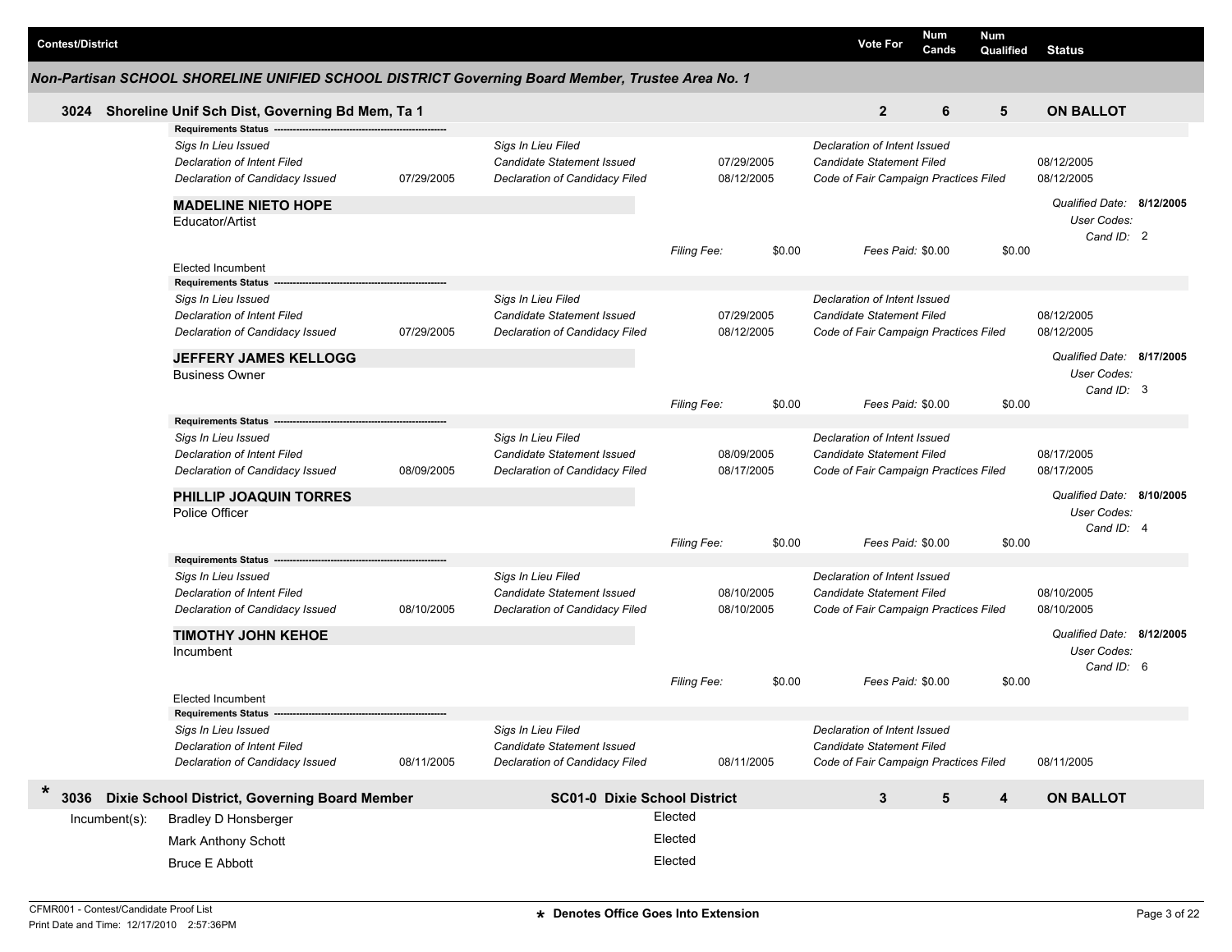|               | Non-Partisan SCHOOL SHORELINE UNIFIED SCHOOL DISTRICT Governing Board Member, Trustee Area No. 1                           |            |                                                                                    |                          |        |                                                                                                           |   |        |                                                        |  |
|---------------|----------------------------------------------------------------------------------------------------------------------------|------------|------------------------------------------------------------------------------------|--------------------------|--------|-----------------------------------------------------------------------------------------------------------|---|--------|--------------------------------------------------------|--|
| 3024          | Shoreline Unif Sch Dist, Governing Bd Mem, Ta 1                                                                            |            |                                                                                    |                          |        | $\mathbf{2}$                                                                                              | 6 | 5      | <b>ON BALLOT</b>                                       |  |
|               | <b>Requirements Status</b><br>Sigs In Lieu Issued<br><b>Declaration of Intent Filed</b><br>Declaration of Candidacy Issued | 07/29/2005 | Sigs In Lieu Filed<br>Candidate Statement Issued<br>Declaration of Candidacy Filed | 07/29/2005<br>08/12/2005 |        | Declaration of Intent Issued<br><b>Candidate Statement Filed</b><br>Code of Fair Campaign Practices Filed |   |        | 08/12/2005<br>08/12/2005                               |  |
|               | <b>MADELINE NIETO HOPE</b><br>Educator/Artist                                                                              |            |                                                                                    |                          |        |                                                                                                           |   |        | Qualified Date: 8/12/2005<br>User Codes:<br>Cand ID: 2 |  |
|               | <b>Elected Incumbent</b><br><b>Requirements Status</b>                                                                     |            |                                                                                    | Filing Fee:              | \$0.00 | Fees Paid: \$0.00                                                                                         |   | \$0.00 |                                                        |  |
|               | Sigs In Lieu Issued<br><b>Declaration of Intent Filed</b><br>Declaration of Candidacy Issued                               | 07/29/2005 | Sigs In Lieu Filed<br>Candidate Statement Issued<br>Declaration of Candidacy Filed | 07/29/2005<br>08/12/2005 |        | Declaration of Intent Issued<br>Candidate Statement Filed<br>Code of Fair Campaign Practices Filed        |   |        | 08/12/2005<br>08/12/2005                               |  |
|               | <b>JEFFERY JAMES KELLOGG</b><br><b>Business Owner</b>                                                                      |            |                                                                                    |                          |        |                                                                                                           |   |        | Qualified Date: 8/17/2005<br>User Codes:               |  |
|               |                                                                                                                            |            |                                                                                    | Filing Fee:              | \$0.00 | Fees Paid: \$0.00                                                                                         |   | \$0.00 | Cand ID: 3                                             |  |
|               | <b>Requirements Status</b><br>Sigs In Lieu Issued<br><b>Declaration of Intent Filed</b><br>Declaration of Candidacy Issued | 08/09/2005 | Sigs In Lieu Filed<br>Candidate Statement Issued<br>Declaration of Candidacy Filed | 08/09/2005<br>08/17/2005 |        | Declaration of Intent Issued<br><b>Candidate Statement Filed</b><br>Code of Fair Campaign Practices Filed |   |        | 08/17/2005<br>08/17/2005                               |  |
|               | <b>PHILLIP JOAQUIN TORRES</b><br>Police Officer                                                                            |            |                                                                                    |                          |        |                                                                                                           |   |        | Qualified Date: 8/10/2005<br>User Codes:<br>Cand ID: 4 |  |
|               | <b>Requirements Status</b>                                                                                                 |            |                                                                                    | Filing Fee:              | \$0.00 | Fees Paid: \$0.00                                                                                         |   | \$0.00 |                                                        |  |
|               | Sigs In Lieu Issued<br><b>Declaration of Intent Filed</b><br>Declaration of Candidacy Issued                               | 08/10/2005 | Sigs In Lieu Filed<br>Candidate Statement Issued<br>Declaration of Candidacy Filed | 08/10/2005<br>08/10/2005 |        | Declaration of Intent Issued<br>Candidate Statement Filed<br>Code of Fair Campaign Practices Filed        |   |        | 08/10/2005<br>08/10/2005                               |  |
|               | <b>TIMOTHY JOHN KEHOE</b><br>Incumbent                                                                                     |            |                                                                                    |                          |        |                                                                                                           |   |        | Qualified Date: 8/12/2005<br>User Codes:<br>Cand ID: 6 |  |
|               | Elected Incumbent<br>Requirements Status --                                                                                |            |                                                                                    | Filing Fee:              | \$0.00 | Fees Paid: \$0.00                                                                                         |   | \$0.00 |                                                        |  |
|               | Sigs In Lieu Issued<br>Declaration of Intent Filed<br>Declaration of Candidacy Issued                                      | 08/11/2005 | Sigs In Lieu Filed<br>Candidate Statement Issued<br>Declaration of Candidacy Filed | 08/11/2005               |        | Declaration of Intent Issued<br>Candidate Statement Filed<br>Code of Fair Campaign Practices Filed        |   |        | 08/11/2005                                             |  |
| 3036          | Dixie School District, Governing Board Member                                                                              |            | <b>SC01-0 Dixie School District</b>                                                |                          |        | 3                                                                                                         | 5 | 4      | <b>ON BALLOT</b>                                       |  |
| Incumbent(s): | <b>Bradley D Honsberger</b>                                                                                                |            |                                                                                    | Elected                  |        |                                                                                                           |   |        |                                                        |  |
|               | Mark Anthony Schott                                                                                                        |            |                                                                                    | Elected                  |        |                                                                                                           |   |        |                                                        |  |
|               | <b>Bruce E Abbott</b>                                                                                                      |            |                                                                                    | Elected                  |        |                                                                                                           |   |        |                                                        |  |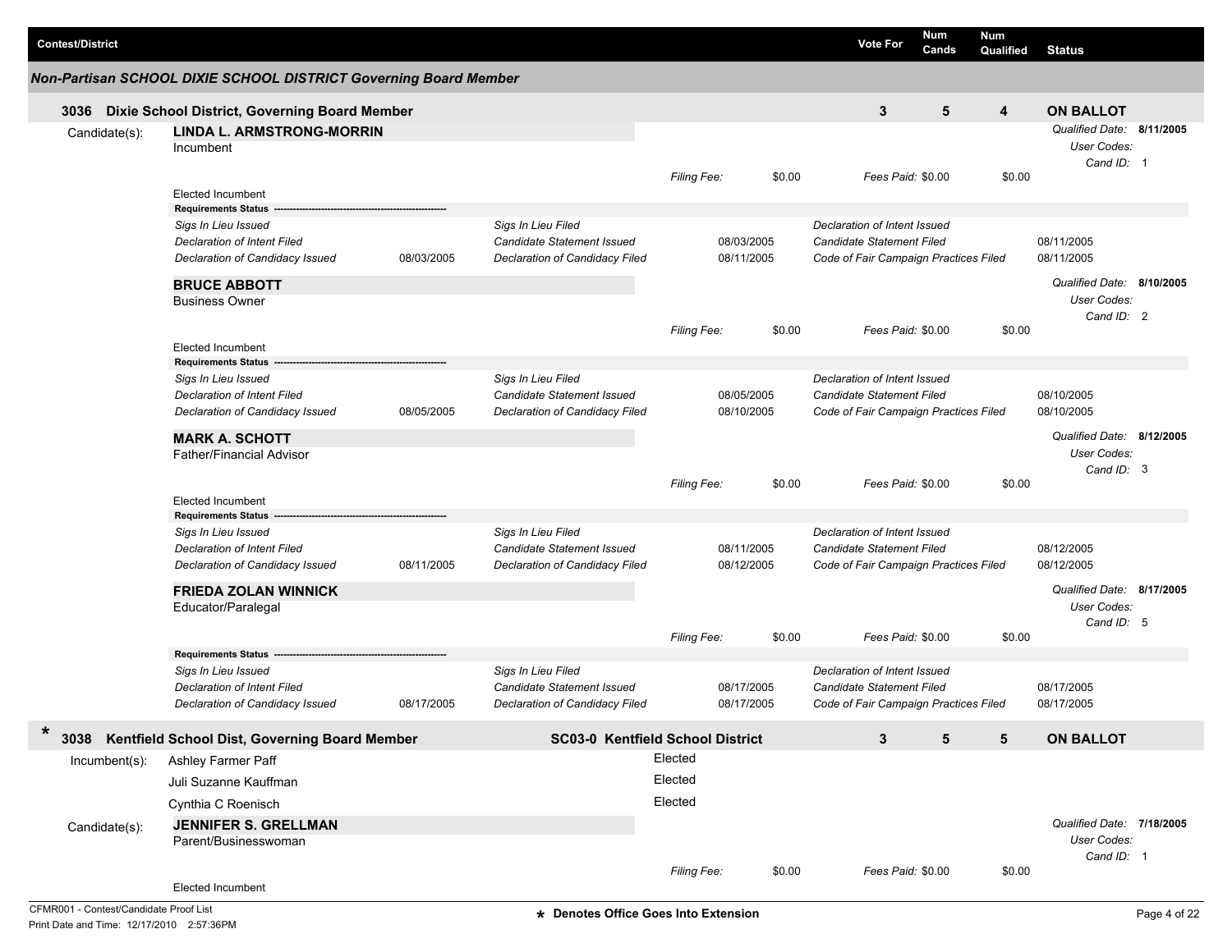| <b>Contest/District</b> |                                                                                                                            |            |                                                                                           |                               |                          | <b>Vote For</b>                                                                                    | <b>Num</b><br>Cands | Num<br>Qualified | <b>Status</b>                                          |  |
|-------------------------|----------------------------------------------------------------------------------------------------------------------------|------------|-------------------------------------------------------------------------------------------|-------------------------------|--------------------------|----------------------------------------------------------------------------------------------------|---------------------|------------------|--------------------------------------------------------|--|
|                         | Non-Partisan SCHOOL DIXIE SCHOOL DISTRICT Governing Board Member                                                           |            |                                                                                           |                               |                          |                                                                                                    |                     |                  |                                                        |  |
|                         | 3036 Dixie School District, Governing Board Member                                                                         |            |                                                                                           |                               |                          | 3                                                                                                  | 5                   | 4                | <b>ON BALLOT</b>                                       |  |
| Candidate(s):           | <b>LINDA L. ARMSTRONG-MORRIN</b><br>Incumbent                                                                              |            |                                                                                           |                               |                          |                                                                                                    |                     |                  | Qualified Date: 8/11/2005<br>User Codes:<br>Cand ID: 1 |  |
|                         | <b>Elected Incumbent</b><br><b>Requirements Status</b>                                                                     |            |                                                                                           | Filing Fee:                   | \$0.00                   | Fees Paid: \$0.00                                                                                  |                     | \$0.00           |                                                        |  |
|                         | Sigs In Lieu Issued<br><b>Declaration of Intent Filed</b><br>Declaration of Candidacy Issued                               | 08/03/2005 | Sigs In Lieu Filed<br>Candidate Statement Issued<br>Declaration of Candidacy Filed        |                               | 08/03/2005<br>08/11/2005 | Declaration of Intent Issued<br>Candidate Statement Filed<br>Code of Fair Campaign Practices Filed |                     |                  | 08/11/2005<br>08/11/2005                               |  |
|                         | <b>BRUCE ABBOTT</b><br><b>Business Owner</b>                                                                               |            |                                                                                           |                               |                          |                                                                                                    |                     |                  | Qualified Date: 8/10/2005<br>User Codes:<br>Cand ID: 2 |  |
|                         | <b>Elected Incumbent</b><br><b>Requirements Status</b>                                                                     |            |                                                                                           | Filing Fee:                   | \$0.00                   | Fees Paid: \$0.00                                                                                  |                     | \$0.00           |                                                        |  |
|                         | Sigs In Lieu Issued<br>Declaration of Intent Filed<br>Declaration of Candidacy Issued                                      | 08/05/2005 | Sigs In Lieu Filed<br>Candidate Statement Issued<br>Declaration of Candidacy Filed        |                               | 08/05/2005<br>08/10/2005 | Declaration of Intent Issued<br>Candidate Statement Filed<br>Code of Fair Campaign Practices Filed |                     |                  | 08/10/2005<br>08/10/2005                               |  |
|                         | <b>MARK A. SCHOTT</b><br><b>Father/Financial Advisor</b>                                                                   |            |                                                                                           |                               |                          |                                                                                                    |                     |                  | Qualified Date: 8/12/2005<br>User Codes:<br>Cand ID: 3 |  |
|                         | <b>Elected Incumbent</b>                                                                                                   |            |                                                                                           | Filing Fee:                   | \$0.00                   |                                                                                                    | Fees Paid: \$0.00   | \$0.00           |                                                        |  |
|                         | <b>Requirements Status</b><br>Sigs In Lieu Issued<br>Declaration of Intent Filed<br>Declaration of Candidacy Issued        | 08/11/2005 | Sigs In Lieu Filed<br>Candidate Statement Issued<br>Declaration of Candidacy Filed        |                               | 08/11/2005<br>08/12/2005 | Declaration of Intent Issued<br>Candidate Statement Filed<br>Code of Fair Campaign Practices Filed |                     |                  | 08/12/2005<br>08/12/2005                               |  |
|                         | <b>FRIEDA ZOLAN WINNICK</b><br>Educator/Paralegal                                                                          |            |                                                                                           |                               |                          |                                                                                                    |                     |                  | Qualified Date: 8/17/2005<br>User Codes:<br>Cand ID: 5 |  |
|                         |                                                                                                                            |            |                                                                                           | Filing Fee:                   | \$0.00                   |                                                                                                    | Fees Paid: \$0.00   | \$0.00           |                                                        |  |
|                         | <b>Requirements Status</b><br>Sigs In Lieu Issued<br><b>Declaration of Intent Filed</b><br>Declaration of Candidacy Issued | 08/17/2005 | Sigs In Lieu Filed<br><b>Candidate Statement Issued</b><br>Declaration of Candidacy Filed |                               | 08/17/2005<br>08/17/2005 | Declaration of Intent Issued<br>Candidate Statement Filed<br>Code of Fair Campaign Practices Filed |                     |                  | 08/17/2005<br>08/17/2005                               |  |
| $\ast$                  | 3038 Kentfield School Dist, Governing Board Member                                                                         |            | <b>SC03-0 Kentfield School District</b>                                                   |                               |                          | 3                                                                                                  | 5                   | 5                | <b>ON BALLOT</b>                                       |  |
| Incumbent(s):           | Ashley Farmer Paff<br>Juli Suzanne Kauffman<br>Cynthia C Roenisch                                                          |            |                                                                                           | Elected<br>Elected<br>Elected |                          |                                                                                                    |                     |                  |                                                        |  |
| Candidate(s):           | <b>JENNIFER S. GRELLMAN</b><br>Parent/Businesswoman<br>Elected Incumbent                                                   |            |                                                                                           | Filing Fee:                   | \$0.00                   |                                                                                                    | Fees Paid: \$0.00   | \$0.00           | Qualified Date: 7/18/2005<br>User Codes:<br>Cand ID: 1 |  |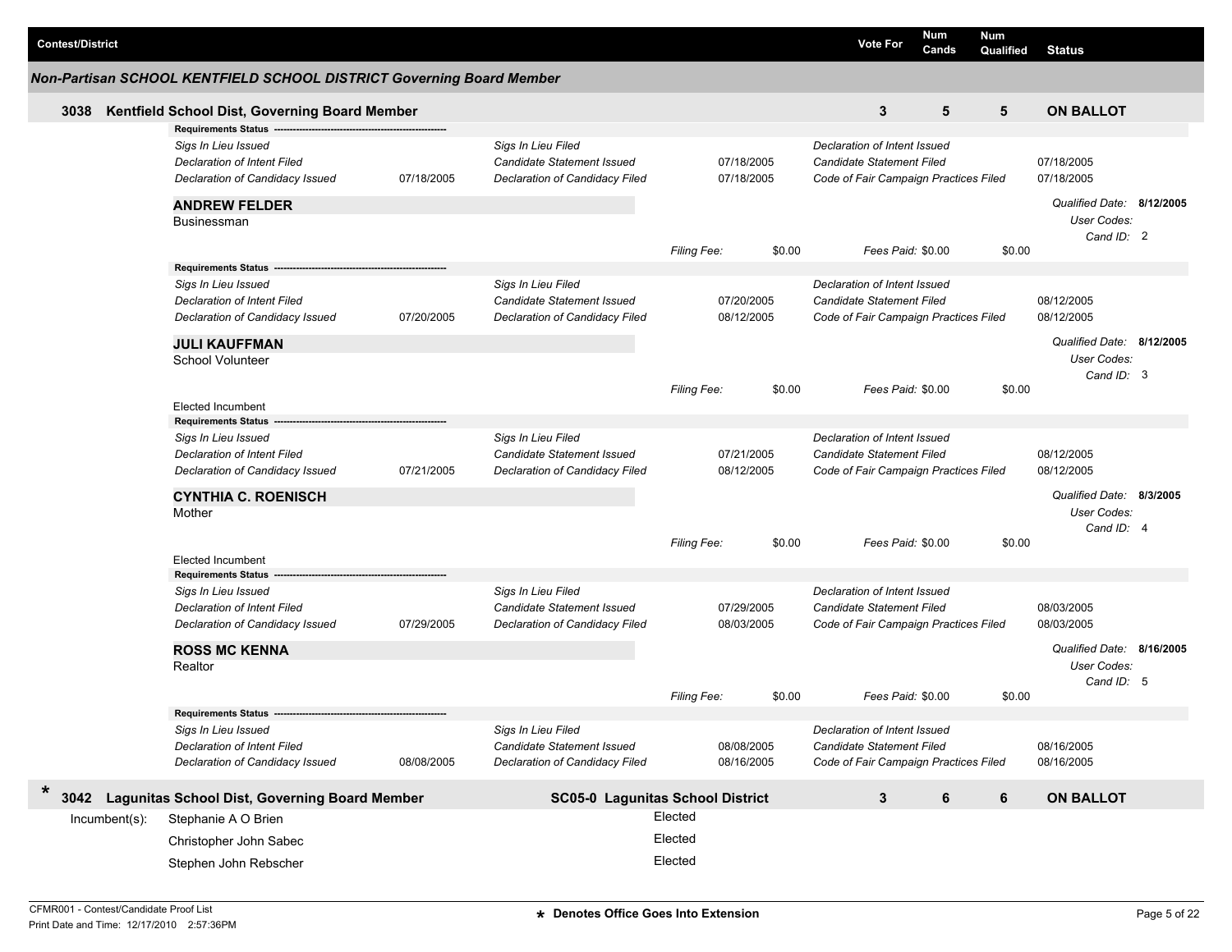|                          | Non-Partisan SCHOOL KENTFIELD SCHOOL DISTRICT Governing Board Member                         |            |                                                                                    |                          |        |                                                                                                    |                   | Cands | Qualified | <b>Status</b>                            |  |
|--------------------------|----------------------------------------------------------------------------------------------|------------|------------------------------------------------------------------------------------|--------------------------|--------|----------------------------------------------------------------------------------------------------|-------------------|-------|-----------|------------------------------------------|--|
| 3038                     | Kentfield School Dist, Governing Board Member                                                |            |                                                                                    |                          |        |                                                                                                    | 3                 | 5     | 5         | <b>ON BALLOT</b>                         |  |
|                          | Requirements Status ------                                                                   |            |                                                                                    |                          |        |                                                                                                    |                   |       |           |                                          |  |
|                          | Sigs In Lieu Issued<br><b>Declaration of Intent Filed</b><br>Declaration of Candidacy Issued | 07/18/2005 | Sigs In Lieu Filed<br>Candidate Statement Issued<br>Declaration of Candidacy Filed | 07/18/2005<br>07/18/2005 |        | Declaration of Intent Issued<br>Candidate Statement Filed<br>Code of Fair Campaign Practices Filed |                   |       |           | 07/18/2005<br>07/18/2005                 |  |
|                          | <b>ANDREW FELDER</b>                                                                         |            |                                                                                    |                          |        |                                                                                                    |                   |       |           | Qualified Date: 8/12/2005                |  |
|                          | <b>Businessman</b>                                                                           |            |                                                                                    | Filing Fee:              | \$0.00 |                                                                                                    | Fees Paid: \$0.00 |       | \$0.00    | User Codes:<br>Cand ID: 2                |  |
|                          | <b>Requirements Status</b>                                                                   |            |                                                                                    |                          |        |                                                                                                    |                   |       |           |                                          |  |
|                          | Sigs In Lieu Issued<br><b>Declaration of Intent Filed</b><br>Declaration of Candidacy Issued | 07/20/2005 | Sigs In Lieu Filed<br>Candidate Statement Issued<br>Declaration of Candidacy Filed | 07/20/2005<br>08/12/2005 |        | Declaration of Intent Issued<br>Candidate Statement Filed<br>Code of Fair Campaign Practices Filed |                   |       |           | 08/12/2005<br>08/12/2005                 |  |
|                          | <b>JULI KAUFFMAN</b><br>School Volunteer                                                     |            |                                                                                    |                          |        |                                                                                                    |                   |       |           | Qualified Date: 8/12/2005<br>User Codes: |  |
|                          |                                                                                              |            |                                                                                    | <b>Filing Fee:</b>       | \$0.00 |                                                                                                    | Fees Paid: \$0.00 |       | \$0.00    | Cand ID: 3                               |  |
|                          | <b>Elected Incumbent</b>                                                                     |            |                                                                                    |                          |        |                                                                                                    |                   |       |           |                                          |  |
|                          | <b>Requirements Status</b><br>Sigs In Lieu Issued                                            |            | Sigs In Lieu Filed                                                                 |                          |        | Declaration of Intent Issued                                                                       |                   |       |           |                                          |  |
|                          | <b>Declaration of Intent Filed</b><br>Declaration of Candidacy Issued                        | 07/21/2005 | Candidate Statement Issued<br>Declaration of Candidacy Filed                       | 07/21/2005<br>08/12/2005 |        | <b>Candidate Statement Filed</b><br>Code of Fair Campaign Practices Filed                          |                   |       |           | 08/12/2005<br>08/12/2005                 |  |
|                          | <b>CYNTHIA C. ROENISCH</b><br>Mother                                                         |            |                                                                                    |                          |        |                                                                                                    |                   |       |           | Qualified Date: 8/3/2005<br>User Codes:  |  |
|                          |                                                                                              |            |                                                                                    | <b>Filing Fee:</b>       | \$0.00 |                                                                                                    | Fees Paid: \$0.00 |       | \$0.00    | Cand ID: 4                               |  |
|                          | <b>Elected Incumbent</b><br><b>Requirements Status</b>                                       |            |                                                                                    |                          |        |                                                                                                    |                   |       |           |                                          |  |
|                          | Sigs In Lieu Issued                                                                          |            | Sigs In Lieu Filed                                                                 |                          |        | Declaration of Intent Issued                                                                       |                   |       |           |                                          |  |
|                          | <b>Declaration of Intent Filed</b><br>Declaration of Candidacy Issued                        | 07/29/2005 | Candidate Statement Issued<br>Declaration of Candidacy Filed                       | 07/29/2005<br>08/03/2005 |        | <b>Candidate Statement Filed</b><br>Code of Fair Campaign Practices Filed                          |                   |       |           | 08/03/2005<br>08/03/2005                 |  |
|                          | <b>ROSS MC KENNA</b><br>Realtor                                                              |            |                                                                                    |                          |        |                                                                                                    |                   |       |           | Qualified Date: 8/16/2005<br>User Codes: |  |
|                          |                                                                                              |            |                                                                                    | <b>Filing Fee:</b>       | \$0.00 |                                                                                                    | Fees Paid: \$0.00 |       | \$0.00    | Cand ID: 5                               |  |
|                          | Requirements Status --                                                                       |            |                                                                                    |                          |        |                                                                                                    |                   |       |           |                                          |  |
|                          | Sigs In Lieu Issued<br><b>Declaration of Intent Filed</b><br>Declaration of Candidacy Issued | 08/08/2005 | Sigs In Lieu Filed<br>Candidate Statement Issued<br>Declaration of Candidacy Filed | 08/08/2005<br>08/16/2005 |        | Declaration of Intent Issued<br>Candidate Statement Filed<br>Code of Fair Campaign Practices Filed |                   |       |           | 08/16/2005<br>08/16/2005                 |  |
|                          |                                                                                              |            |                                                                                    |                          |        |                                                                                                    |                   |       |           |                                          |  |
|                          |                                                                                              |            |                                                                                    |                          |        |                                                                                                    |                   |       |           |                                          |  |
|                          | <b>Lagunitas School Dist, Governing Board Member</b>                                         |            | SC05-0 Lagunitas School District                                                   | Elected                  |        |                                                                                                    | 3                 | 6     | 6         | <b>ON BALLOT</b>                         |  |
| 3042<br>$Incumbent(s)$ : | Stephanie A O Brien<br>Christopher John Sabec                                                |            |                                                                                    | Elected                  |        |                                                                                                    |                   |       |           |                                          |  |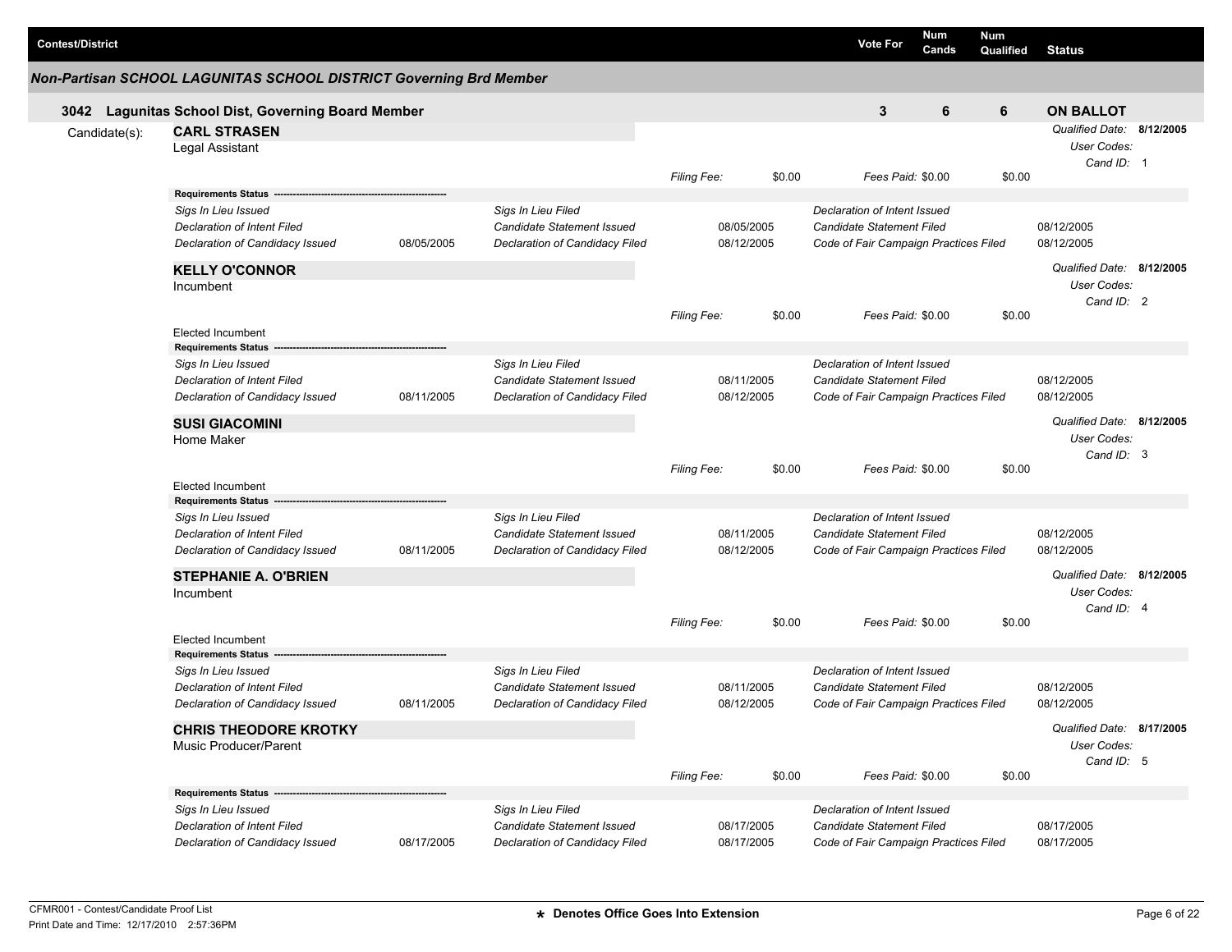| <b>Contest/District</b> |                                                                                                                            |                                                                                                         |                                                                                           |                          |        | <b>Vote For</b>                                                                                    | Num<br>Cands | Num<br>Qualified | <b>Status</b>                                          |  |
|-------------------------|----------------------------------------------------------------------------------------------------------------------------|---------------------------------------------------------------------------------------------------------|-------------------------------------------------------------------------------------------|--------------------------|--------|----------------------------------------------------------------------------------------------------|--------------|------------------|--------------------------------------------------------|--|
|                         | Non-Partisan SCHOOL LAGUNITAS SCHOOL DISTRICT Governing Brd Member                                                         |                                                                                                         |                                                                                           |                          |        |                                                                                                    |              |                  |                                                        |  |
|                         | 3042 Lagunitas School Dist, Governing Board Member                                                                         |                                                                                                         |                                                                                           |                          |        | 3                                                                                                  | 6            | 6                | <b>ON BALLOT</b>                                       |  |
| Candidate(s):           | <b>CARL STRASEN</b><br>Legal Assistant                                                                                     |                                                                                                         |                                                                                           | Filing Fee:              | \$0.00 | Fees Paid: \$0.00                                                                                  |              | \$0.00           | Qualified Date: 8/12/2005<br>User Codes:<br>Cand ID: 1 |  |
|                         | <b>Requirements Status</b><br>Sigs In Lieu Issued<br><b>Declaration of Intent Filed</b><br>Declaration of Candidacy Issued | 08/05/2005                                                                                              | Sigs In Lieu Filed<br><b>Candidate Statement Issued</b><br>Declaration of Candidacy Filed | 08/05/2005<br>08/12/2005 |        | Declaration of Intent Issued<br>Candidate Statement Filed<br>Code of Fair Campaign Practices Filed |              |                  | 08/12/2005<br>08/12/2005                               |  |
|                         | <b>KELLY O'CONNOR</b><br>Incumbent                                                                                         |                                                                                                         |                                                                                           | Filing Fee:              | \$0.00 | Fees Paid: \$0.00                                                                                  |              | \$0.00           | Qualified Date: 8/12/2005<br>User Codes:<br>Cand ID: 2 |  |
|                         | <b>Elected Incumbent</b>                                                                                                   |                                                                                                         |                                                                                           |                          |        |                                                                                                    |              |                  |                                                        |  |
|                         | <b>Requirements Status</b><br>Sigs In Lieu Issued<br>Declaration of Intent Filed<br>Declaration of Candidacy Issued        | Sigs In Lieu Filed<br><b>Candidate Statement Issued</b><br>08/11/2005<br>Declaration of Candidacy Filed |                                                                                           | 08/11/2005<br>08/12/2005 |        | Declaration of Intent Issued<br>Candidate Statement Filed<br>Code of Fair Campaign Practices Filed |              |                  | 08/12/2005<br>08/12/2005                               |  |
|                         | <b>SUSI GIACOMINI</b><br>Home Maker                                                                                        |                                                                                                         |                                                                                           | Filing Fee:<br>\$0.00    |        | Fees Paid: \$0.00                                                                                  |              | \$0.00           | Qualified Date: 8/12/2005<br>User Codes:<br>Cand ID: 3 |  |
|                         | <b>Elected Incumbent</b><br><b>Requirements Status</b>                                                                     |                                                                                                         |                                                                                           |                          |        |                                                                                                    |              |                  |                                                        |  |
|                         | Sigs In Lieu Issued<br>Declaration of Intent Filed<br>Declaration of Candidacy Issued                                      | 08/11/2005                                                                                              | Sigs In Lieu Filed<br>Candidate Statement Issued<br>Declaration of Candidacy Filed        | 08/11/2005<br>08/12/2005 |        | Declaration of Intent Issued<br>Candidate Statement Filed<br>Code of Fair Campaign Practices Filed |              |                  | 08/12/2005<br>08/12/2005                               |  |
|                         | <b>STEPHANIE A. O'BRIEN</b><br>Incumbent                                                                                   |                                                                                                         |                                                                                           |                          |        |                                                                                                    |              |                  | Qualified Date: 8/12/2005<br>User Codes:<br>Cand ID: 4 |  |
|                         | <b>Elected Incumbent</b>                                                                                                   |                                                                                                         |                                                                                           | Filing Fee:              | \$0.00 | Fees Paid: \$0.00                                                                                  |              | \$0.00           |                                                        |  |
|                         | <b>Requirements Status</b><br>Sigs In Lieu Issued<br><b>Declaration of Intent Filed</b><br>Declaration of Candidacy Issued | 08/11/2005                                                                                              | Sigs In Lieu Filed<br>Candidate Statement Issued<br>Declaration of Candidacy Filed        | 08/11/2005<br>08/12/2005 |        | Declaration of Intent Issued<br>Candidate Statement Filed<br>Code of Fair Campaign Practices Filed |              |                  | 08/12/2005<br>08/12/2005<br>Qualified Date: 8/17/2005  |  |
|                         | <b>CHRIS THEODORE KROTKY</b><br>Music Producer/Parent                                                                      |                                                                                                         |                                                                                           | Filing Fee:              | \$0.00 | Fees Paid: \$0.00                                                                                  |              | \$0.00           | User Codes:<br>Cand ID: 5                              |  |
|                         | Requirements Status ---<br>Sigs In Lieu Issued<br>Declaration of Intent Filed<br>Declaration of Candidacy Issued           | 08/17/2005                                                                                              | Sigs In Lieu Filed<br>Candidate Statement Issued<br>Declaration of Candidacy Filed        | 08/17/2005<br>08/17/2005 |        | Declaration of Intent Issued<br>Candidate Statement Filed<br>Code of Fair Campaign Practices Filed |              |                  | 08/17/2005<br>08/17/2005                               |  |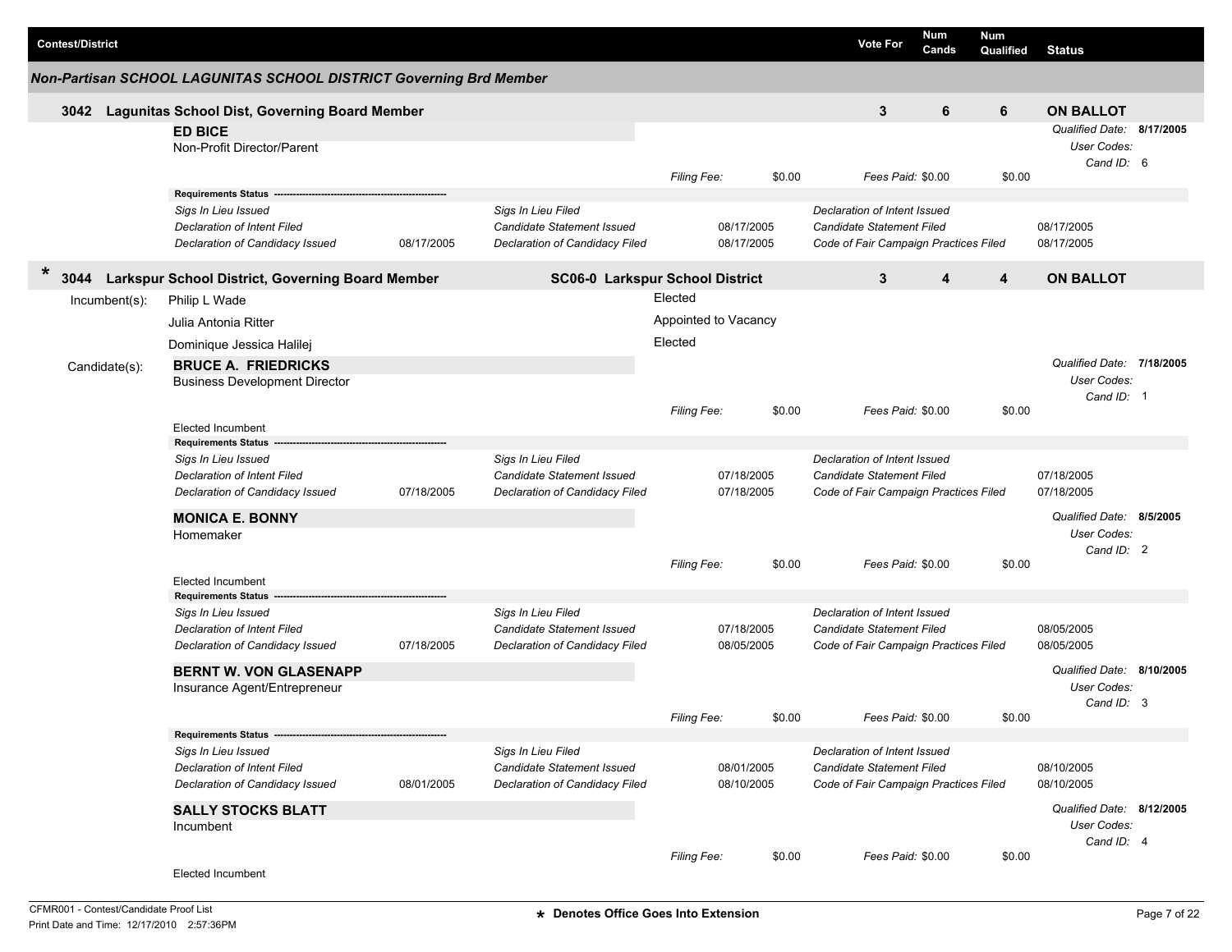|        | <b>Contest/District</b> |                  |                                                                    |            |                                   |                      |            |        | <b>Vote For</b>                       | <b>Num</b><br>Cands | <b>Num</b><br>Qualified | <b>Status</b>             |  |
|--------|-------------------------|------------------|--------------------------------------------------------------------|------------|-----------------------------------|----------------------|------------|--------|---------------------------------------|---------------------|-------------------------|---------------------------|--|
|        |                         |                  | Non-Partisan SCHOOL LAGUNITAS SCHOOL DISTRICT Governing Brd Member |            |                                   |                      |            |        |                                       |                     |                         |                           |  |
|        | 3042                    |                  | <b>Lagunitas School Dist, Governing Board Member</b>               |            |                                   |                      |            |        | 3                                     | 6                   | 6                       | <b>ON BALLOT</b>          |  |
|        |                         |                  | <b>ED BICE</b>                                                     |            |                                   |                      |            |        |                                       |                     |                         | Qualified Date: 8/17/2005 |  |
|        |                         |                  | Non-Profit Director/Parent                                         |            |                                   |                      |            |        |                                       |                     |                         | User Codes:<br>Cand ID: 6 |  |
|        |                         |                  |                                                                    |            |                                   | Filing Fee:          |            | \$0.00 | Fees Paid: \$0.00                     |                     | \$0.00                  |                           |  |
|        |                         |                  | <b>Requirements Status</b>                                         |            |                                   |                      |            |        |                                       |                     |                         |                           |  |
|        |                         |                  | Sigs In Lieu Issued                                                |            | Sigs In Lieu Filed                |                      |            |        | Declaration of Intent Issued          |                     |                         |                           |  |
|        |                         |                  | Declaration of Intent Filed                                        |            | <b>Candidate Statement Issued</b> |                      | 08/17/2005 |        | <b>Candidate Statement Filed</b>      |                     |                         | 08/17/2005                |  |
|        |                         |                  | Declaration of Candidacy Issued                                    | 08/17/2005 | Declaration of Candidacy Filed    |                      | 08/17/2005 |        | Code of Fair Campaign Practices Filed |                     |                         | 08/17/2005                |  |
| $\ast$ |                         |                  | 3044 Larkspur School District, Governing Board Member              |            | SC06-0 Larkspur School District   |                      |            |        | 3                                     | 4                   | 4                       | <b>ON BALLOT</b>          |  |
|        |                         | $Incumbent(s)$ : | Philip L Wade                                                      |            |                                   | Elected              |            |        |                                       |                     |                         |                           |  |
|        |                         |                  | Julia Antonia Ritter                                               |            |                                   | Appointed to Vacancy |            |        |                                       |                     |                         |                           |  |
|        |                         |                  | Dominique Jessica Halilej                                          |            |                                   | Elected              |            |        |                                       |                     |                         |                           |  |
|        |                         | Candidate(s):    | <b>BRUCE A. FRIEDRICKS</b>                                         |            |                                   |                      |            |        |                                       |                     |                         | Qualified Date: 7/18/2005 |  |
|        |                         |                  | <b>Business Development Director</b>                               |            |                                   |                      |            |        |                                       |                     |                         | User Codes:               |  |
|        |                         |                  |                                                                    |            |                                   |                      |            |        |                                       |                     |                         | Cand ID: 1                |  |
|        |                         |                  | <b>Elected Incumbent</b>                                           |            |                                   | Filing Fee:          |            | \$0.00 | Fees Paid: \$0.00                     |                     | \$0.00                  |                           |  |
|        |                         |                  | <b>Requirements Status</b>                                         |            |                                   |                      |            |        |                                       |                     |                         |                           |  |
|        |                         |                  | Sigs In Lieu Issued                                                |            | Sigs In Lieu Filed                |                      |            |        | Declaration of Intent Issued          |                     |                         |                           |  |
|        |                         |                  | Declaration of Intent Filed                                        |            | Candidate Statement Issued        |                      | 07/18/2005 |        | <b>Candidate Statement Filed</b>      |                     |                         | 07/18/2005                |  |
|        |                         |                  | Declaration of Candidacy Issued                                    | 07/18/2005 | Declaration of Candidacy Filed    |                      | 07/18/2005 |        | Code of Fair Campaign Practices Filed |                     |                         | 07/18/2005                |  |
|        |                         |                  | <b>MONICA E. BONNY</b>                                             |            |                                   |                      |            |        |                                       |                     |                         | Qualified Date: 8/5/2005  |  |
|        |                         |                  | Homemaker                                                          |            |                                   |                      |            |        |                                       |                     |                         | User Codes:               |  |
|        |                         |                  |                                                                    |            |                                   |                      |            |        |                                       |                     |                         | Cand ID: 2                |  |
|        |                         |                  | Elected Incumbent                                                  |            |                                   | <b>Filing Fee:</b>   |            | \$0.00 | Fees Paid: \$0.00                     |                     | \$0.00                  |                           |  |
|        |                         |                  | <b>Requirements Status</b>                                         |            |                                   |                      |            |        |                                       |                     |                         |                           |  |
|        |                         |                  | Sigs In Lieu Issued                                                |            | Sigs In Lieu Filed                |                      |            |        | Declaration of Intent Issued          |                     |                         |                           |  |
|        |                         |                  | Declaration of Intent Filed                                        |            | <b>Candidate Statement Issued</b> |                      | 07/18/2005 |        | <b>Candidate Statement Filed</b>      |                     |                         | 08/05/2005                |  |
|        |                         |                  | Declaration of Candidacy Issued                                    | 07/18/2005 | Declaration of Candidacy Filed    |                      | 08/05/2005 |        | Code of Fair Campaign Practices Filed |                     |                         | 08/05/2005                |  |
|        |                         |                  | <b>BERNT W. VON GLASENAPP</b>                                      |            |                                   |                      |            |        |                                       |                     |                         | Qualified Date: 8/10/2005 |  |
|        |                         |                  | Insurance Agent/Entrepreneur                                       |            |                                   |                      |            |        |                                       |                     |                         | User Codes:               |  |
|        |                         |                  |                                                                    |            |                                   |                      |            |        |                                       |                     |                         | Cand ID: 3                |  |
|        |                         |                  | Requirements Status --------                                       |            |                                   | Filing Fee:          |            | \$0.00 | Fees Paid: \$0.00                     |                     | \$0.00                  |                           |  |
|        |                         |                  | Sigs In Lieu Issued                                                |            | Sigs In Lieu Filed                |                      |            |        | Declaration of Intent Issued          |                     |                         |                           |  |
|        |                         |                  | Declaration of Intent Filed                                        |            | Candidate Statement Issued        |                      | 08/01/2005 |        | Candidate Statement Filed             |                     |                         | 08/10/2005                |  |
|        |                         |                  | Declaration of Candidacy Issued                                    | 08/01/2005 | Declaration of Candidacy Filed    |                      | 08/10/2005 |        | Code of Fair Campaign Practices Filed |                     |                         | 08/10/2005                |  |
|        |                         |                  | <b>SALLY STOCKS BLATT</b>                                          |            |                                   |                      |            |        |                                       |                     |                         | Qualified Date: 8/12/2005 |  |
|        |                         |                  | Incumbent                                                          |            |                                   |                      |            |        |                                       |                     |                         | User Codes:               |  |
|        |                         |                  |                                                                    |            |                                   |                      |            |        |                                       |                     |                         | Cand ID: 4                |  |
|        |                         |                  |                                                                    |            |                                   | Filing Fee:          |            | \$0.00 | Fees Paid: \$0.00                     |                     | \$0.00                  |                           |  |
|        |                         |                  | Elected Incumbent                                                  |            |                                   |                      |            |        |                                       |                     |                         |                           |  |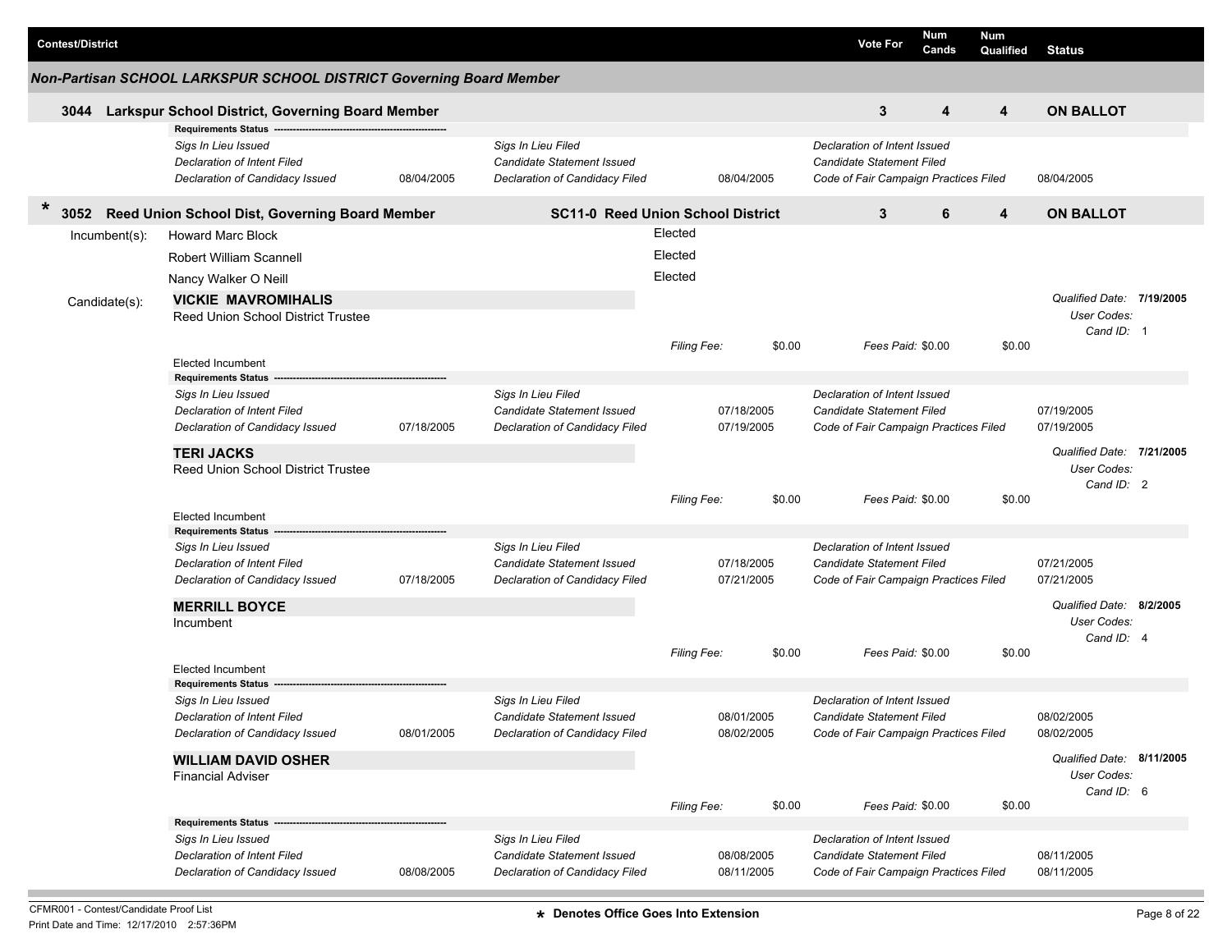| <b>Contest/District</b> |                                                                                                                     |            |                                                                                    |                    |                          |        | <b>Vote For</b>                                                                                           | Num<br>Cands | <b>Num</b><br>Qualified | <b>Status</b>                                          |  |
|-------------------------|---------------------------------------------------------------------------------------------------------------------|------------|------------------------------------------------------------------------------------|--------------------|--------------------------|--------|-----------------------------------------------------------------------------------------------------------|--------------|-------------------------|--------------------------------------------------------|--|
|                         | Non-Partisan SCHOOL LARKSPUR SCHOOL DISTRICT Governing Board Member                                                 |            |                                                                                    |                    |                          |        |                                                                                                           |              |                         |                                                        |  |
| 3044                    | Larkspur School District, Governing Board Member                                                                    |            |                                                                                    |                    |                          |        | 3                                                                                                         | 4            | 4                       | <b>ON BALLOT</b>                                       |  |
|                         | <b>Requirements Status</b><br>Sigs In Lieu Issued<br>Declaration of Intent Filed<br>Declaration of Candidacy Issued | 08/04/2005 | Sigs In Lieu Filed<br>Candidate Statement Issued<br>Declaration of Candidacy Filed |                    | 08/04/2005               |        | Declaration of Intent Issued<br><b>Candidate Statement Filed</b><br>Code of Fair Campaign Practices Filed |              |                         | 08/04/2005                                             |  |
| *<br>3052               | Reed Union School Dist, Governing Board Member                                                                      |            | <b>SC11-0 Reed Union School District</b>                                           |                    |                          |        | 3                                                                                                         | 6            | 4                       | <b>ON BALLOT</b>                                       |  |
| Incumbent(s):           | <b>Howard Marc Block</b>                                                                                            |            |                                                                                    | Elected            |                          |        |                                                                                                           |              |                         |                                                        |  |
|                         | <b>Robert William Scannell</b>                                                                                      |            |                                                                                    | Elected            |                          |        |                                                                                                           |              |                         |                                                        |  |
|                         | Nancy Walker O Neill                                                                                                |            |                                                                                    | Elected            |                          |        |                                                                                                           |              |                         |                                                        |  |
| Candidate(s):           | <b>VICKIE MAVROMIHALIS</b>                                                                                          |            |                                                                                    |                    |                          |        |                                                                                                           |              |                         | Qualified Date: 7/19/2005                              |  |
|                         | <b>Reed Union School District Trustee</b>                                                                           |            |                                                                                    |                    |                          |        |                                                                                                           |              |                         | User Codes:                                            |  |
|                         |                                                                                                                     |            |                                                                                    | <b>Filing Fee:</b> |                          | \$0.00 | Fees Paid: \$0.00                                                                                         |              | \$0.00                  | Cand ID: 1                                             |  |
|                         | <b>Elected Incumbent</b>                                                                                            |            |                                                                                    |                    |                          |        |                                                                                                           |              |                         |                                                        |  |
|                         | <b>Requirements Status</b>                                                                                          |            |                                                                                    |                    |                          |        | Declaration of Intent Issued                                                                              |              |                         |                                                        |  |
|                         | Sigs In Lieu Issued<br><b>Declaration of Intent Filed</b>                                                           |            | Sigs In Lieu Filed<br><b>Candidate Statement Issued</b>                            |                    | 07/18/2005               |        | Candidate Statement Filed                                                                                 |              |                         | 07/19/2005                                             |  |
|                         | Declaration of Candidacy Issued                                                                                     | 07/18/2005 | Declaration of Candidacy Filed                                                     |                    | 07/19/2005               |        | Code of Fair Campaign Practices Filed                                                                     |              |                         | 07/19/2005                                             |  |
|                         | <b>TERI JACKS</b><br><b>Reed Union School District Trustee</b>                                                      |            |                                                                                    |                    |                          |        |                                                                                                           |              |                         | Qualified Date: 7/21/2005<br>User Codes:<br>Cand ID: 2 |  |
|                         | <b>Elected Incumbent</b>                                                                                            |            |                                                                                    | <b>Filing Fee:</b> |                          | \$0.00 | Fees Paid: \$0.00                                                                                         |              | \$0.00                  |                                                        |  |
|                         | <b>Requirements Status</b>                                                                                          |            |                                                                                    |                    |                          |        |                                                                                                           |              |                         |                                                        |  |
|                         | Sigs In Lieu Issued                                                                                                 |            | Sigs In Lieu Filed                                                                 |                    |                          |        | Declaration of Intent Issued                                                                              |              |                         |                                                        |  |
|                         | Declaration of Intent Filed<br>Declaration of Candidacy Issued                                                      | 07/18/2005 | Candidate Statement Issued<br>Declaration of Candidacy Filed                       |                    | 07/18/2005<br>07/21/2005 |        | <b>Candidate Statement Filed</b><br>Code of Fair Campaign Practices Filed                                 |              |                         | 07/21/2005<br>07/21/2005                               |  |
|                         |                                                                                                                     |            |                                                                                    |                    |                          |        |                                                                                                           |              |                         | Qualified Date: 8/2/2005                               |  |
|                         | <b>MERRILL BOYCE</b><br>Incumbent                                                                                   |            |                                                                                    |                    |                          |        |                                                                                                           |              |                         | User Codes:                                            |  |
|                         |                                                                                                                     |            |                                                                                    |                    |                          |        |                                                                                                           |              |                         | Cand ID: 4                                             |  |
|                         | <b>Elected Incumbent</b>                                                                                            |            |                                                                                    | Filing Fee:        |                          | \$0.00 | Fees Paid: \$0.00                                                                                         |              | \$0.00                  |                                                        |  |
|                         | <b>Requirements Status</b>                                                                                          |            |                                                                                    |                    |                          |        |                                                                                                           |              |                         |                                                        |  |
|                         | Sigs In Lieu Issued                                                                                                 |            | Sigs In Lieu Filed                                                                 |                    |                          |        | Declaration of Intent Issued                                                                              |              |                         |                                                        |  |
|                         | Declaration of Intent Filed<br>Declaration of Candidacy Issued                                                      | 08/01/2005 | Candidate Statement Issued<br><b>Declaration of Candidacy Filed</b>                |                    | 08/01/2005<br>08/02/2005 |        | Candidate Statement Filed<br>Code of Fair Campaign Practices Filed                                        |              |                         | 08/02/2005<br>08/02/2005                               |  |
|                         |                                                                                                                     |            |                                                                                    |                    |                          |        |                                                                                                           |              |                         |                                                        |  |
|                         | <b>WILLIAM DAVID OSHER</b><br><b>Financial Adviser</b>                                                              |            |                                                                                    |                    |                          |        |                                                                                                           |              |                         | Qualified Date: 8/11/2005<br>User Codes:               |  |
|                         |                                                                                                                     |            |                                                                                    |                    |                          |        |                                                                                                           |              |                         | Cand ID: 6                                             |  |
|                         |                                                                                                                     |            |                                                                                    | <b>Filing Fee:</b> |                          | \$0.00 | Fees Paid: \$0.00                                                                                         |              | \$0.00                  |                                                        |  |
|                         | Sigs In Lieu Issued                                                                                                 |            | Sigs In Lieu Filed                                                                 |                    |                          |        | Declaration of Intent Issued                                                                              |              |                         |                                                        |  |
|                         | Declaration of Intent Filed                                                                                         |            | Candidate Statement Issued                                                         |                    | 08/08/2005               |        | <b>Candidate Statement Filed</b>                                                                          |              |                         | 08/11/2005                                             |  |
|                         | Declaration of Candidacy Issued                                                                                     | 08/08/2005 | Declaration of Candidacy Filed                                                     |                    | 08/11/2005               |        | Code of Fair Campaign Practices Filed                                                                     |              |                         | 08/11/2005                                             |  |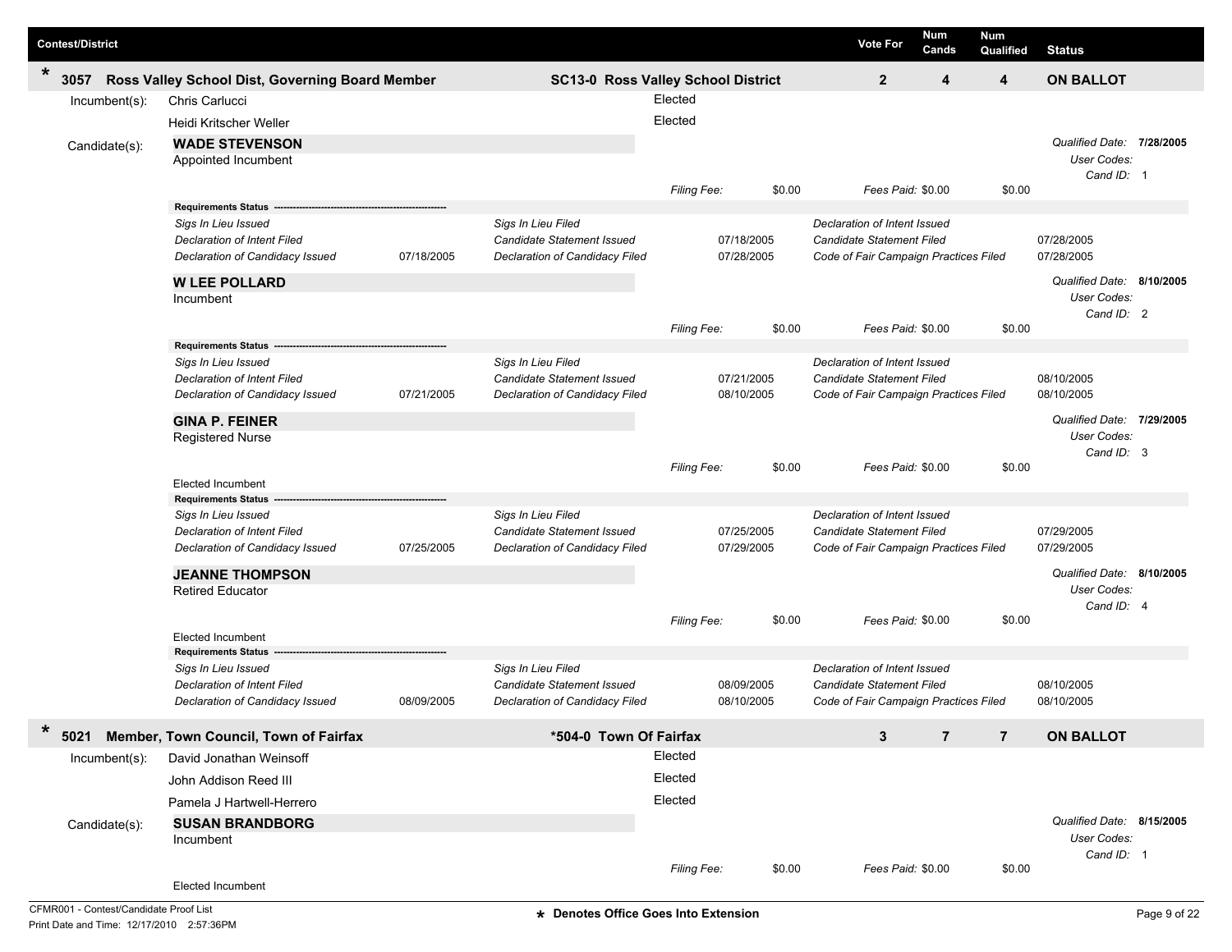| <b>Contest/District</b> |                                                        |            |                                                  |             |            |        | <b>Vote For</b>                                           | <b>Num</b><br>Cands | Num<br>Qualified | <b>Status</b>             |           |
|-------------------------|--------------------------------------------------------|------------|--------------------------------------------------|-------------|------------|--------|-----------------------------------------------------------|---------------------|------------------|---------------------------|-----------|
| $\ast$<br>3057          | Ross Valley School Dist, Governing Board Member        |            | SC13-0 Ross Valley School District               |             |            |        | $\overline{2}$                                            | 4                   | 4                | <b>ON BALLOT</b>          |           |
| Incumbent(s):           | Chris Carlucci                                         |            |                                                  | Elected     |            |        |                                                           |                     |                  |                           |           |
|                         | Heidi Kritscher Weller                                 |            |                                                  | Elected     |            |        |                                                           |                     |                  |                           |           |
| Candidate(s):           | <b>WADE STEVENSON</b>                                  |            |                                                  |             |            |        |                                                           |                     |                  | Qualified Date:           | 7/28/2005 |
|                         | Appointed Incumbent                                    |            |                                                  |             |            |        |                                                           |                     |                  | User Codes:               |           |
|                         |                                                        |            |                                                  | Filing Fee: |            | \$0.00 | Fees Paid: \$0.00                                         |                     | \$0.00           | Cand ID: 1                |           |
|                         | <b>Requirements Status -</b>                           |            |                                                  |             |            |        |                                                           |                     |                  |                           |           |
|                         | Sigs In Lieu Issued                                    |            | Sigs In Lieu Filed                               |             |            |        | Declaration of Intent Issued                              |                     |                  |                           |           |
|                         | <b>Declaration of Intent Filed</b>                     |            | <b>Candidate Statement Issued</b>                |             | 07/18/2005 |        | <b>Candidate Statement Filed</b>                          |                     |                  | 07/28/2005                |           |
|                         | Declaration of Candidacy Issued                        | 07/18/2005 | Declaration of Candidacy Filed                   |             | 07/28/2005 |        | Code of Fair Campaign Practices Filed                     |                     |                  | 07/28/2005                |           |
|                         | <b>W LEE POLLARD</b>                                   |            |                                                  |             |            |        |                                                           |                     |                  | Qualified Date: 8/10/2005 |           |
|                         | Incumbent                                              |            |                                                  |             |            |        |                                                           |                     |                  | User Codes:               |           |
|                         |                                                        |            |                                                  | Filing Fee: |            | \$0.00 | Fees Paid: \$0.00                                         |                     | \$0.00           | Cand ID: 2                |           |
|                         | <b>Requirements Status</b>                             |            |                                                  |             |            |        |                                                           |                     |                  |                           |           |
|                         | Sigs In Lieu Issued                                    |            | Sigs In Lieu Filed                               |             |            |        | Declaration of Intent Issued                              |                     |                  |                           |           |
|                         | <b>Declaration of Intent Filed</b>                     |            | Candidate Statement Issued                       |             | 07/21/2005 |        | Candidate Statement Filed                                 |                     |                  | 08/10/2005                |           |
|                         | Declaration of Candidacy Issued                        | 07/21/2005 | Declaration of Candidacy Filed                   |             | 08/10/2005 |        | Code of Fair Campaign Practices Filed                     |                     |                  | 08/10/2005                |           |
|                         | <b>GINA P. FEINER</b>                                  |            |                                                  |             |            |        |                                                           |                     |                  | Qualified Date: 7/29/2005 |           |
|                         | <b>Registered Nurse</b>                                |            |                                                  |             |            |        |                                                           |                     |                  | User Codes:               |           |
|                         |                                                        |            |                                                  | Filing Fee: |            | \$0.00 | Fees Paid: \$0.00                                         |                     | \$0.00           | Cand ID: 3                |           |
|                         | <b>Elected Incumbent</b>                               |            |                                                  |             |            |        |                                                           |                     |                  |                           |           |
|                         | <b>Requirements Status</b>                             |            |                                                  |             |            |        |                                                           |                     |                  |                           |           |
|                         | Sigs In Lieu Issued<br>Declaration of Intent Filed     |            | Sigs In Lieu Filed<br>Candidate Statement Issued |             | 07/25/2005 |        | Declaration of Intent Issued<br>Candidate Statement Filed |                     |                  | 07/29/2005                |           |
|                         | Declaration of Candidacy Issued                        | 07/25/2005 | Declaration of Candidacy Filed                   |             | 07/29/2005 |        | Code of Fair Campaign Practices Filed                     |                     |                  | 07/29/2005                |           |
|                         |                                                        |            |                                                  |             |            |        |                                                           |                     |                  | Qualified Date: 8/10/2005 |           |
|                         | <b>JEANNE THOMPSON</b><br><b>Retired Educator</b>      |            |                                                  |             |            |        |                                                           |                     |                  | User Codes:               |           |
|                         |                                                        |            |                                                  |             |            |        |                                                           |                     |                  | Cand ID: 4                |           |
|                         |                                                        |            |                                                  | Filing Fee: |            | \$0.00 | Fees Paid: \$0.00                                         |                     | \$0.00           |                           |           |
|                         | <b>Elected Incumbent</b><br><b>Requirements Status</b> |            |                                                  |             |            |        |                                                           |                     |                  |                           |           |
|                         | Sigs In Lieu Issued                                    |            | Sigs In Lieu Filed                               |             |            |        | Declaration of Intent Issued                              |                     |                  |                           |           |
|                         | <b>Declaration of Intent Filed</b>                     |            | Candidate Statement Issued                       |             | 08/09/2005 |        | <b>Candidate Statement Filed</b>                          |                     |                  | 08/10/2005                |           |
|                         | Declaration of Candidacy Issued                        | 08/09/2005 | Declaration of Candidacy Filed                   |             | 08/10/2005 |        | Code of Fair Campaign Practices Filed                     |                     |                  | 08/10/2005                |           |
| $\ast$                  | 5021 Member, Town Council, Town of Fairfax             |            | *504-0 Town Of Fairfax                           |             |            |        | 3                                                         | $\overline{7}$      | $\overline{7}$   | <b>ON BALLOT</b>          |           |
| $Incumbent(s)$ :        | David Jonathan Weinsoff                                |            |                                                  | Elected     |            |        |                                                           |                     |                  |                           |           |
|                         | John Addison Reed III                                  |            |                                                  | Elected     |            |        |                                                           |                     |                  |                           |           |
|                         | Pamela J Hartwell-Herrero                              |            |                                                  | Elected     |            |        |                                                           |                     |                  |                           |           |
| Candidate(s):           | <b>SUSAN BRANDBORG</b>                                 |            |                                                  |             |            |        |                                                           |                     |                  | Qualified Date: 8/15/2005 |           |
|                         | Incumbent                                              |            |                                                  |             |            |        |                                                           |                     |                  | User Codes:               |           |
|                         |                                                        |            |                                                  |             |            |        |                                                           |                     |                  | Cand ID: 1                |           |
|                         | Elected Incumbent                                      |            |                                                  | Filing Fee: |            | \$0.00 | Fees Paid: \$0.00                                         |                     | \$0.00           |                           |           |

I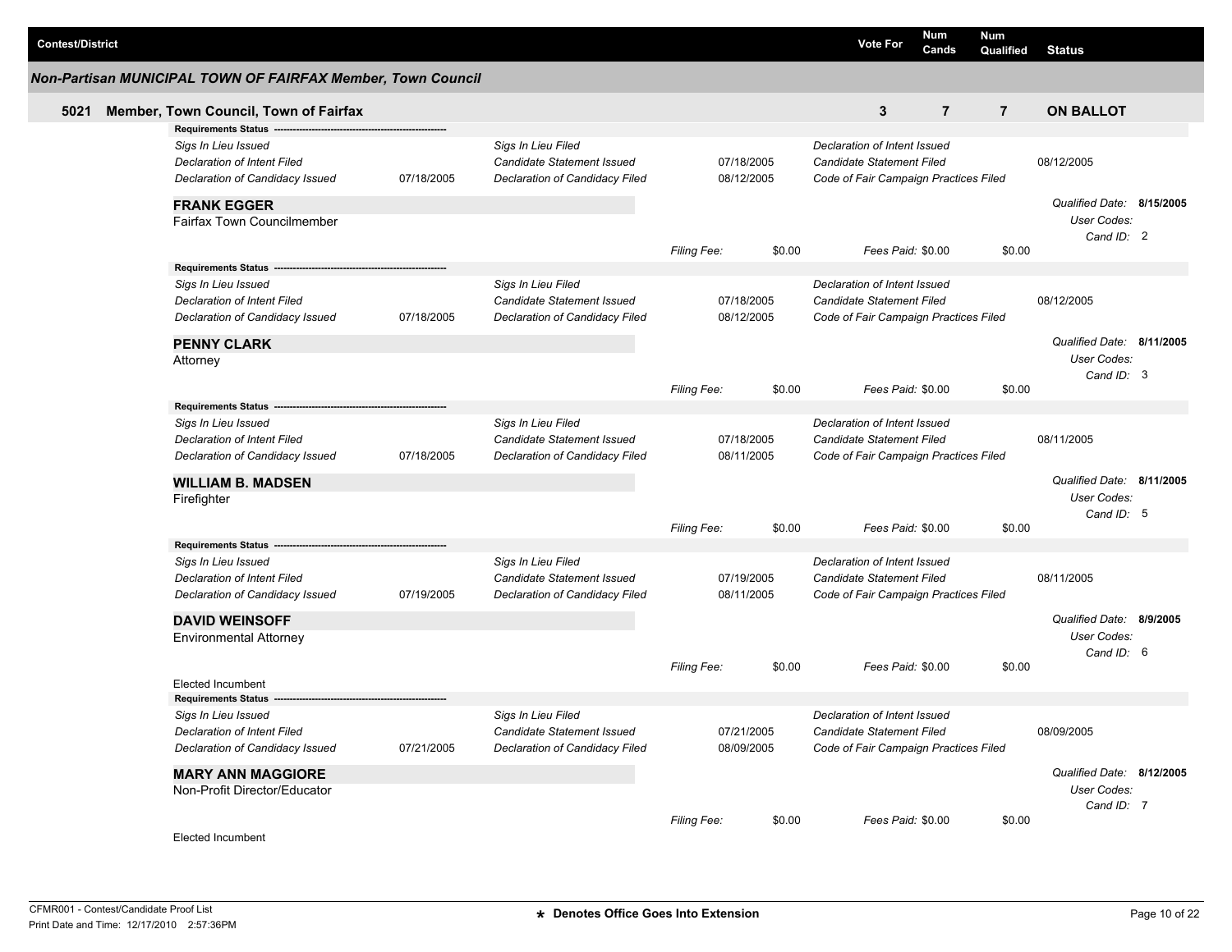| <b>Contest/District</b> |                                                             |            |                                |                    |            | <b>Vote For</b>                       | Num<br>Cands   | Num<br>Qualified | <b>Status</b>             |  |
|-------------------------|-------------------------------------------------------------|------------|--------------------------------|--------------------|------------|---------------------------------------|----------------|------------------|---------------------------|--|
|                         | Non-Partisan MUNICIPAL TOWN OF FAIRFAX Member, Town Council |            |                                |                    |            |                                       |                |                  |                           |  |
| 5021                    | Member, Town Council, Town of Fairfax                       |            |                                |                    |            | 3                                     | $\overline{7}$ | $\overline{7}$   | <b>ON BALLOT</b>          |  |
|                         | Requirements Status ----                                    |            |                                |                    |            |                                       |                |                  |                           |  |
|                         | Sigs In Lieu Issued                                         |            | Sigs In Lieu Filed             |                    |            | Declaration of Intent Issued          |                |                  |                           |  |
|                         | Declaration of Intent Filed                                 |            | Candidate Statement Issued     |                    | 07/18/2005 | Candidate Statement Filed             |                |                  | 08/12/2005                |  |
|                         | Declaration of Candidacy Issued                             | 07/18/2005 | Declaration of Candidacy Filed |                    | 08/12/2005 | Code of Fair Campaign Practices Filed |                |                  |                           |  |
|                         | <b>FRANK EGGER</b>                                          |            |                                |                    |            |                                       |                |                  | Qualified Date: 8/15/2005 |  |
|                         | <b>Fairfax Town Councilmember</b>                           |            |                                |                    |            |                                       |                |                  | User Codes:               |  |
|                         |                                                             |            |                                |                    |            |                                       |                |                  | Cand ID: 2                |  |
|                         |                                                             |            |                                | <b>Filing Fee:</b> | \$0.00     | Fees Paid: \$0.00                     |                | \$0.00           |                           |  |
|                         | Requirements Status ---                                     |            |                                |                    |            |                                       |                |                  |                           |  |
|                         | Sigs In Lieu Issued                                         |            | Sigs In Lieu Filed             |                    |            | Declaration of Intent Issued          |                |                  |                           |  |
|                         | <b>Declaration of Intent Filed</b>                          |            | Candidate Statement Issued     |                    | 07/18/2005 | Candidate Statement Filed             |                |                  | 08/12/2005                |  |
|                         | Declaration of Candidacy Issued                             | 07/18/2005 | Declaration of Candidacy Filed |                    | 08/12/2005 | Code of Fair Campaign Practices Filed |                |                  |                           |  |
|                         | <b>PENNY CLARK</b>                                          |            |                                |                    |            |                                       |                |                  | Qualified Date: 8/11/2005 |  |
|                         | Attorney                                                    |            |                                |                    |            |                                       |                |                  | User Codes:               |  |
|                         |                                                             |            |                                |                    |            |                                       |                |                  | Cand ID: 3                |  |
|                         |                                                             |            |                                | Filing Fee:        | \$0.00     | Fees Paid: \$0.00                     |                | \$0.00           |                           |  |
|                         | Requirements Status --                                      |            |                                |                    |            |                                       |                |                  |                           |  |
|                         | Sigs In Lieu Issued                                         |            | Sigs In Lieu Filed             |                    |            | Declaration of Intent Issued          |                |                  |                           |  |
|                         | Declaration of Intent Filed                                 |            | Candidate Statement Issued     |                    | 07/18/2005 | Candidate Statement Filed             |                |                  | 08/11/2005                |  |
|                         | Declaration of Candidacy Issued                             | 07/18/2005 | Declaration of Candidacy Filed |                    | 08/11/2005 | Code of Fair Campaign Practices Filed |                |                  |                           |  |
|                         | <b>WILLIAM B. MADSEN</b>                                    |            |                                |                    |            |                                       |                |                  | Qualified Date: 8/11/2005 |  |
|                         | Firefighter                                                 |            |                                |                    |            |                                       |                |                  | User Codes:               |  |
|                         |                                                             |            |                                |                    |            |                                       |                |                  | Cand ID: 5                |  |
|                         |                                                             |            |                                | <b>Filing Fee:</b> | \$0.00     | Fees Paid: \$0.00                     |                | \$0.00           |                           |  |
|                         | Requirements Status --                                      |            |                                |                    |            |                                       |                |                  |                           |  |
|                         | Sigs In Lieu Issued                                         |            | Sigs In Lieu Filed             |                    |            | Declaration of Intent Issued          |                |                  |                           |  |
|                         | <b>Declaration of Intent Filed</b>                          |            | Candidate Statement Issued     |                    | 07/19/2005 | Candidate Statement Filed             |                |                  | 08/11/2005                |  |
|                         | Declaration of Candidacy Issued                             | 07/19/2005 | Declaration of Candidacy Filed |                    | 08/11/2005 | Code of Fair Campaign Practices Filed |                |                  |                           |  |
|                         | <b>DAVID WEINSOFF</b>                                       |            |                                |                    |            |                                       |                |                  | Qualified Date: 8/9/2005  |  |
|                         | <b>Environmental Attorney</b>                               |            |                                |                    |            |                                       |                |                  | User Codes:               |  |
|                         |                                                             |            |                                |                    |            |                                       |                |                  | Cand ID: 6                |  |
|                         |                                                             |            |                                | <b>Filing Fee:</b> | \$0.00     | Fees Paid: \$0.00                     |                | \$0.00           |                           |  |
|                         | Elected Incumbent                                           |            |                                |                    |            |                                       |                |                  |                           |  |
|                         | Requirements Status -                                       |            |                                |                    |            |                                       |                |                  |                           |  |
|                         | Sigs In Lieu Issued                                         |            | Sigs In Lieu Filed             |                    |            | Declaration of Intent Issued          |                |                  |                           |  |
|                         | <b>Declaration of Intent Filed</b>                          |            | Candidate Statement Issued     |                    | 07/21/2005 | Candidate Statement Filed             |                |                  | 08/09/2005                |  |
|                         | Declaration of Candidacy Issued                             | 07/21/2005 | Declaration of Candidacy Filed |                    | 08/09/2005 | Code of Fair Campaign Practices Filed |                |                  |                           |  |
|                         | <b>MARY ANN MAGGIORE</b>                                    |            |                                |                    |            |                                       |                |                  | Qualified Date: 8/12/2005 |  |
|                         | Non-Profit Director/Educator                                |            |                                |                    |            |                                       |                |                  | User Codes:               |  |
|                         |                                                             |            |                                |                    |            |                                       |                |                  | Cand ID: 7                |  |
|                         |                                                             |            |                                | Filing Fee:        | \$0.00     | Fees Paid: \$0.00                     |                | \$0.00           |                           |  |
|                         | <b>Elected Incumbent</b>                                    |            |                                |                    |            |                                       |                |                  |                           |  |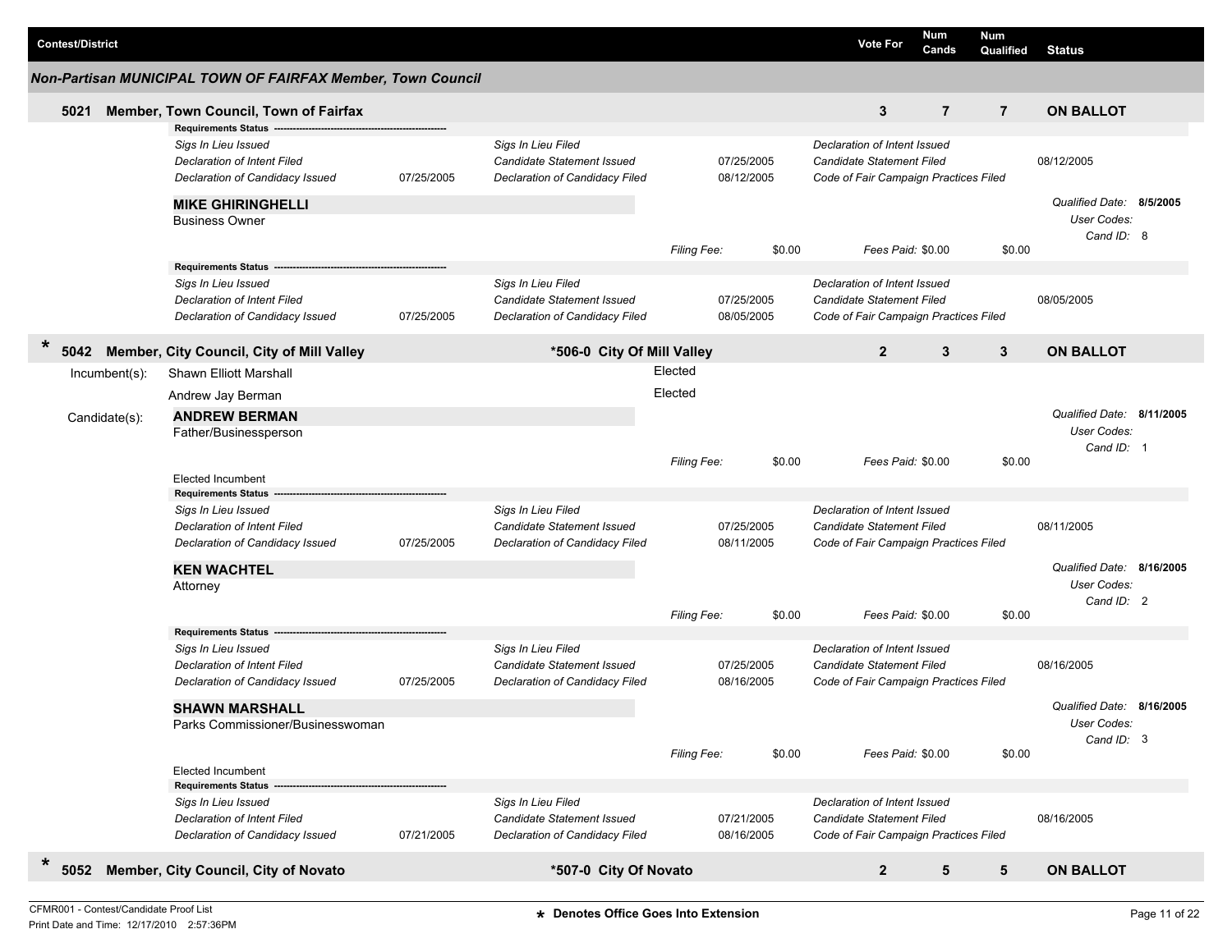| Non-Partisan MUNICIPAL TOWN OF FAIRFAX Member, Town Council<br>3<br>$\overline{7}$<br>$\overline{7}$<br><b>ON BALLOT</b><br>Member, Town Council, Town of Fairfax<br>5021<br><b>Requirements Status</b><br>Sigs In Lieu Filed<br>Sigs In Lieu Issued<br>Declaration of Intent Issued<br>Candidate Statement Issued<br>07/25/2005<br><b>Candidate Statement Filed</b><br>08/12/2005<br>Declaration of Intent Filed<br>07/25/2005<br>Declaration of Candidacy Filed<br>08/12/2005<br>Declaration of Candidacy Issued<br>Code of Fair Campaign Practices Filed<br>Qualified Date: 8/5/2005<br><b>MIKE GHIRINGHELLI</b><br>User Codes:<br><b>Business Owner</b><br>Cand ID: 8<br>\$0.00<br>Fees Paid: \$0.00<br>\$0.00<br><b>Filing Fee:</b><br><b>Requirements Status</b><br>Sigs In Lieu Filed<br>Sigs In Lieu Issued<br>Declaration of Intent Issued<br>Candidate Statement Issued<br>07/25/2005<br><b>Candidate Statement Filed</b><br>08/05/2005<br>Declaration of Intent Filed<br>Declaration of Candidacy Issued<br>07/25/2005<br>Declaration of Candidacy Filed<br>08/05/2005<br>Code of Fair Campaign Practices Filed<br>$\ast$<br>Member, City Council, City of Mill Valley<br>$\overline{2}$<br>3<br>5042<br>*506-0 City Of Mill Valley<br>3<br><b>ON BALLOT</b><br>Elected<br>Shawn Elliott Marshall<br>Incumbent(s):<br>Elected<br>Andrew Jay Berman<br>Qualified Date: 8/11/2005<br><b>ANDREW BERMAN</b><br>Candidate(s):<br>User Codes:<br>Father/Businessperson<br>Cand ID: 1<br>\$0.00<br>\$0.00<br>Fees Paid: \$0.00<br><b>Filing Fee:</b><br><b>Elected Incumbent</b><br><b>Requirements Status</b><br>Sigs In Lieu Filed<br>Declaration of Intent Issued<br>Sigs In Lieu Issued<br>Candidate Statement Issued<br>07/25/2005<br><b>Candidate Statement Filed</b><br>08/11/2005<br>Declaration of Intent Filed<br>07/25/2005<br>Declaration of Candidacy Filed<br>08/11/2005<br>Declaration of Candidacy Issued<br>Code of Fair Campaign Practices Filed<br>Qualified Date: 8/16/2005<br><b>KEN WACHTEL</b><br>User Codes:<br>Attorney<br>Cand ID: 2<br>\$0.00<br>Fees Paid: \$0.00<br>\$0.00<br>Filing Fee:<br><b>Requirements Status</b><br>Sigs In Lieu Filed<br>Declaration of Intent Issued<br>Sigs In Lieu Issued<br>Candidate Statement Issued<br>07/25/2005<br><b>Candidate Statement Filed</b><br>08/16/2005<br>Declaration of Intent Filed<br>07/25/2005<br>Declaration of Candidacy Filed<br>08/16/2005<br>Declaration of Candidacy Issued<br>Code of Fair Campaign Practices Filed<br>Qualified Date: 8/16/2005<br><b>SHAWN MARSHALL</b><br>Parks Commissioner/Businesswoman<br>User Codes:<br>Cand ID: 3<br>\$0.00<br>\$0.00<br>Filing Fee:<br>Fees Paid: \$0.00<br><b>Elected Incumbent</b><br><b>Requirements Status</b><br>Sigs In Lieu Filed<br>Declaration of Intent Issued<br>Sigs In Lieu Issued<br>08/16/2005<br>Candidate Statement Issued<br>07/21/2005<br>Candidate Statement Filed<br>Declaration of Intent Filed<br>Declaration of Candidacy Issued<br>07/21/2005<br>Declaration of Candidacy Filed<br>08/16/2005<br>Code of Fair Campaign Practices Filed<br>$\ast$<br>Member, City Council, City of Novato<br>*507-0 City Of Novato<br>$\overline{2}$<br>5<br>5<br>5052<br><b>ON BALLOT</b> | <b>Contest/District</b> |  |  |  | <b>Vote For</b> | Num<br>Cands | Num<br>Qualified | <b>Status</b> |  |
|---------------------------------------------------------------------------------------------------------------------------------------------------------------------------------------------------------------------------------------------------------------------------------------------------------------------------------------------------------------------------------------------------------------------------------------------------------------------------------------------------------------------------------------------------------------------------------------------------------------------------------------------------------------------------------------------------------------------------------------------------------------------------------------------------------------------------------------------------------------------------------------------------------------------------------------------------------------------------------------------------------------------------------------------------------------------------------------------------------------------------------------------------------------------------------------------------------------------------------------------------------------------------------------------------------------------------------------------------------------------------------------------------------------------------------------------------------------------------------------------------------------------------------------------------------------------------------------------------------------------------------------------------------------------------------------------------------------------------------------------------------------------------------------------------------------------------------------------------------------------------------------------------------------------------------------------------------------------------------------------------------------------------------------------------------------------------------------------------------------------------------------------------------------------------------------------------------------------------------------------------------------------------------------------------------------------------------------------------------------------------------------------------------------------------------------------------------------------------------------------------------------------------------------------------------------------------------------------------------------------------------------------------------------------------------------------------------------------------------------------------------------------------------------------------------------------------------------------------------------------------------------------------------------------------------------------------------------------------------------------------------------------------------------------------------------------------------------------------------------------------------------------------------------------------------------------------------------------------------------|-------------------------|--|--|--|-----------------|--------------|------------------|---------------|--|
|                                                                                                                                                                                                                                                                                                                                                                                                                                                                                                                                                                                                                                                                                                                                                                                                                                                                                                                                                                                                                                                                                                                                                                                                                                                                                                                                                                                                                                                                                                                                                                                                                                                                                                                                                                                                                                                                                                                                                                                                                                                                                                                                                                                                                                                                                                                                                                                                                                                                                                                                                                                                                                                                                                                                                                                                                                                                                                                                                                                                                                                                                                                                                                                                                                       |                         |  |  |  |                 |              |                  |               |  |
|                                                                                                                                                                                                                                                                                                                                                                                                                                                                                                                                                                                                                                                                                                                                                                                                                                                                                                                                                                                                                                                                                                                                                                                                                                                                                                                                                                                                                                                                                                                                                                                                                                                                                                                                                                                                                                                                                                                                                                                                                                                                                                                                                                                                                                                                                                                                                                                                                                                                                                                                                                                                                                                                                                                                                                                                                                                                                                                                                                                                                                                                                                                                                                                                                                       |                         |  |  |  |                 |              |                  |               |  |
|                                                                                                                                                                                                                                                                                                                                                                                                                                                                                                                                                                                                                                                                                                                                                                                                                                                                                                                                                                                                                                                                                                                                                                                                                                                                                                                                                                                                                                                                                                                                                                                                                                                                                                                                                                                                                                                                                                                                                                                                                                                                                                                                                                                                                                                                                                                                                                                                                                                                                                                                                                                                                                                                                                                                                                                                                                                                                                                                                                                                                                                                                                                                                                                                                                       |                         |  |  |  |                 |              |                  |               |  |
|                                                                                                                                                                                                                                                                                                                                                                                                                                                                                                                                                                                                                                                                                                                                                                                                                                                                                                                                                                                                                                                                                                                                                                                                                                                                                                                                                                                                                                                                                                                                                                                                                                                                                                                                                                                                                                                                                                                                                                                                                                                                                                                                                                                                                                                                                                                                                                                                                                                                                                                                                                                                                                                                                                                                                                                                                                                                                                                                                                                                                                                                                                                                                                                                                                       |                         |  |  |  |                 |              |                  |               |  |
|                                                                                                                                                                                                                                                                                                                                                                                                                                                                                                                                                                                                                                                                                                                                                                                                                                                                                                                                                                                                                                                                                                                                                                                                                                                                                                                                                                                                                                                                                                                                                                                                                                                                                                                                                                                                                                                                                                                                                                                                                                                                                                                                                                                                                                                                                                                                                                                                                                                                                                                                                                                                                                                                                                                                                                                                                                                                                                                                                                                                                                                                                                                                                                                                                                       |                         |  |  |  |                 |              |                  |               |  |
|                                                                                                                                                                                                                                                                                                                                                                                                                                                                                                                                                                                                                                                                                                                                                                                                                                                                                                                                                                                                                                                                                                                                                                                                                                                                                                                                                                                                                                                                                                                                                                                                                                                                                                                                                                                                                                                                                                                                                                                                                                                                                                                                                                                                                                                                                                                                                                                                                                                                                                                                                                                                                                                                                                                                                                                                                                                                                                                                                                                                                                                                                                                                                                                                                                       |                         |  |  |  |                 |              |                  |               |  |
|                                                                                                                                                                                                                                                                                                                                                                                                                                                                                                                                                                                                                                                                                                                                                                                                                                                                                                                                                                                                                                                                                                                                                                                                                                                                                                                                                                                                                                                                                                                                                                                                                                                                                                                                                                                                                                                                                                                                                                                                                                                                                                                                                                                                                                                                                                                                                                                                                                                                                                                                                                                                                                                                                                                                                                                                                                                                                                                                                                                                                                                                                                                                                                                                                                       |                         |  |  |  |                 |              |                  |               |  |
|                                                                                                                                                                                                                                                                                                                                                                                                                                                                                                                                                                                                                                                                                                                                                                                                                                                                                                                                                                                                                                                                                                                                                                                                                                                                                                                                                                                                                                                                                                                                                                                                                                                                                                                                                                                                                                                                                                                                                                                                                                                                                                                                                                                                                                                                                                                                                                                                                                                                                                                                                                                                                                                                                                                                                                                                                                                                                                                                                                                                                                                                                                                                                                                                                                       |                         |  |  |  |                 |              |                  |               |  |
|                                                                                                                                                                                                                                                                                                                                                                                                                                                                                                                                                                                                                                                                                                                                                                                                                                                                                                                                                                                                                                                                                                                                                                                                                                                                                                                                                                                                                                                                                                                                                                                                                                                                                                                                                                                                                                                                                                                                                                                                                                                                                                                                                                                                                                                                                                                                                                                                                                                                                                                                                                                                                                                                                                                                                                                                                                                                                                                                                                                                                                                                                                                                                                                                                                       |                         |  |  |  |                 |              |                  |               |  |
|                                                                                                                                                                                                                                                                                                                                                                                                                                                                                                                                                                                                                                                                                                                                                                                                                                                                                                                                                                                                                                                                                                                                                                                                                                                                                                                                                                                                                                                                                                                                                                                                                                                                                                                                                                                                                                                                                                                                                                                                                                                                                                                                                                                                                                                                                                                                                                                                                                                                                                                                                                                                                                                                                                                                                                                                                                                                                                                                                                                                                                                                                                                                                                                                                                       |                         |  |  |  |                 |              |                  |               |  |
|                                                                                                                                                                                                                                                                                                                                                                                                                                                                                                                                                                                                                                                                                                                                                                                                                                                                                                                                                                                                                                                                                                                                                                                                                                                                                                                                                                                                                                                                                                                                                                                                                                                                                                                                                                                                                                                                                                                                                                                                                                                                                                                                                                                                                                                                                                                                                                                                                                                                                                                                                                                                                                                                                                                                                                                                                                                                                                                                                                                                                                                                                                                                                                                                                                       |                         |  |  |  |                 |              |                  |               |  |
|                                                                                                                                                                                                                                                                                                                                                                                                                                                                                                                                                                                                                                                                                                                                                                                                                                                                                                                                                                                                                                                                                                                                                                                                                                                                                                                                                                                                                                                                                                                                                                                                                                                                                                                                                                                                                                                                                                                                                                                                                                                                                                                                                                                                                                                                                                                                                                                                                                                                                                                                                                                                                                                                                                                                                                                                                                                                                                                                                                                                                                                                                                                                                                                                                                       |                         |  |  |  |                 |              |                  |               |  |
|                                                                                                                                                                                                                                                                                                                                                                                                                                                                                                                                                                                                                                                                                                                                                                                                                                                                                                                                                                                                                                                                                                                                                                                                                                                                                                                                                                                                                                                                                                                                                                                                                                                                                                                                                                                                                                                                                                                                                                                                                                                                                                                                                                                                                                                                                                                                                                                                                                                                                                                                                                                                                                                                                                                                                                                                                                                                                                                                                                                                                                                                                                                                                                                                                                       |                         |  |  |  |                 |              |                  |               |  |
|                                                                                                                                                                                                                                                                                                                                                                                                                                                                                                                                                                                                                                                                                                                                                                                                                                                                                                                                                                                                                                                                                                                                                                                                                                                                                                                                                                                                                                                                                                                                                                                                                                                                                                                                                                                                                                                                                                                                                                                                                                                                                                                                                                                                                                                                                                                                                                                                                                                                                                                                                                                                                                                                                                                                                                                                                                                                                                                                                                                                                                                                                                                                                                                                                                       |                         |  |  |  |                 |              |                  |               |  |
|                                                                                                                                                                                                                                                                                                                                                                                                                                                                                                                                                                                                                                                                                                                                                                                                                                                                                                                                                                                                                                                                                                                                                                                                                                                                                                                                                                                                                                                                                                                                                                                                                                                                                                                                                                                                                                                                                                                                                                                                                                                                                                                                                                                                                                                                                                                                                                                                                                                                                                                                                                                                                                                                                                                                                                                                                                                                                                                                                                                                                                                                                                                                                                                                                                       |                         |  |  |  |                 |              |                  |               |  |
|                                                                                                                                                                                                                                                                                                                                                                                                                                                                                                                                                                                                                                                                                                                                                                                                                                                                                                                                                                                                                                                                                                                                                                                                                                                                                                                                                                                                                                                                                                                                                                                                                                                                                                                                                                                                                                                                                                                                                                                                                                                                                                                                                                                                                                                                                                                                                                                                                                                                                                                                                                                                                                                                                                                                                                                                                                                                                                                                                                                                                                                                                                                                                                                                                                       |                         |  |  |  |                 |              |                  |               |  |
|                                                                                                                                                                                                                                                                                                                                                                                                                                                                                                                                                                                                                                                                                                                                                                                                                                                                                                                                                                                                                                                                                                                                                                                                                                                                                                                                                                                                                                                                                                                                                                                                                                                                                                                                                                                                                                                                                                                                                                                                                                                                                                                                                                                                                                                                                                                                                                                                                                                                                                                                                                                                                                                                                                                                                                                                                                                                                                                                                                                                                                                                                                                                                                                                                                       |                         |  |  |  |                 |              |                  |               |  |
|                                                                                                                                                                                                                                                                                                                                                                                                                                                                                                                                                                                                                                                                                                                                                                                                                                                                                                                                                                                                                                                                                                                                                                                                                                                                                                                                                                                                                                                                                                                                                                                                                                                                                                                                                                                                                                                                                                                                                                                                                                                                                                                                                                                                                                                                                                                                                                                                                                                                                                                                                                                                                                                                                                                                                                                                                                                                                                                                                                                                                                                                                                                                                                                                                                       |                         |  |  |  |                 |              |                  |               |  |
|                                                                                                                                                                                                                                                                                                                                                                                                                                                                                                                                                                                                                                                                                                                                                                                                                                                                                                                                                                                                                                                                                                                                                                                                                                                                                                                                                                                                                                                                                                                                                                                                                                                                                                                                                                                                                                                                                                                                                                                                                                                                                                                                                                                                                                                                                                                                                                                                                                                                                                                                                                                                                                                                                                                                                                                                                                                                                                                                                                                                                                                                                                                                                                                                                                       |                         |  |  |  |                 |              |                  |               |  |
|                                                                                                                                                                                                                                                                                                                                                                                                                                                                                                                                                                                                                                                                                                                                                                                                                                                                                                                                                                                                                                                                                                                                                                                                                                                                                                                                                                                                                                                                                                                                                                                                                                                                                                                                                                                                                                                                                                                                                                                                                                                                                                                                                                                                                                                                                                                                                                                                                                                                                                                                                                                                                                                                                                                                                                                                                                                                                                                                                                                                                                                                                                                                                                                                                                       |                         |  |  |  |                 |              |                  |               |  |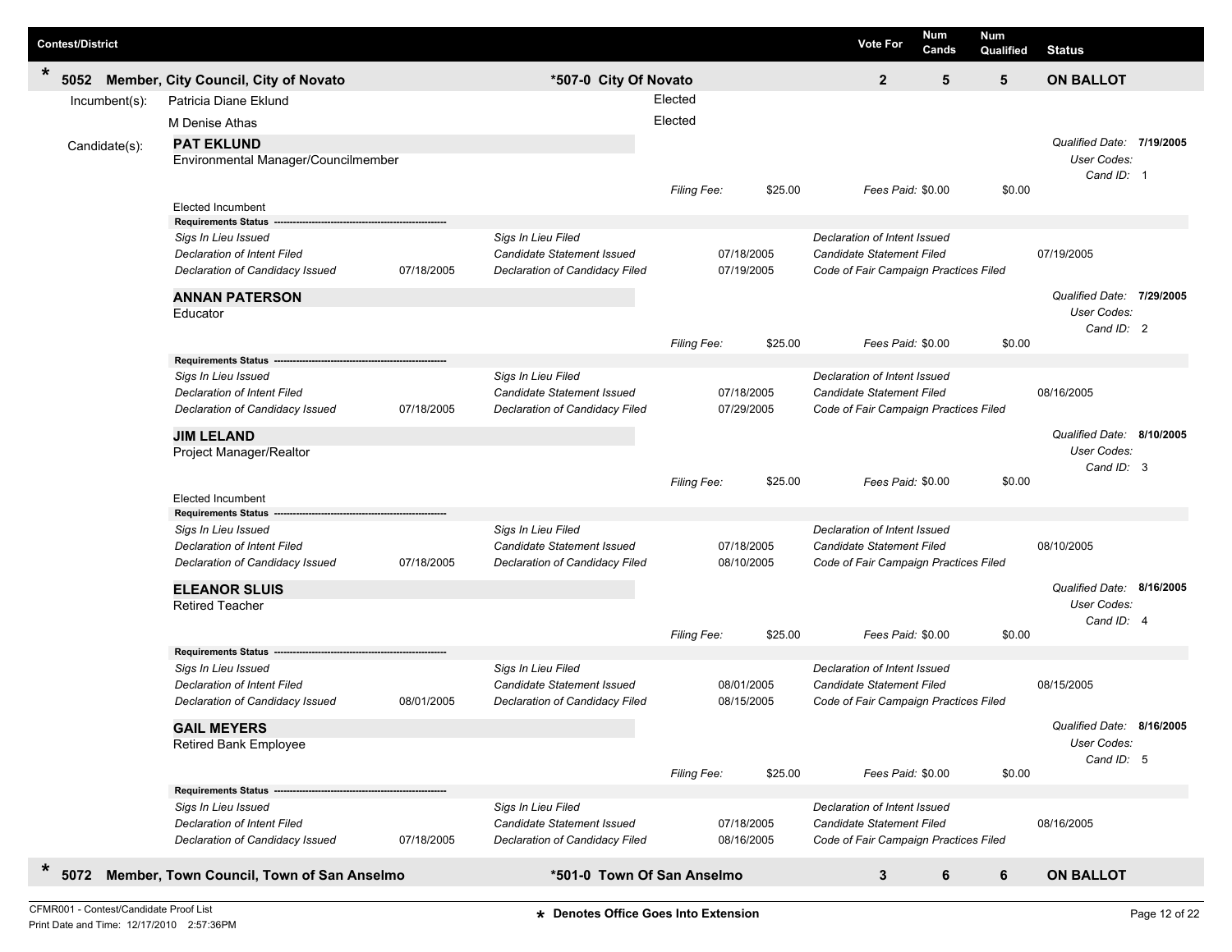| <b>Contest/District</b> |                  |                                           |            |                                   |             |            |         | <b>Vote For</b>                       | Num<br>Cands | <b>Num</b><br>Qualified | <b>Status</b>             |  |
|-------------------------|------------------|-------------------------------------------|------------|-----------------------------------|-------------|------------|---------|---------------------------------------|--------------|-------------------------|---------------------------|--|
| $\ast$<br>5052          |                  | Member, City Council, City of Novato      |            | *507-0 City Of Novato             |             |            |         | $\mathbf{2}$                          | 5            | 5                       | <b>ON BALLOT</b>          |  |
|                         | $Incumbent(s)$ : | Patricia Diane Eklund                     |            |                                   | Elected     |            |         |                                       |              |                         |                           |  |
|                         |                  | M Denise Athas                            |            |                                   | Elected     |            |         |                                       |              |                         |                           |  |
|                         | Candidate(s):    | <b>PAT EKLUND</b>                         |            |                                   |             |            |         |                                       |              |                         | Qualified Date: 7/19/2005 |  |
|                         |                  | Environmental Manager/Councilmember       |            |                                   |             |            |         |                                       |              |                         | User Codes:               |  |
|                         |                  |                                           |            |                                   | Filing Fee: |            | \$25.00 | Fees Paid: \$0.00                     |              | \$0.00                  | Cand ID: 1                |  |
|                         |                  | <b>Elected Incumbent</b>                  |            |                                   |             |            |         |                                       |              |                         |                           |  |
|                         |                  | <b>Requirements Status</b>                |            |                                   |             |            |         |                                       |              |                         |                           |  |
|                         |                  | Sigs In Lieu Issued                       |            | Sigs In Lieu Filed                |             |            |         | Declaration of Intent Issued          |              |                         |                           |  |
|                         |                  | Declaration of Intent Filed               |            | Candidate Statement Issued        |             | 07/18/2005 |         | <b>Candidate Statement Filed</b>      |              |                         | 07/19/2005                |  |
|                         |                  | Declaration of Candidacy Issued           | 07/18/2005 | Declaration of Candidacy Filed    |             | 07/19/2005 |         | Code of Fair Campaign Practices Filed |              |                         |                           |  |
|                         |                  | <b>ANNAN PATERSON</b>                     |            |                                   |             |            |         |                                       |              |                         | Qualified Date: 7/29/2005 |  |
|                         |                  | Educator                                  |            |                                   |             |            |         |                                       |              |                         | User Codes:<br>Cand ID: 2 |  |
|                         |                  |                                           |            |                                   | Filing Fee: |            | \$25.00 | Fees Paid: \$0.00                     |              | \$0.00                  |                           |  |
|                         |                  | <b>Requirements Status</b>                |            |                                   |             |            |         |                                       |              |                         |                           |  |
|                         |                  | Sigs In Lieu Issued                       |            | Sigs In Lieu Filed                |             |            |         | Declaration of Intent Issued          |              |                         |                           |  |
|                         |                  | Declaration of Intent Filed               |            | <b>Candidate Statement Issued</b> |             | 07/18/2005 |         | Candidate Statement Filed             |              |                         | 08/16/2005                |  |
|                         |                  | Declaration of Candidacy Issued           | 07/18/2005 | Declaration of Candidacy Filed    |             | 07/29/2005 |         | Code of Fair Campaign Practices Filed |              |                         |                           |  |
|                         |                  | <b>JIM LELAND</b>                         |            |                                   |             |            |         |                                       |              |                         | Qualified Date: 8/10/2005 |  |
|                         |                  | Project Manager/Realtor                   |            |                                   |             |            |         |                                       |              |                         | User Codes:               |  |
|                         |                  |                                           |            |                                   | Filing Fee: |            | \$25.00 | Fees Paid: \$0.00                     |              | \$0.00                  | Cand ID: 3                |  |
|                         |                  | <b>Elected Incumbent</b>                  |            |                                   |             |            |         |                                       |              |                         |                           |  |
|                         |                  | <b>Requirements Status</b>                |            |                                   |             |            |         |                                       |              |                         |                           |  |
|                         |                  | Sigs In Lieu Issued                       |            | Sigs In Lieu Filed                |             |            |         | Declaration of Intent Issued          |              |                         |                           |  |
|                         |                  | <b>Declaration of Intent Filed</b>        |            | <b>Candidate Statement Issued</b> |             | 07/18/2005 |         | Candidate Statement Filed             |              |                         | 08/10/2005                |  |
|                         |                  | Declaration of Candidacy Issued           | 07/18/2005 | Declaration of Candidacy Filed    |             | 08/10/2005 |         | Code of Fair Campaign Practices Filed |              |                         |                           |  |
|                         |                  | <b>ELEANOR SLUIS</b>                      |            |                                   |             |            |         |                                       |              |                         | Qualified Date: 8/16/2005 |  |
|                         |                  | <b>Retired Teacher</b>                    |            |                                   |             |            |         |                                       |              |                         | User Codes:<br>Cand ID: 4 |  |
|                         |                  |                                           |            |                                   | Filing Fee: |            | \$25.00 | Fees Paid: \$0.00                     |              | \$0.00                  |                           |  |
|                         |                  | <b>Requirements Status</b>                |            |                                   |             |            |         |                                       |              |                         |                           |  |
|                         |                  | Sigs In Lieu Issued                       |            | Sigs In Lieu Filed                |             |            |         | Declaration of Intent Issued          |              |                         |                           |  |
|                         |                  | <b>Declaration of Intent Filed</b>        |            | Candidate Statement Issued        |             | 08/01/2005 |         | Candidate Statement Filed             |              |                         | 08/15/2005                |  |
|                         |                  | Declaration of Candidacy Issued           | 08/01/2005 | Declaration of Candidacy Filed    |             | 08/15/2005 |         | Code of Fair Campaign Practices Filed |              |                         |                           |  |
|                         |                  | <b>GAIL MEYERS</b>                        |            |                                   |             |            |         |                                       |              |                         | Qualified Date: 8/16/2005 |  |
|                         |                  | Retired Bank Employee                     |            |                                   |             |            |         |                                       |              |                         | User Codes:<br>Cand ID: 5 |  |
|                         |                  |                                           |            |                                   | Filing Fee: |            | \$25.00 | Fees Paid: \$0.00                     |              | \$0.00                  |                           |  |
|                         |                  | <b>Requirements Status</b>                |            |                                   |             |            |         |                                       |              |                         |                           |  |
|                         |                  | Sigs In Lieu Issued                       |            | Sigs In Lieu Filed                |             |            |         | Declaration of Intent Issued          |              |                         |                           |  |
|                         |                  | Declaration of Intent Filed               |            | <b>Candidate Statement Issued</b> |             | 07/18/2005 |         | Candidate Statement Filed             |              |                         | 08/16/2005                |  |
|                         |                  | Declaration of Candidacy Issued           | 07/18/2005 | Declaration of Candidacy Filed    |             | 08/16/2005 |         | Code of Fair Campaign Practices Filed |              |                         |                           |  |
| *<br>5072               |                  | Member, Town Council, Town of San Anselmo |            | *501-0 Town Of San Anselmo        |             |            |         | 3                                     | 6            | 6                       | <b>ON BALLOT</b>          |  |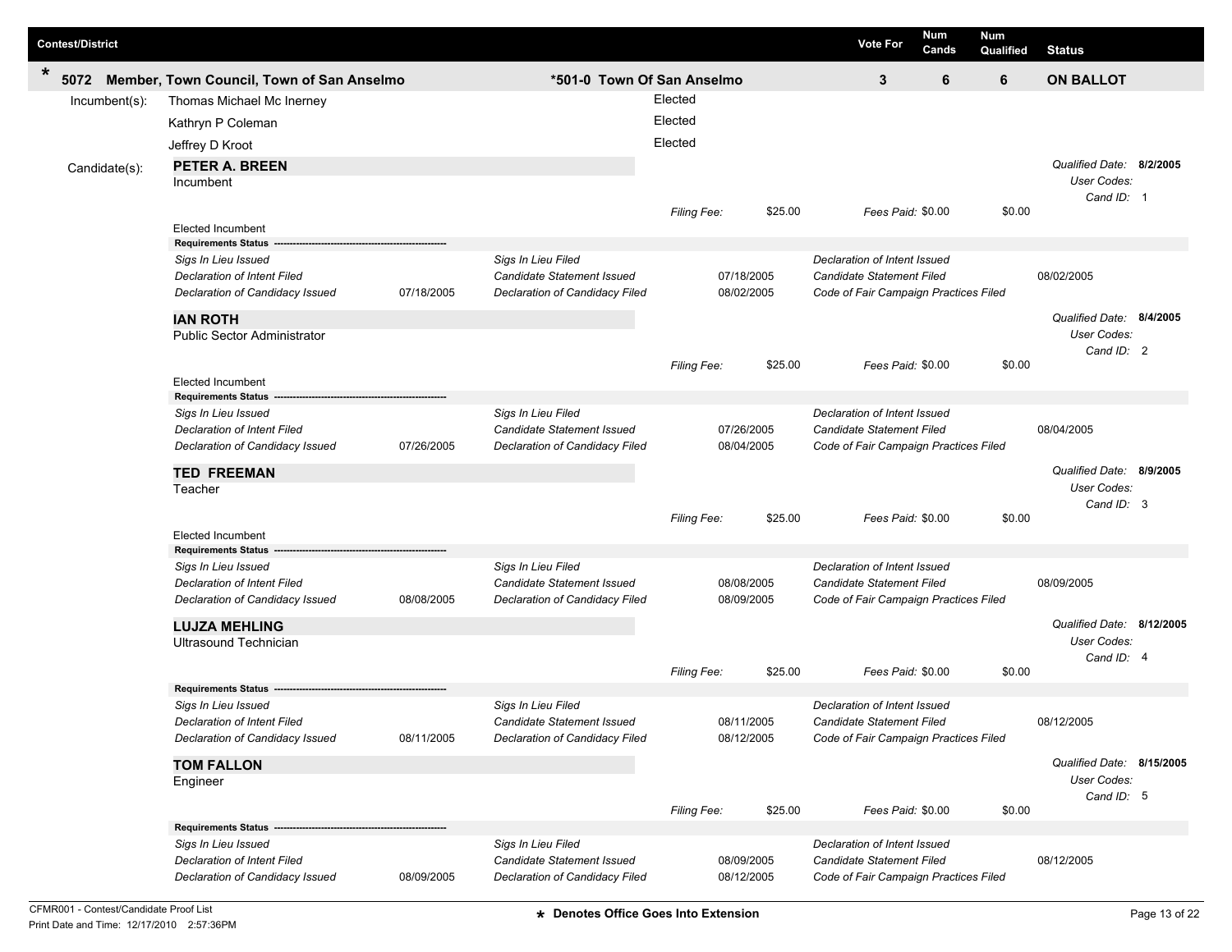| <b>Contest/District</b> |                                                           |            |                                                  |                    |            |         | <b>Vote For</b>                                                  | Num<br>Cands | Num<br>Qualified | <b>Status</b>                           |  |
|-------------------------|-----------------------------------------------------------|------------|--------------------------------------------------|--------------------|------------|---------|------------------------------------------------------------------|--------------|------------------|-----------------------------------------|--|
| $\ast$<br>5072          | Member, Town Council, Town of San Anselmo                 |            | *501-0 Town Of San Anselmo                       |                    |            |         | 3                                                                | 6            | 6                | <b>ON BALLOT</b>                        |  |
| Incumbent(s):           | Thomas Michael Mc Inerney                                 |            |                                                  | Elected            |            |         |                                                                  |              |                  |                                         |  |
|                         | Kathryn P Coleman                                         |            |                                                  | Elected            |            |         |                                                                  |              |                  |                                         |  |
|                         | Jeffrey D Kroot                                           |            |                                                  | Elected            |            |         |                                                                  |              |                  |                                         |  |
|                         |                                                           |            |                                                  |                    |            |         |                                                                  |              |                  |                                         |  |
| Candidate(s):           | <b>PETER A. BREEN</b><br><b>Incumbent</b>                 |            |                                                  |                    |            |         |                                                                  |              |                  | Qualified Date: 8/2/2005<br>User Codes: |  |
|                         |                                                           |            |                                                  |                    |            |         |                                                                  |              |                  | Cand ID: 1                              |  |
|                         |                                                           |            |                                                  | <b>Filing Fee:</b> |            | \$25.00 | Fees Paid: \$0.00                                                |              | \$0.00           |                                         |  |
|                         | <b>Elected Incumbent</b>                                  |            |                                                  |                    |            |         |                                                                  |              |                  |                                         |  |
|                         | <b>Requirements Status</b>                                |            |                                                  |                    |            |         |                                                                  |              |                  |                                         |  |
|                         | Sigs In Lieu Issued                                       |            | Sigs In Lieu Filed                               |                    |            |         | Declaration of Intent Issued                                     |              |                  |                                         |  |
|                         | <b>Declaration of Intent Filed</b>                        |            | Candidate Statement Issued                       |                    | 07/18/2005 |         | <b>Candidate Statement Filed</b>                                 |              |                  | 08/02/2005                              |  |
|                         | Declaration of Candidacy Issued                           | 07/18/2005 | Declaration of Candidacy Filed                   |                    | 08/02/2005 |         | Code of Fair Campaign Practices Filed                            |              |                  |                                         |  |
|                         | <b>IAN ROTH</b>                                           |            |                                                  |                    |            |         |                                                                  |              |                  | Qualified Date: 8/4/2005                |  |
|                         | <b>Public Sector Administrator</b>                        |            |                                                  |                    |            |         |                                                                  |              |                  | User Codes:                             |  |
|                         |                                                           |            |                                                  |                    |            |         |                                                                  |              |                  | Cand ID: 2                              |  |
|                         | <b>Elected Incumbent</b>                                  |            |                                                  | Filing Fee:        |            | \$25.00 | Fees Paid: \$0.00                                                |              | \$0.00           |                                         |  |
|                         | <b>Requirements Status</b>                                |            |                                                  |                    |            |         |                                                                  |              |                  |                                         |  |
|                         | Sigs In Lieu Issued                                       |            | Sigs In Lieu Filed                               |                    |            |         | Declaration of Intent Issued                                     |              |                  |                                         |  |
|                         | Declaration of Intent Filed                               |            | Candidate Statement Issued                       |                    | 07/26/2005 |         | <b>Candidate Statement Filed</b>                                 |              |                  | 08/04/2005                              |  |
|                         | Declaration of Candidacy Issued                           | 07/26/2005 | Declaration of Candidacy Filed                   |                    | 08/04/2005 |         | Code of Fair Campaign Practices Filed                            |              |                  |                                         |  |
|                         | <b>TED FREEMAN</b>                                        |            |                                                  |                    |            |         |                                                                  |              |                  | Qualified Date: 8/9/2005                |  |
|                         | Teacher                                                   |            |                                                  |                    |            |         |                                                                  |              |                  | User Codes:                             |  |
|                         |                                                           |            |                                                  |                    |            |         |                                                                  |              |                  | Cand ID: 3                              |  |
|                         |                                                           |            |                                                  | <b>Filing Fee:</b> |            | \$25.00 | Fees Paid: \$0.00                                                |              | \$0.00           |                                         |  |
|                         | <b>Elected Incumbent</b>                                  |            |                                                  |                    |            |         |                                                                  |              |                  |                                         |  |
|                         | <b>Requirements Status</b>                                |            |                                                  |                    |            |         |                                                                  |              |                  |                                         |  |
|                         | Sigs In Lieu Issued<br><b>Declaration of Intent Filed</b> |            | Sigs In Lieu Filed<br>Candidate Statement Issued |                    | 08/08/2005 |         | Declaration of Intent Issued<br><b>Candidate Statement Filed</b> |              |                  | 08/09/2005                              |  |
|                         | Declaration of Candidacy Issued                           | 08/08/2005 | Declaration of Candidacy Filed                   |                    | 08/09/2005 |         | Code of Fair Campaign Practices Filed                            |              |                  |                                         |  |
|                         |                                                           |            |                                                  |                    |            |         |                                                                  |              |                  |                                         |  |
|                         | <b>LUJZA MEHLING</b>                                      |            |                                                  |                    |            |         |                                                                  |              |                  | Qualified Date: 8/12/2005               |  |
|                         | Ultrasound Technician                                     |            |                                                  |                    |            |         |                                                                  |              |                  | User Codes:                             |  |
|                         |                                                           |            |                                                  | <b>Filing Fee:</b> |            | \$25.00 | Fees Paid: \$0.00                                                |              | \$0.00           | Cand ID: 4                              |  |
|                         | <b>Requirements Status</b>                                |            |                                                  |                    |            |         |                                                                  |              |                  |                                         |  |
|                         | Sigs In Lieu Issued                                       |            | Sigs In Lieu Filed                               |                    |            |         | Declaration of Intent Issued                                     |              |                  |                                         |  |
|                         | Declaration of Intent Filed                               |            | Candidate Statement Issued                       |                    | 08/11/2005 |         | Candidate Statement Filed                                        |              |                  | 08/12/2005                              |  |
|                         | Declaration of Candidacy Issued                           | 08/11/2005 | Declaration of Candidacy Filed                   |                    | 08/12/2005 |         | Code of Fair Campaign Practices Filed                            |              |                  |                                         |  |
|                         | <b>TOM FALLON</b>                                         |            |                                                  |                    |            |         |                                                                  |              |                  | Qualified Date: 8/15/2005               |  |
|                         | Engineer                                                  |            |                                                  |                    |            |         |                                                                  |              |                  | User Codes:                             |  |
|                         |                                                           |            |                                                  |                    |            |         |                                                                  |              |                  | Cand ID: 5                              |  |
|                         |                                                           |            |                                                  | Filing Fee:        |            | \$25.00 | Fees Paid: \$0.00                                                |              | \$0.00           |                                         |  |
|                         | <b>Requirements Status</b>                                |            |                                                  |                    |            |         |                                                                  |              |                  |                                         |  |
|                         | Sigs In Lieu Issued                                       |            | Sigs In Lieu Filed                               |                    |            |         | Declaration of Intent Issued                                     |              |                  |                                         |  |
|                         | Declaration of Intent Filed                               |            | Candidate Statement Issued                       |                    | 08/09/2005 |         | Candidate Statement Filed                                        |              |                  | 08/12/2005                              |  |
|                         | Declaration of Candidacy Issued                           | 08/09/2005 | Declaration of Candidacy Filed                   |                    | 08/12/2005 |         | Code of Fair Campaign Practices Filed                            |              |                  |                                         |  |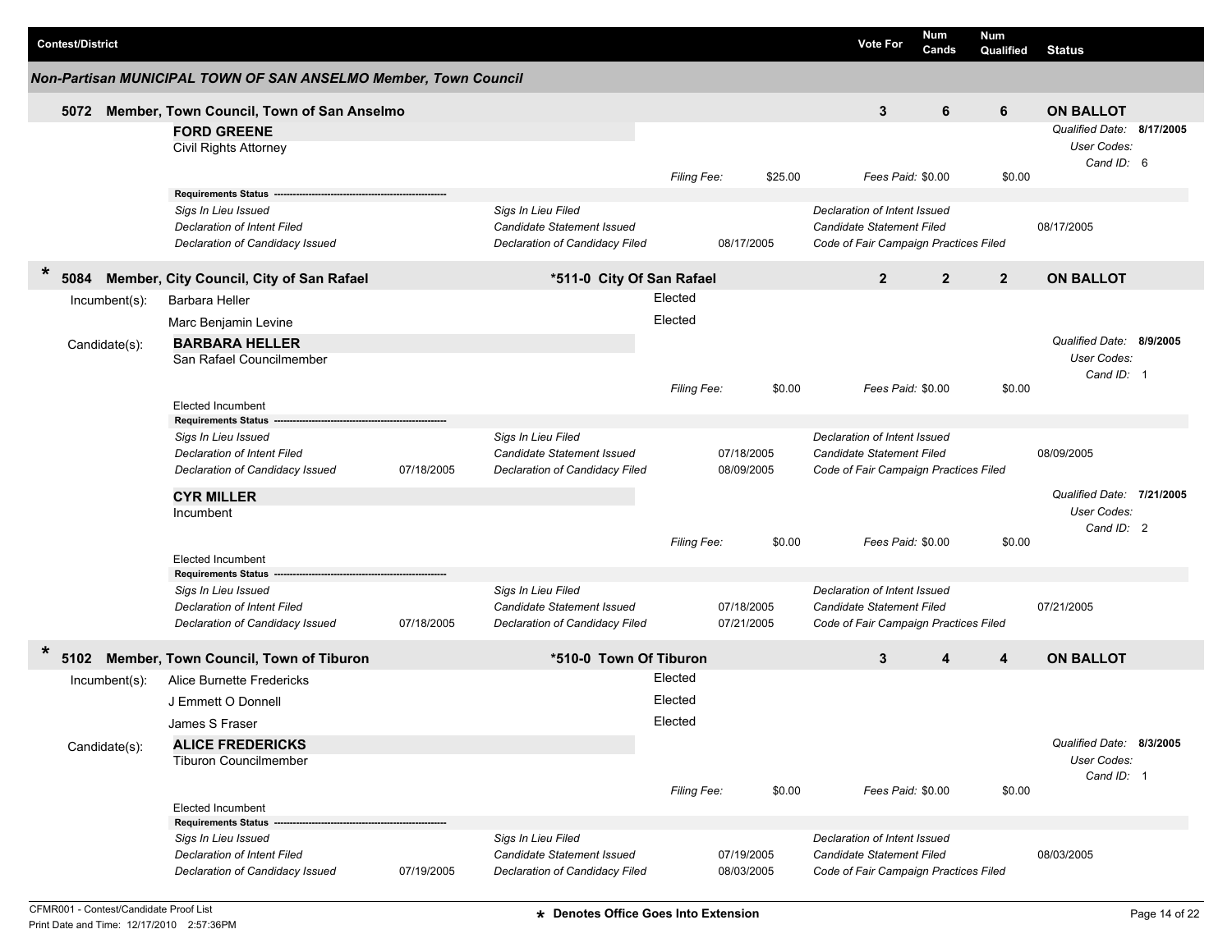| <b>Contest/District</b> |                                                                 |            |                                                              |                    |                          |         | <b>Vote For</b>                                                           | Num<br>Cands   | <b>Num</b><br>Qualified | <b>Status</b>             |  |
|-------------------------|-----------------------------------------------------------------|------------|--------------------------------------------------------------|--------------------|--------------------------|---------|---------------------------------------------------------------------------|----------------|-------------------------|---------------------------|--|
|                         | Non-Partisan MUNICIPAL TOWN OF SAN ANSELMO Member, Town Council |            |                                                              |                    |                          |         |                                                                           |                |                         |                           |  |
| 5072                    | Member, Town Council, Town of San Anselmo                       |            |                                                              |                    |                          |         | 3                                                                         | 6              | 6                       | <b>ON BALLOT</b>          |  |
|                         | <b>FORD GREENE</b>                                              |            |                                                              |                    |                          |         |                                                                           |                |                         | Qualified Date: 8/17/2005 |  |
|                         | <b>Civil Rights Attorney</b>                                    |            |                                                              |                    |                          |         |                                                                           |                |                         | User Codes:               |  |
|                         |                                                                 |            |                                                              |                    |                          |         |                                                                           |                |                         | Cand ID: 6                |  |
|                         |                                                                 |            |                                                              | Filing Fee:        |                          | \$25.00 | Fees Paid: \$0.00                                                         |                | \$0.00                  |                           |  |
|                         | <b>Requirements Status</b>                                      |            |                                                              |                    |                          |         |                                                                           |                |                         |                           |  |
|                         | Sigs In Lieu Issued                                             |            | Sigs In Lieu Filed                                           |                    |                          |         | Declaration of Intent Issued                                              |                |                         |                           |  |
|                         | Declaration of Intent Filed                                     |            | <b>Candidate Statement Issued</b>                            |                    |                          |         | <b>Candidate Statement Filed</b>                                          |                |                         | 08/17/2005                |  |
|                         | Declaration of Candidacy Issued                                 |            | Declaration of Candidacy Filed                               |                    | 08/17/2005               |         | Code of Fair Campaign Practices Filed                                     |                |                         |                           |  |
| $\ast$<br>5084          | Member, City Council, City of San Rafael                        |            | *511-0 City Of San Rafael                                    |                    |                          |         | $\overline{2}$                                                            | $\overline{2}$ | $\overline{2}$          | <b>ON BALLOT</b>          |  |
| $Incumbent(s)$ :        | <b>Barbara Heller</b>                                           |            |                                                              | Elected            |                          |         |                                                                           |                |                         |                           |  |
|                         | Marc Benjamin Levine                                            |            |                                                              | Elected            |                          |         |                                                                           |                |                         |                           |  |
| Candidate(s):           | <b>BARBARA HELLER</b>                                           |            |                                                              |                    |                          |         |                                                                           |                |                         | Qualified Date: 8/9/2005  |  |
|                         | San Rafael Councilmember                                        |            |                                                              |                    |                          |         |                                                                           |                |                         | User Codes:               |  |
|                         |                                                                 |            |                                                              |                    |                          |         |                                                                           |                |                         | Cand ID: 1                |  |
|                         | <b>Elected Incumbent</b>                                        |            |                                                              | Filing Fee:        |                          | \$0.00  | Fees Paid: \$0.00                                                         |                | \$0.00                  |                           |  |
|                         | <b>Requirements Status</b>                                      |            |                                                              |                    |                          |         |                                                                           |                |                         |                           |  |
|                         | Sigs In Lieu Issued                                             |            | Sigs In Lieu Filed                                           |                    |                          |         | Declaration of Intent Issued                                              |                |                         |                           |  |
|                         | Declaration of Intent Filed                                     |            | <b>Candidate Statement Issued</b>                            |                    | 07/18/2005               |         | <b>Candidate Statement Filed</b>                                          |                |                         | 08/09/2005                |  |
|                         | Declaration of Candidacy Issued                                 | 07/18/2005 | Declaration of Candidacy Filed                               |                    | 08/09/2005               |         | Code of Fair Campaign Practices Filed                                     |                |                         |                           |  |
|                         | <b>CYR MILLER</b>                                               |            |                                                              |                    |                          |         |                                                                           |                |                         | Qualified Date: 7/21/2005 |  |
|                         | Incumbent                                                       |            |                                                              |                    |                          |         |                                                                           |                |                         | User Codes:               |  |
|                         |                                                                 |            |                                                              |                    |                          |         |                                                                           |                |                         | Cand ID: 2                |  |
|                         |                                                                 |            |                                                              | <b>Filing Fee:</b> |                          | \$0.00  | Fees Paid: \$0.00                                                         |                | \$0.00                  |                           |  |
|                         | <b>Elected Incumbent</b>                                        |            |                                                              |                    |                          |         |                                                                           |                |                         |                           |  |
|                         | <b>Requirements Status</b>                                      |            |                                                              |                    |                          |         |                                                                           |                |                         |                           |  |
|                         | Sigs In Lieu Issued                                             |            | Sigs In Lieu Filed                                           |                    |                          |         | Declaration of Intent Issued                                              |                |                         |                           |  |
|                         | Declaration of Intent Filed<br>Declaration of Candidacy Issued  | 07/18/2005 | Candidate Statement Issued<br>Declaration of Candidacy Filed |                    | 07/18/2005<br>07/21/2005 |         | <b>Candidate Statement Filed</b><br>Code of Fair Campaign Practices Filed |                |                         | 07/21/2005                |  |
|                         |                                                                 |            |                                                              |                    |                          |         |                                                                           |                |                         |                           |  |
| *<br>5102               | Member, Town Council, Town of Tiburon                           |            | *510-0 Town Of Tiburon                                       |                    |                          |         | 3                                                                         | 4              | 4                       | <b>ON BALLOT</b>          |  |
| Incumbent(s):           | Alice Burnette Fredericks                                       |            |                                                              | Elected            |                          |         |                                                                           |                |                         |                           |  |
|                         | J Emmett O Donnell                                              |            |                                                              | Elected            |                          |         |                                                                           |                |                         |                           |  |
|                         | James S Fraser                                                  |            |                                                              | Elected            |                          |         |                                                                           |                |                         |                           |  |
| Candidate(s):           | <b>ALICE FREDERICKS</b>                                         |            |                                                              |                    |                          |         |                                                                           |                |                         | Qualified Date: 8/3/2005  |  |
|                         | <b>Tiburon Councilmember</b>                                    |            |                                                              |                    |                          |         |                                                                           |                |                         | User Codes:               |  |
|                         |                                                                 |            |                                                              |                    |                          |         |                                                                           |                |                         | Cand ID: 1                |  |
|                         | <b>Elected Incumbent</b>                                        |            |                                                              | Filing Fee:        |                          | \$0.00  | Fees Paid: \$0.00                                                         |                | \$0.00                  |                           |  |
|                         | <b>Requirements Status</b>                                      |            |                                                              |                    |                          |         |                                                                           |                |                         |                           |  |
|                         | Sigs In Lieu Issued                                             |            | Sigs In Lieu Filed                                           |                    |                          |         | Declaration of Intent Issued                                              |                |                         |                           |  |
|                         | Declaration of Intent Filed                                     |            | <b>Candidate Statement Issued</b>                            |                    | 07/19/2005               |         | <b>Candidate Statement Filed</b>                                          |                |                         | 08/03/2005                |  |
|                         | Declaration of Candidacy Issued                                 | 07/19/2005 | Declaration of Candidacy Filed                               |                    | 08/03/2005               |         | Code of Fair Campaign Practices Filed                                     |                |                         |                           |  |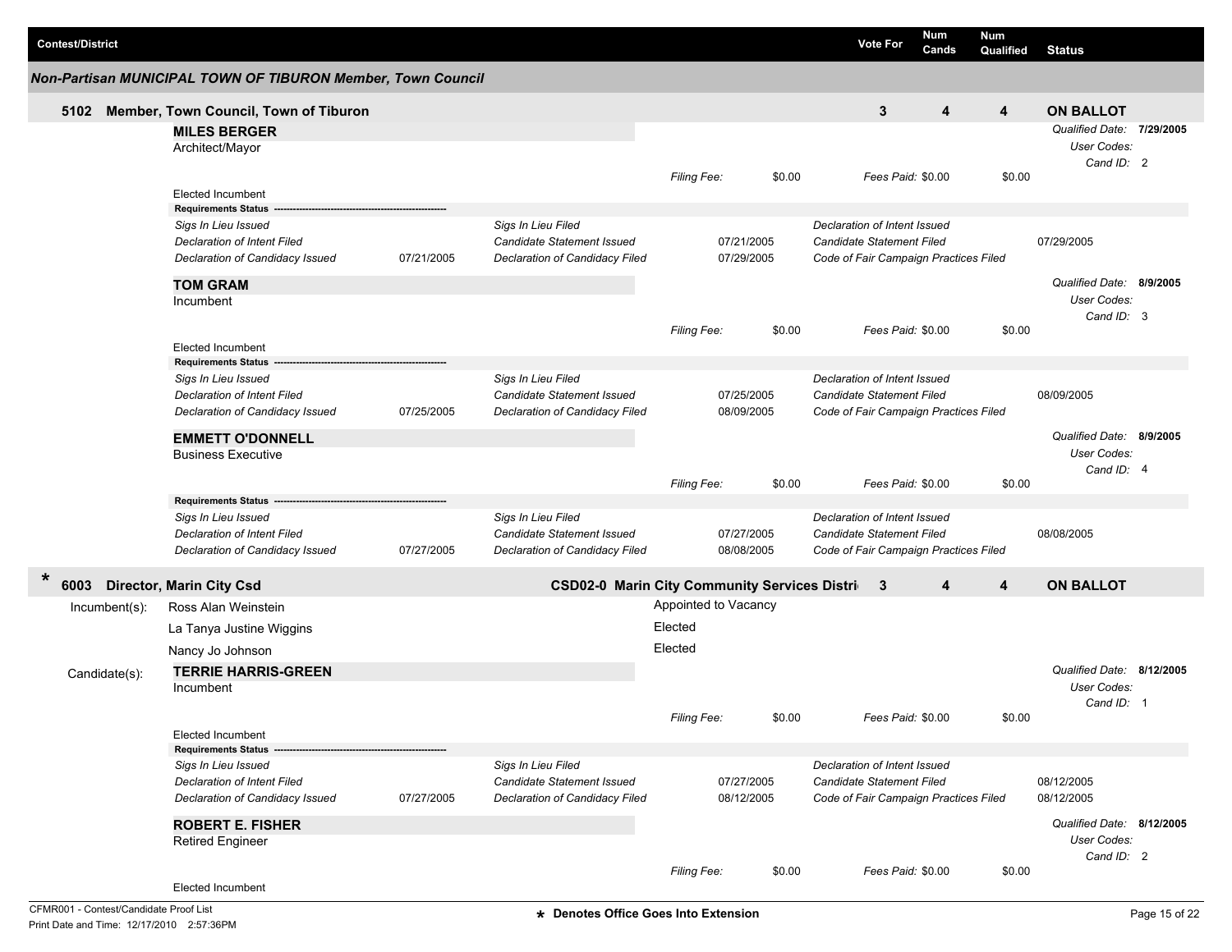| <b>Contest/District</b> |                  |                                                             |            |                                                        |                    |                      |        | <b>Vote For</b>                       | <b>Num</b><br>Cands | Num<br>Qualified | <b>Status</b>             |  |
|-------------------------|------------------|-------------------------------------------------------------|------------|--------------------------------------------------------|--------------------|----------------------|--------|---------------------------------------|---------------------|------------------|---------------------------|--|
|                         |                  | Non-Partisan MUNICIPAL TOWN OF TIBURON Member, Town Council |            |                                                        |                    |                      |        |                                       |                     |                  |                           |  |
| 5102                    |                  | Member, Town Council, Town of Tiburon                       |            |                                                        |                    |                      |        | 3                                     | $\boldsymbol{4}$    | 4                | <b>ON BALLOT</b>          |  |
|                         |                  | <b>MILES BERGER</b>                                         |            |                                                        |                    |                      |        |                                       |                     |                  | Qualified Date: 7/29/2005 |  |
|                         |                  | Architect/Mayor                                             |            |                                                        |                    |                      |        |                                       |                     |                  | User Codes:               |  |
|                         |                  |                                                             |            |                                                        |                    |                      | \$0.00 | Fees Paid: \$0.00                     |                     | \$0.00           | Cand ID: 2                |  |
|                         |                  | <b>Elected Incumbent</b>                                    |            |                                                        | Filing Fee:        |                      |        |                                       |                     |                  |                           |  |
|                         |                  | <b>Requirements Status</b>                                  |            |                                                        |                    |                      |        |                                       |                     |                  |                           |  |
|                         |                  | Sigs In Lieu Issued                                         |            | Sigs In Lieu Filed                                     |                    |                      |        | Declaration of Intent Issued          |                     |                  |                           |  |
|                         |                  | <b>Declaration of Intent Filed</b>                          |            | <b>Candidate Statement Issued</b>                      |                    | 07/21/2005           |        | <b>Candidate Statement Filed</b>      |                     |                  | 07/29/2005                |  |
|                         |                  | Declaration of Candidacy Issued                             | 07/21/2005 | Declaration of Candidacy Filed                         |                    | 07/29/2005           |        | Code of Fair Campaign Practices Filed |                     |                  |                           |  |
|                         |                  | <b>TOM GRAM</b>                                             |            |                                                        |                    |                      |        |                                       |                     |                  | Qualified Date: 8/9/2005  |  |
|                         |                  | Incumbent                                                   |            |                                                        |                    |                      |        |                                       |                     |                  | User Codes:               |  |
|                         |                  |                                                             |            |                                                        | <b>Filing Fee:</b> |                      | \$0.00 | Fees Paid: \$0.00                     |                     | \$0.00           | Cand ID: 3                |  |
|                         |                  | Elected Incumbent                                           |            |                                                        |                    |                      |        |                                       |                     |                  |                           |  |
|                         |                  | <b>Requirements Status</b>                                  |            |                                                        |                    |                      |        |                                       |                     |                  |                           |  |
|                         |                  | Sigs In Lieu Issued                                         |            | Sigs In Lieu Filed                                     |                    |                      |        | Declaration of Intent Issued          |                     |                  |                           |  |
|                         |                  | <b>Declaration of Intent Filed</b>                          |            | <b>Candidate Statement Issued</b>                      |                    | 07/25/2005           |        | <b>Candidate Statement Filed</b>      |                     |                  | 08/09/2005                |  |
|                         |                  | Declaration of Candidacy Issued                             | 07/25/2005 | Declaration of Candidacy Filed                         |                    | 08/09/2005           |        | Code of Fair Campaign Practices Filed |                     |                  |                           |  |
|                         |                  | <b>EMMETT O'DONNELL</b>                                     |            |                                                        |                    |                      |        |                                       |                     |                  | Qualified Date: 8/9/2005  |  |
|                         |                  | <b>Business Executive</b>                                   |            |                                                        |                    |                      |        |                                       |                     |                  | User Codes:               |  |
|                         |                  |                                                             |            |                                                        | Filing Fee:        |                      | \$0.00 | Fees Paid: \$0.00                     |                     | \$0.00           | Cand ID: 4                |  |
|                         |                  | <b>Requirements Status</b>                                  |            |                                                        |                    |                      |        |                                       |                     |                  |                           |  |
|                         |                  | Sigs In Lieu Issued                                         |            | Sigs In Lieu Filed                                     |                    |                      |        | Declaration of Intent Issued          |                     |                  |                           |  |
|                         |                  | Declaration of Intent Filed                                 |            | Candidate Statement Issued                             |                    | 07/27/2005           |        | Candidate Statement Filed             |                     |                  | 08/08/2005                |  |
|                         |                  | Declaration of Candidacy Issued                             | 07/27/2005 | Declaration of Candidacy Filed                         |                    | 08/08/2005           |        | Code of Fair Campaign Practices Filed |                     |                  |                           |  |
| $\star$<br>6003         |                  | <b>Director, Marin City Csd</b>                             |            | <b>CSD02-0 Marin City Community Services Districal</b> |                    |                      |        | -3                                    | 4                   | 4                | <b>ON BALLOT</b>          |  |
|                         | $Incumbent(s)$ : | Ross Alan Weinstein                                         |            |                                                        |                    | Appointed to Vacancy |        |                                       |                     |                  |                           |  |
|                         |                  | La Tanya Justine Wiggins                                    |            |                                                        | Elected            |                      |        |                                       |                     |                  |                           |  |
|                         |                  | Nancy Jo Johnson                                            |            |                                                        | Elected            |                      |        |                                       |                     |                  |                           |  |
|                         |                  | <b>TERRIE HARRIS-GREEN</b>                                  |            |                                                        |                    |                      |        |                                       |                     |                  | Qualified Date: 8/12/2005 |  |
|                         | Candidate(s):    | Incumbent                                                   |            |                                                        |                    |                      |        |                                       |                     |                  | User Codes:               |  |
|                         |                  |                                                             |            |                                                        |                    |                      |        |                                       |                     |                  | Cand ID: 1                |  |
|                         |                  |                                                             |            |                                                        | Filing Fee:        |                      | \$0.00 | Fees Paid: \$0.00                     |                     | \$0.00           |                           |  |
|                         |                  | Elected Incumbent                                           |            |                                                        |                    |                      |        |                                       |                     |                  |                           |  |
|                         |                  | <b>Requirements Status</b><br>Sigs In Lieu Issued           |            | Sigs In Lieu Filed                                     |                    |                      |        | Declaration of Intent Issued          |                     |                  |                           |  |
|                         |                  | Declaration of Intent Filed                                 |            | <b>Candidate Statement Issued</b>                      |                    | 07/27/2005           |        | Candidate Statement Filed             |                     |                  | 08/12/2005                |  |
|                         |                  | Declaration of Candidacy Issued                             | 07/27/2005 | Declaration of Candidacy Filed                         |                    | 08/12/2005           |        | Code of Fair Campaign Practices Filed |                     |                  | 08/12/2005                |  |
|                         |                  | <b>ROBERT E. FISHER</b>                                     |            |                                                        |                    |                      |        |                                       |                     |                  | Qualified Date: 8/12/2005 |  |
|                         |                  | <b>Retired Engineer</b>                                     |            |                                                        |                    |                      |        |                                       |                     |                  | User Codes:               |  |
|                         |                  |                                                             |            |                                                        |                    |                      |        |                                       |                     |                  | Cand ID: 2                |  |
|                         |                  |                                                             |            |                                                        | Filing Fee:        |                      | \$0.00 | Fees Paid: \$0.00                     |                     | \$0.00           |                           |  |
|                         |                  | Elected Incumbent                                           |            |                                                        |                    |                      |        |                                       |                     |                  |                           |  |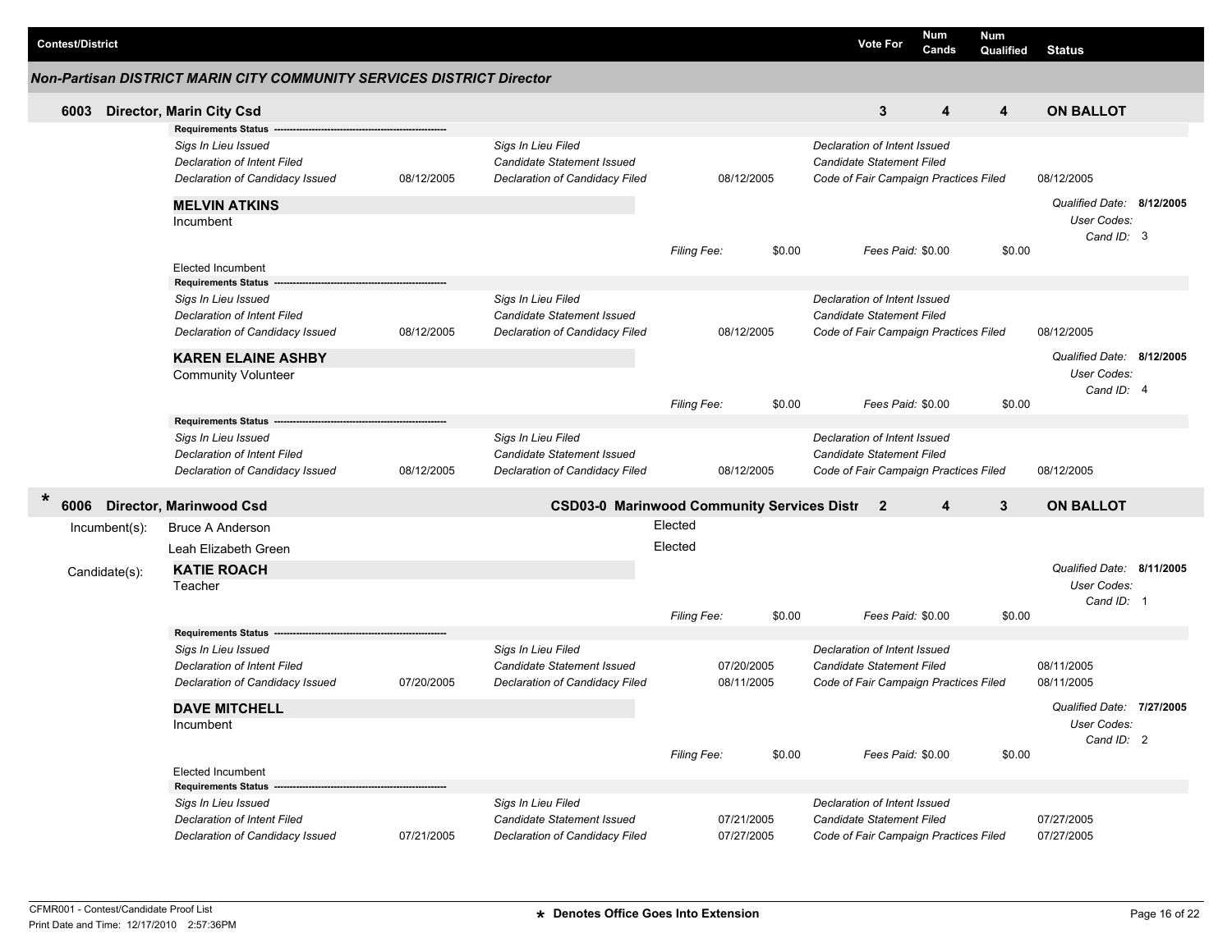| <b>Contest/District</b> |                  |                                                                                                                                                         |            |                                                                                           |                        |                          | <b>Vote For</b>                                                                                           | Num<br>Cands                          | <b>Num</b><br>Qualified | <b>Status</b>                                          |  |
|-------------------------|------------------|---------------------------------------------------------------------------------------------------------------------------------------------------------|------------|-------------------------------------------------------------------------------------------|------------------------|--------------------------|-----------------------------------------------------------------------------------------------------------|---------------------------------------|-------------------------|--------------------------------------------------------|--|
|                         |                  | <b>Non-Partisan DISTRICT MARIN CITY COMMUNITY SERVICES DISTRICT Director</b>                                                                            |            |                                                                                           |                        |                          |                                                                                                           |                                       |                         |                                                        |  |
| 6003                    |                  | Director, Marin City Csd                                                                                                                                |            |                                                                                           |                        |                          | 3                                                                                                         | 4                                     | $\overline{\mathbf{4}}$ | <b>ON BALLOT</b>                                       |  |
|                         |                  | <b>Requirements Status</b><br>Sigs In Lieu Issued<br><b>Declaration of Intent Filed</b><br>Declaration of Candidacy Issued                              | 08/12/2005 | Sigs In Lieu Filed<br><b>Candidate Statement Issued</b><br>Declaration of Candidacy Filed |                        | 08/12/2005               | Declaration of Intent Issued<br>Candidate Statement Filed                                                 | Code of Fair Campaign Practices Filed |                         | 08/12/2005                                             |  |
|                         |                  | <b>MELVIN ATKINS</b><br>Incumbent                                                                                                                       |            |                                                                                           | Filing Fee:            | \$0.00                   |                                                                                                           | Fees Paid: \$0.00                     | \$0.00                  | Qualified Date: 8/12/2005<br>User Codes:<br>Cand ID: 3 |  |
|                         |                  | <b>Elected Incumbent</b>                                                                                                                                |            |                                                                                           |                        |                          |                                                                                                           |                                       |                         |                                                        |  |
|                         |                  | <b>Requirements Status</b><br>Sigs In Lieu Issued<br><b>Declaration of Intent Filed</b><br>Declaration of Candidacy Issued<br><b>KAREN ELAINE ASHBY</b> | 08/12/2005 | Sigs In Lieu Filed<br><b>Candidate Statement Issued</b><br>Declaration of Candidacy Filed |                        | 08/12/2005               | Declaration of Intent Issued<br>Candidate Statement Filed<br>Code of Fair Campaign Practices Filed        |                                       |                         | 08/12/2005<br>Qualified Date: 8/12/2005                |  |
|                         |                  | <b>Community Volunteer</b>                                                                                                                              |            |                                                                                           | Filing Fee:            | \$0.00                   |                                                                                                           | Fees Paid: \$0.00                     | \$0.00                  | User Codes:<br>Cand ID: 4                              |  |
|                         |                  | <b>Requirements Status</b><br>Sigs In Lieu Issued<br>Declaration of Intent Filed<br>Declaration of Candidacy Issued                                     | 08/12/2005 | Sigs In Lieu Filed<br>Candidate Statement Issued<br>Declaration of Candidacy Filed        |                        | 08/12/2005               | Declaration of Intent Issued<br>Candidate Statement Filed<br>Code of Fair Campaign Practices Filed        |                                       |                         | 08/12/2005                                             |  |
| $\ast$<br>6006          |                  | <b>Director, Marinwood Csd</b>                                                                                                                          |            | <b>CSD03-0 Marinwood Community Services Distr 2</b>                                       |                        |                          |                                                                                                           | $\overline{4}$                        | 3                       | <b>ON BALLOT</b>                                       |  |
|                         | $Incumbent(s)$ : | <b>Bruce A Anderson</b>                                                                                                                                 |            |                                                                                           | Elected                |                          |                                                                                                           |                                       |                         |                                                        |  |
|                         | Candidate(s):    | Leah Elizabeth Green<br><b>KATIE ROACH</b><br>Teacher                                                                                                   |            |                                                                                           | Elected<br>Filing Fee: | \$0.00                   |                                                                                                           | Fees Paid: \$0.00                     | \$0.00                  | Qualified Date: 8/11/2005<br>User Codes:<br>Cand ID: 1 |  |
|                         |                  | <b>Requirements Status</b>                                                                                                                              |            |                                                                                           |                        |                          |                                                                                                           |                                       |                         |                                                        |  |
|                         |                  | Sigs In Lieu Issued<br><b>Declaration of Intent Filed</b><br>Declaration of Candidacy Issued                                                            | 07/20/2005 | Sigs In Lieu Filed<br>Candidate Statement Issued<br>Declaration of Candidacy Filed        |                        | 07/20/2005<br>08/11/2005 | Declaration of Intent Issued<br><b>Candidate Statement Filed</b>                                          | Code of Fair Campaign Practices Filed |                         | 08/11/2005<br>08/11/2005                               |  |
|                         |                  | <b>DAVE MITCHELL</b><br>Incumbent                                                                                                                       |            |                                                                                           | Filing Fee:            | \$0.00                   |                                                                                                           | Fees Paid: \$0.00                     | \$0.00                  | Qualified Date: 7/27/2005<br>User Codes:<br>Cand ID: 2 |  |
|                         |                  | <b>Elected Incumbent</b><br><b>Requirements Status</b>                                                                                                  |            |                                                                                           |                        |                          |                                                                                                           |                                       |                         |                                                        |  |
|                         |                  | Sigs In Lieu Issued<br><b>Declaration of Intent Filed</b><br>Declaration of Candidacy Issued                                                            | 07/21/2005 | Sigs In Lieu Filed<br>Candidate Statement Issued<br>Declaration of Candidacy Filed        |                        | 07/21/2005<br>07/27/2005 | Declaration of Intent Issued<br><b>Candidate Statement Filed</b><br>Code of Fair Campaign Practices Filed |                                       |                         | 07/27/2005<br>07/27/2005                               |  |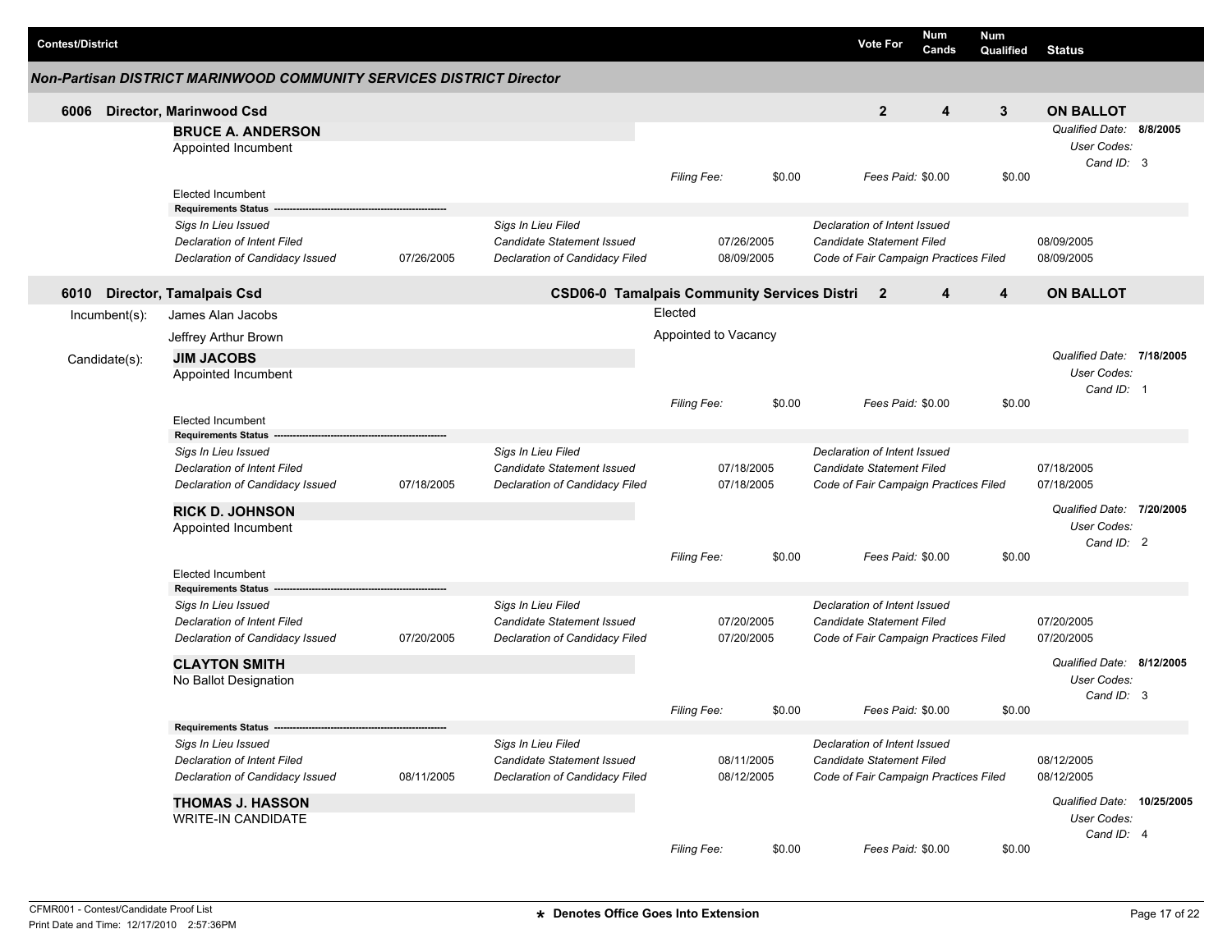| <b>Contest/District</b> |                                                                                              |            |                                                                                    |                      |                          | <b>Vote For</b>                                                                                           | <b>Num</b><br>Cands | <b>Num</b><br>Qualified | Status                                                 |  |
|-------------------------|----------------------------------------------------------------------------------------------|------------|------------------------------------------------------------------------------------|----------------------|--------------------------|-----------------------------------------------------------------------------------------------------------|---------------------|-------------------------|--------------------------------------------------------|--|
|                         | <b>Non-Partisan DISTRICT MARINWOOD COMMUNITY SERVICES DISTRICT Director</b>                  |            |                                                                                    |                      |                          |                                                                                                           |                     |                         |                                                        |  |
| 6006                    | <b>Director, Marinwood Csd</b>                                                               |            |                                                                                    |                      |                          | $\overline{2}$                                                                                            | 4                   | 3                       | <b>ON BALLOT</b>                                       |  |
|                         | <b>BRUCE A. ANDERSON</b><br>Appointed Incumbent                                              |            |                                                                                    |                      |                          |                                                                                                           |                     |                         | Qualified Date: 8/8/2005<br>User Codes:<br>Cand ID: 3  |  |
|                         | <b>Elected Incumbent</b><br><b>Requirements Status</b>                                       |            |                                                                                    | Filing Fee:          | \$0.00                   |                                                                                                           | Fees Paid: \$0.00   | \$0.00                  |                                                        |  |
|                         | Sigs In Lieu Issued                                                                          |            | Sigs In Lieu Filed                                                                 |                      |                          | Declaration of Intent Issued                                                                              |                     |                         |                                                        |  |
|                         | Declaration of Intent Filed<br>Declaration of Candidacy Issued                               | 07/26/2005 | Candidate Statement Issued<br>Declaration of Candidacy Filed                       |                      | 07/26/2005<br>08/09/2005 | Candidate Statement Filed<br>Code of Fair Campaign Practices Filed                                        |                     |                         | 08/09/2005<br>08/09/2005                               |  |
| 6010                    | <b>Director, Tamalpais Csd</b>                                                               |            | <b>CSD06-0 Tamalpais Community Services Distri</b>                                 |                      |                          | $\mathbf{2}$                                                                                              | 4                   | 4                       | <b>ON BALLOT</b>                                       |  |
| $Incumbent(s)$ :        | James Alan Jacobs                                                                            |            |                                                                                    | Elected              |                          |                                                                                                           |                     |                         |                                                        |  |
|                         | Jeffrey Arthur Brown                                                                         |            |                                                                                    | Appointed to Vacancy |                          |                                                                                                           |                     |                         |                                                        |  |
| Candidate(s):           | <b>JIM JACOBS</b><br>Appointed Incumbent                                                     |            |                                                                                    |                      |                          |                                                                                                           |                     |                         | Qualified Date: 7/18/2005<br>User Codes:<br>Cand ID: 1 |  |
|                         | <b>Elected Incumbent</b><br><b>Requirements Status</b>                                       |            |                                                                                    | <b>Filing Fee:</b>   | \$0.00                   |                                                                                                           | Fees Paid: \$0.00   | \$0.00                  |                                                        |  |
|                         | Sigs In Lieu Issued<br><b>Declaration of Intent Filed</b><br>Declaration of Candidacy Issued | 07/18/2005 | Sigs In Lieu Filed<br>Candidate Statement Issued<br>Declaration of Candidacy Filed |                      | 07/18/2005<br>07/18/2005 | Declaration of Intent Issued<br><b>Candidate Statement Filed</b><br>Code of Fair Campaign Practices Filed |                     |                         | 07/18/2005<br>07/18/2005                               |  |
|                         | <b>RICK D. JOHNSON</b><br>Appointed Incumbent                                                |            |                                                                                    |                      |                          |                                                                                                           |                     |                         | Qualified Date: 7/20/2005<br>User Codes:<br>Cand ID: 2 |  |
|                         | Elected Incumbent                                                                            |            |                                                                                    | Filing Fee:          | \$0.00                   |                                                                                                           | Fees Paid: \$0.00   | \$0.00                  |                                                        |  |
|                         | <b>Requirements Status</b>                                                                   |            |                                                                                    |                      |                          |                                                                                                           |                     |                         |                                                        |  |
|                         | Sigs In Lieu Issued<br><b>Declaration of Intent Filed</b><br>Declaration of Candidacy Issued | 07/20/2005 | Sigs In Lieu Filed<br>Candidate Statement Issued<br>Declaration of Candidacy Filed |                      | 07/20/2005<br>07/20/2005 | Declaration of Intent Issued<br>Candidate Statement Filed<br>Code of Fair Campaign Practices Filed        |                     |                         | 07/20/2005<br>07/20/2005                               |  |
|                         | <b>CLAYTON SMITH</b>                                                                         |            |                                                                                    |                      |                          |                                                                                                           |                     |                         | Qualified Date: 8/12/2005                              |  |
|                         | No Ballot Designation                                                                        |            |                                                                                    |                      |                          |                                                                                                           |                     |                         | User Codes:<br>Cand ID: 3                              |  |
|                         |                                                                                              |            |                                                                                    | <b>Filing Fee:</b>   | \$0.00                   |                                                                                                           | Fees Paid: \$0.00   | \$0.00                  |                                                        |  |
|                         | Requirements Status -------------                                                            |            |                                                                                    |                      |                          |                                                                                                           |                     |                         |                                                        |  |
|                         | Sigs In Lieu Issued<br>Declaration of Intent Filed<br>Declaration of Candidacy Issued        | 08/11/2005 | Sigs In Lieu Filed<br>Candidate Statement Issued<br>Declaration of Candidacy Filed |                      | 08/11/2005<br>08/12/2005 | Declaration of Intent Issued<br>Candidate Statement Filed<br>Code of Fair Campaign Practices Filed        |                     |                         | 08/12/2005<br>08/12/2005                               |  |
|                         | <b>THOMAS J. HASSON</b><br><b>WRITE-IN CANDIDATE</b>                                         |            |                                                                                    |                      |                          |                                                                                                           |                     |                         | Qualified Date: 10/25/2005<br>User Codes:              |  |
|                         |                                                                                              |            |                                                                                    | Filing Fee:          | \$0.00                   |                                                                                                           | Fees Paid: \$0.00   | \$0.00                  | Cand ID: 4                                             |  |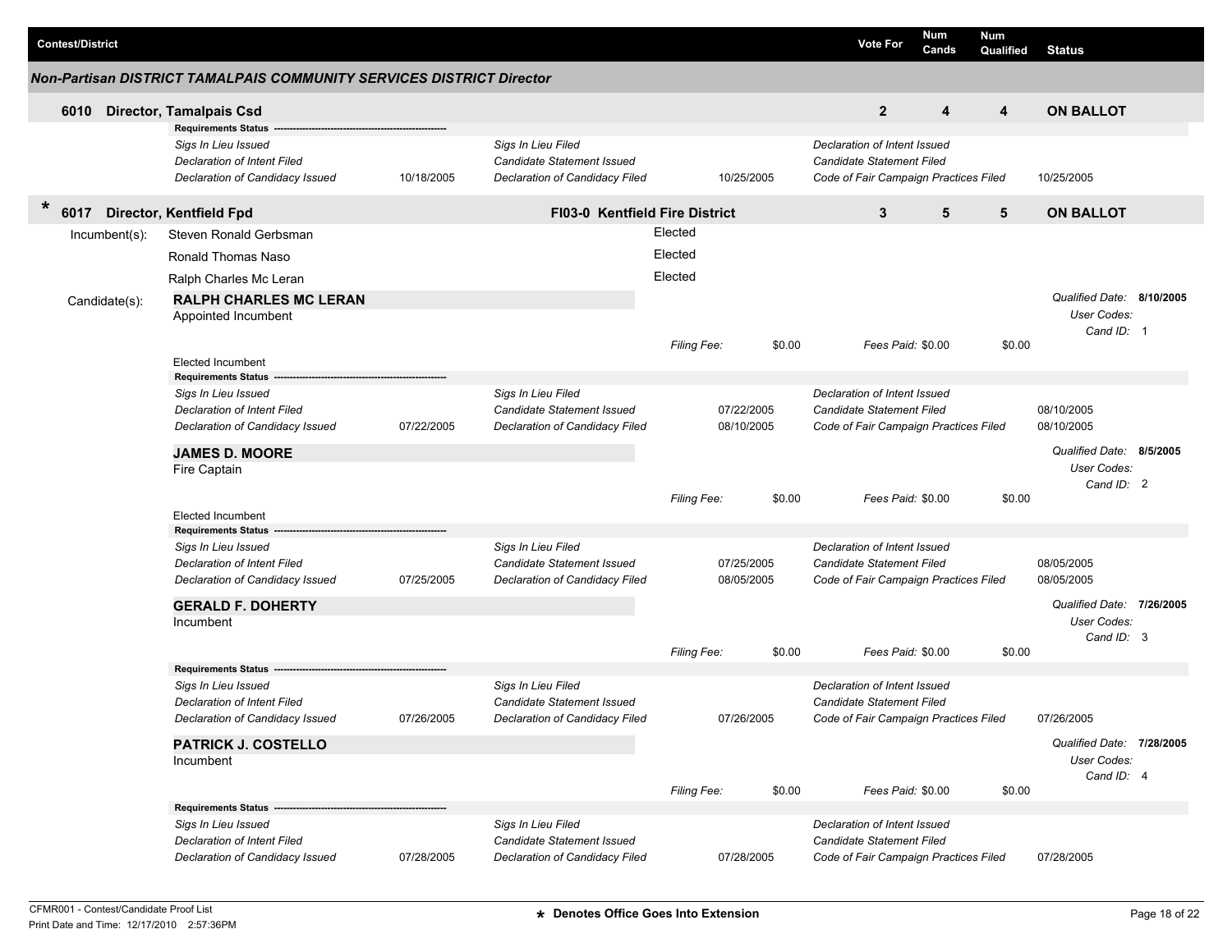| <b>Contest/District</b> |                                                                                       |            |                                                                                    |                    |            | <b>Vote For</b>                                                                                           | Num<br>Cands | Num<br>Qualified | <b>Status</b>                                          |  |
|-------------------------|---------------------------------------------------------------------------------------|------------|------------------------------------------------------------------------------------|--------------------|------------|-----------------------------------------------------------------------------------------------------------|--------------|------------------|--------------------------------------------------------|--|
|                         | Non-Partisan DISTRICT TAMALPAIS COMMUNITY SERVICES DISTRICT Director                  |            |                                                                                    |                    |            |                                                                                                           |              |                  |                                                        |  |
| 6010                    | <b>Director, Tamalpais Csd</b>                                                        |            |                                                                                    |                    |            | $\mathbf{2}$                                                                                              | 4            | 4                | <b>ON BALLOT</b>                                       |  |
|                         | <b>Requirements Status</b>                                                            |            |                                                                                    |                    |            |                                                                                                           |              |                  |                                                        |  |
|                         | Sigs In Lieu Issued<br>Declaration of Intent Filed<br>Declaration of Candidacy Issued | 10/18/2005 | Sigs In Lieu Filed<br>Candidate Statement Issued<br>Declaration of Candidacy Filed |                    | 10/25/2005 | Declaration of Intent Issued<br><b>Candidate Statement Filed</b><br>Code of Fair Campaign Practices Filed |              |                  | 10/25/2005                                             |  |
| $\ast$<br>6017          | Director, Kentfield Fpd                                                               |            | <b>FI03-0 Kentfield Fire District</b>                                              |                    |            | 3                                                                                                         | 5            | 5                | <b>ON BALLOT</b>                                       |  |
| $Incumbent(s)$ :        | Steven Ronald Gerbsman                                                                |            |                                                                                    | Elected            |            |                                                                                                           |              |                  |                                                        |  |
|                         | Ronald Thomas Naso                                                                    |            |                                                                                    | Elected            |            |                                                                                                           |              |                  |                                                        |  |
|                         | Ralph Charles Mc Leran                                                                |            |                                                                                    | Elected            |            |                                                                                                           |              |                  |                                                        |  |
| Candidate(s):           | <b>RALPH CHARLES MC LERAN</b><br>Appointed Incumbent                                  |            |                                                                                    |                    |            |                                                                                                           |              |                  | Qualified Date: 8/10/2005<br>User Codes:<br>Cand ID: 1 |  |
|                         |                                                                                       |            |                                                                                    | <b>Filing Fee:</b> | \$0.00     | Fees Paid: \$0.00                                                                                         |              | \$0.00           |                                                        |  |
|                         | <b>Elected Incumbent</b>                                                              |            |                                                                                    |                    |            |                                                                                                           |              |                  |                                                        |  |
|                         | <b>Requirements Status</b><br>Sigs In Lieu Issued                                     |            | Sigs In Lieu Filed                                                                 |                    |            | Declaration of Intent Issued                                                                              |              |                  |                                                        |  |
|                         | Declaration of Intent Filed                                                           |            | Candidate Statement Issued                                                         |                    | 07/22/2005 | <b>Candidate Statement Filed</b>                                                                          |              |                  | 08/10/2005                                             |  |
|                         | Declaration of Candidacy Issued                                                       | 07/22/2005 | Declaration of Candidacy Filed                                                     |                    | 08/10/2005 | Code of Fair Campaign Practices Filed                                                                     |              |                  | 08/10/2005                                             |  |
|                         | <b>JAMES D. MOORE</b><br>Fire Captain                                                 |            |                                                                                    |                    |            |                                                                                                           |              |                  | Qualified Date: 8/5/2005<br>User Codes:<br>Cand ID: 2  |  |
|                         |                                                                                       |            |                                                                                    | <b>Filing Fee:</b> | \$0.00     | Fees Paid: \$0.00                                                                                         |              | \$0.00           |                                                        |  |
|                         | <b>Elected Incumbent</b>                                                              |            |                                                                                    |                    |            |                                                                                                           |              |                  |                                                        |  |
|                         | <b>Requirements Status</b>                                                            |            |                                                                                    |                    |            |                                                                                                           |              |                  |                                                        |  |
|                         | Sigs In Lieu Issued<br>Declaration of Intent Filed                                    |            | Sigs In Lieu Filed<br>Candidate Statement Issued                                   |                    | 07/25/2005 | Declaration of Intent Issued<br><b>Candidate Statement Filed</b>                                          |              |                  | 08/05/2005                                             |  |
|                         | Declaration of Candidacy Issued                                                       | 07/25/2005 | Declaration of Candidacy Filed                                                     |                    | 08/05/2005 | Code of Fair Campaign Practices Filed                                                                     |              |                  | 08/05/2005                                             |  |
|                         | <b>GERALD F. DOHERTY</b>                                                              |            |                                                                                    |                    |            |                                                                                                           |              |                  | Qualified Date: 7/26/2005                              |  |
|                         | Incumbent                                                                             |            |                                                                                    |                    |            |                                                                                                           |              |                  | User Codes:                                            |  |
|                         |                                                                                       |            |                                                                                    | <b>Filing Fee:</b> | \$0.00     | Fees Paid: \$0.00                                                                                         |              | \$0.00           | Cand ID: 3                                             |  |
|                         | <b>Requirements Status</b>                                                            |            |                                                                                    |                    |            |                                                                                                           |              |                  |                                                        |  |
|                         | Sigs In Lieu Issued                                                                   |            | Sigs In Lieu Filed                                                                 |                    |            | Declaration of Intent Issued                                                                              |              |                  |                                                        |  |
|                         | Declaration of Intent Filed                                                           |            | Candidate Statement Issued                                                         |                    |            | <b>Candidate Statement Filed</b>                                                                          |              |                  |                                                        |  |
|                         | Declaration of Candidacy Issued                                                       | 07/26/2005 | Declaration of Candidacy Filed                                                     |                    | 07/26/2005 | Code of Fair Campaign Practices Filed                                                                     |              |                  | 07/26/2005                                             |  |
|                         | <b>PATRICK J. COSTELLO</b>                                                            |            |                                                                                    |                    |            |                                                                                                           |              |                  | Qualified Date: 7/28/2005                              |  |
|                         | Incumbent                                                                             |            |                                                                                    |                    |            |                                                                                                           |              |                  | User Codes:                                            |  |
|                         |                                                                                       |            |                                                                                    | Filing Fee:        | \$0.00     | Fees Paid: \$0.00                                                                                         |              | \$0.00           | Cand ID: 4                                             |  |
|                         | Requirements Status --                                                                |            |                                                                                    |                    |            |                                                                                                           |              |                  |                                                        |  |
|                         | Sigs In Lieu Issued                                                                   |            | Sigs In Lieu Filed                                                                 |                    |            | Declaration of Intent Issued                                                                              |              |                  |                                                        |  |
|                         | Declaration of Intent Filed                                                           |            | Candidate Statement Issued                                                         |                    |            | Candidate Statement Filed                                                                                 |              |                  |                                                        |  |
|                         | Declaration of Candidacy Issued                                                       | 07/28/2005 | Declaration of Candidacy Filed                                                     |                    | 07/28/2005 | Code of Fair Campaign Practices Filed                                                                     |              |                  | 07/28/2005                                             |  |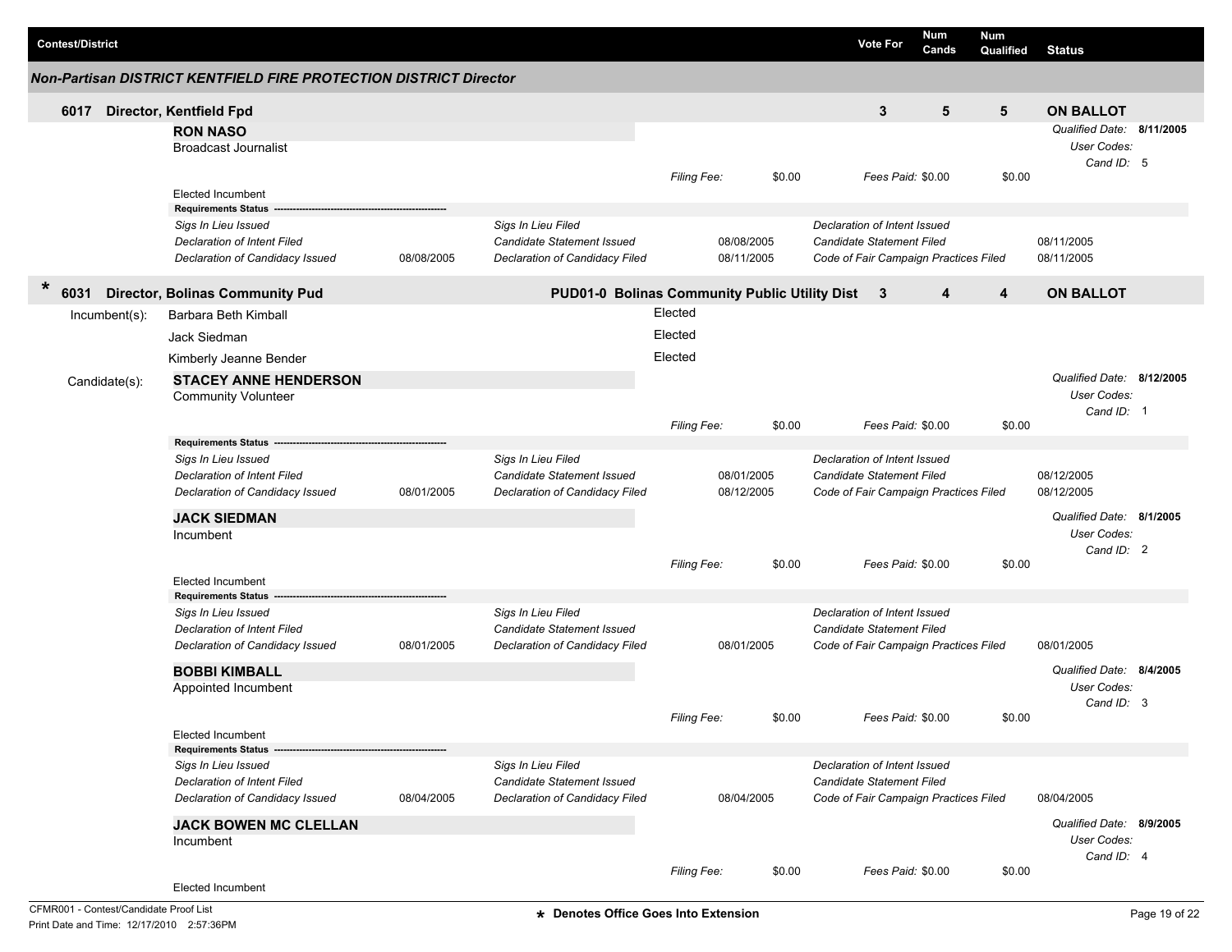|        | <b>Contest/District</b> |               |                                                                                                                     |            |                                                                                    |                    |                          |        | <b>Vote For</b>                                                                                    | Num<br>Cands      | <b>Num</b><br>Qualified | <b>Status</b>                                          |  |
|--------|-------------------------|---------------|---------------------------------------------------------------------------------------------------------------------|------------|------------------------------------------------------------------------------------|--------------------|--------------------------|--------|----------------------------------------------------------------------------------------------------|-------------------|-------------------------|--------------------------------------------------------|--|
|        |                         |               | <b>Non-Partisan DISTRICT KENTFIELD FIRE PROTECTION DISTRICT Director</b>                                            |            |                                                                                    |                    |                          |        |                                                                                                    |                   |                         |                                                        |  |
|        | 6017                    |               | Director, Kentfield Fpd                                                                                             |            |                                                                                    |                    |                          |        | 3                                                                                                  | $5\phantom{.0}$   | $5\phantom{.0}$         | <b>ON BALLOT</b>                                       |  |
|        |                         |               | <b>RON NASO</b><br><b>Broadcast Journalist</b>                                                                      |            |                                                                                    |                    |                          |        |                                                                                                    |                   |                         | Qualified Date: 8/11/2005<br>User Codes:<br>Cand ID: 5 |  |
|        |                         |               | <b>Elected Incumbent</b><br><b>Requirements Status</b>                                                              |            |                                                                                    | Filing Fee:        |                          | \$0.00 |                                                                                                    | Fees Paid: \$0.00 | \$0.00                  |                                                        |  |
|        |                         |               | Sigs In Lieu Issued<br><b>Declaration of Intent Filed</b><br>Declaration of Candidacy Issued                        | 08/08/2005 | Sigs In Lieu Filed<br>Candidate Statement Issued<br>Declaration of Candidacy Filed |                    | 08/08/2005<br>08/11/2005 |        | Declaration of Intent Issued<br>Candidate Statement Filed<br>Code of Fair Campaign Practices Filed |                   |                         | 08/11/2005<br>08/11/2005                               |  |
| $\ast$ | 6031                    |               | <b>Director, Bolinas Community Pud</b>                                                                              |            | PUD01-0 Bolinas Community Public Utility Dist                                      |                    |                          |        | 3                                                                                                  | 4                 | 4                       | <b>ON BALLOT</b>                                       |  |
|        |                         | Incumbent(s): | Barbara Beth Kimball                                                                                                |            |                                                                                    | Elected            |                          |        |                                                                                                    |                   |                         |                                                        |  |
|        |                         |               | Jack Siedman                                                                                                        |            |                                                                                    | Elected            |                          |        |                                                                                                    |                   |                         |                                                        |  |
|        |                         |               | Kimberly Jeanne Bender                                                                                              |            |                                                                                    | Elected            |                          |        |                                                                                                    |                   |                         |                                                        |  |
|        |                         | Candidate(s): | <b>STACEY ANNE HENDERSON</b><br><b>Community Volunteer</b>                                                          |            |                                                                                    |                    |                          |        |                                                                                                    |                   |                         | Qualified Date: 8/12/2005<br>User Codes:<br>Cand ID: 1 |  |
|        |                         |               |                                                                                                                     |            |                                                                                    | Filing Fee:        |                          | \$0.00 |                                                                                                    | Fees Paid: \$0.00 | \$0.00                  |                                                        |  |
|        |                         |               | <b>Requirements Status</b><br>Sigs In Lieu Issued<br>Declaration of Intent Filed<br>Declaration of Candidacy Issued | 08/01/2005 | Sigs In Lieu Filed<br>Candidate Statement Issued<br>Declaration of Candidacy Filed |                    | 08/01/2005<br>08/12/2005 |        | Declaration of Intent Issued<br>Candidate Statement Filed<br>Code of Fair Campaign Practices Filed |                   |                         | 08/12/2005<br>08/12/2005                               |  |
|        |                         |               | <b>JACK SIEDMAN</b>                                                                                                 |            |                                                                                    |                    |                          |        |                                                                                                    |                   |                         | Qualified Date: 8/1/2005                               |  |
|        |                         |               | Incumbent                                                                                                           |            |                                                                                    | <b>Filing Fee:</b> |                          | \$0.00 |                                                                                                    | Fees Paid: \$0.00 | \$0.00                  | User Codes:<br>Cand ID: 2                              |  |
|        |                         |               | <b>Elected Incumbent</b><br><b>Requirements Status</b>                                                              |            |                                                                                    |                    |                          |        |                                                                                                    |                   |                         |                                                        |  |
|        |                         |               | Sigs In Lieu Issued<br>Declaration of Intent Filed<br>Declaration of Candidacy Issued                               | 08/01/2005 | Sigs In Lieu Filed<br>Candidate Statement Issued<br>Declaration of Candidacy Filed |                    | 08/01/2005               |        | Declaration of Intent Issued<br>Candidate Statement Filed<br>Code of Fair Campaign Practices Filed |                   |                         | 08/01/2005                                             |  |
|        |                         |               | <b>BOBBI KIMBALL</b><br>Appointed Incumbent                                                                         |            |                                                                                    |                    |                          |        |                                                                                                    |                   |                         | Qualified Date: 8/4/2005<br>User Codes:<br>Cand ID: 3  |  |
|        |                         |               | Elected Incumbent                                                                                                   |            |                                                                                    | Filing Fee:        |                          | \$0.00 | Fees Paid: \$0.00                                                                                  |                   | \$0.00                  |                                                        |  |
|        |                         |               | <b>Requirements Status</b>                                                                                          |            |                                                                                    |                    |                          |        |                                                                                                    |                   |                         |                                                        |  |
|        |                         |               | Sigs In Lieu Issued<br>Declaration of Intent Filed<br>Declaration of Candidacy Issued                               | 08/04/2005 | Sigs In Lieu Filed<br>Candidate Statement Issued<br>Declaration of Candidacy Filed |                    | 08/04/2005               |        | Declaration of Intent Issued<br>Candidate Statement Filed<br>Code of Fair Campaign Practices Filed |                   |                         | 08/04/2005                                             |  |
|        |                         |               | <b>JACK BOWEN MC CLELLAN</b>                                                                                        |            |                                                                                    |                    |                          |        |                                                                                                    |                   |                         | Qualified Date: 8/9/2005                               |  |
|        |                         |               | Incumbent                                                                                                           |            |                                                                                    |                    |                          |        |                                                                                                    |                   |                         | User Codes:<br>Cand ID: 4                              |  |
|        |                         |               | <b>Elected Incumbent</b>                                                                                            |            |                                                                                    | Filing Fee:        |                          | \$0.00 | Fees Paid: \$0.00                                                                                  |                   | \$0.00                  |                                                        |  |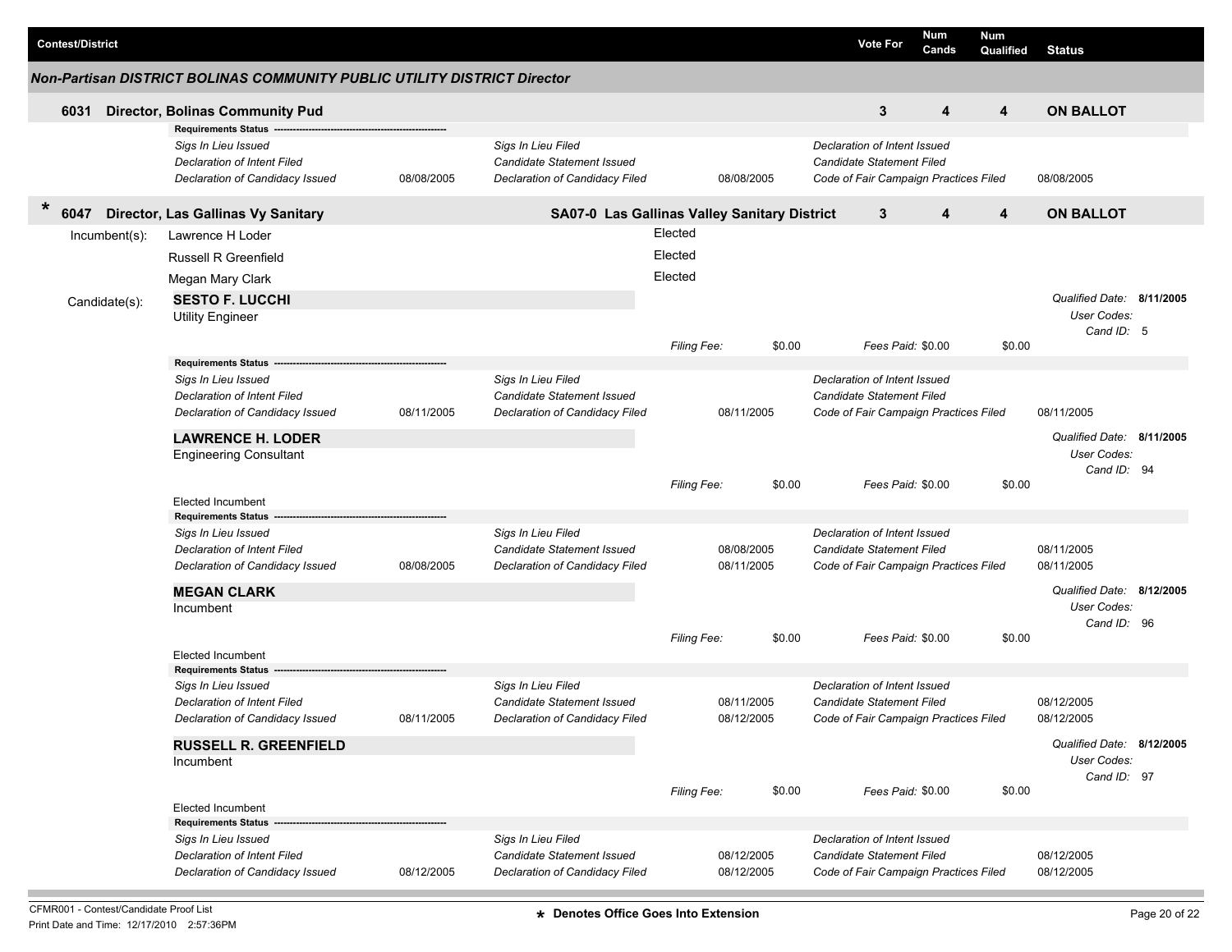|   | <b>Contest/District</b> |                                                                                                                     |            |                                                                                    |                    |            |        | <b>Vote For</b>                                                                                           | Num<br>Cands | <b>Num</b><br>Qualified | <b>Status</b>              |  |
|---|-------------------------|---------------------------------------------------------------------------------------------------------------------|------------|------------------------------------------------------------------------------------|--------------------|------------|--------|-----------------------------------------------------------------------------------------------------------|--------------|-------------------------|----------------------------|--|
|   |                         | <b>Non-Partisan DISTRICT BOLINAS COMMUNITY PUBLIC UTILITY DISTRICT Director</b>                                     |            |                                                                                    |                    |            |        |                                                                                                           |              |                         |                            |  |
|   | 6031                    | <b>Director, Bolinas Community Pud</b>                                                                              |            |                                                                                    |                    |            |        | 3                                                                                                         | 4            | 4                       | <b>ON BALLOT</b>           |  |
|   |                         | <b>Requirements Status</b><br>Sigs In Lieu Issued<br>Declaration of Intent Filed<br>Declaration of Candidacy Issued | 08/08/2005 | Sigs In Lieu Filed<br>Candidate Statement Issued<br>Declaration of Candidacy Filed |                    | 08/08/2005 |        | Declaration of Intent Issued<br><b>Candidate Statement Filed</b><br>Code of Fair Campaign Practices Filed |              |                         | 08/08/2005                 |  |
| * | 6047                    | Director, Las Gallinas Vy Sanitary                                                                                  |            | SA07-0 Las Gallinas Valley Sanitary District                                       |                    |            |        | 3                                                                                                         | 4            | 4                       | <b>ON BALLOT</b>           |  |
|   | Incumbent(s):           | Lawrence H Loder                                                                                                    |            |                                                                                    | Elected            |            |        |                                                                                                           |              |                         |                            |  |
|   |                         | <b>Russell R Greenfield</b>                                                                                         |            |                                                                                    | Elected            |            |        |                                                                                                           |              |                         |                            |  |
|   |                         | Megan Mary Clark                                                                                                    |            |                                                                                    | Elected            |            |        |                                                                                                           |              |                         |                            |  |
|   | Candidate(s):           | <b>SESTO F. LUCCHI</b>                                                                                              |            |                                                                                    |                    |            |        |                                                                                                           |              |                         | Qualified Date: 8/11/2005  |  |
|   |                         | <b>Utility Engineer</b>                                                                                             |            |                                                                                    |                    |            |        |                                                                                                           |              |                         | User Codes:                |  |
|   |                         |                                                                                                                     |            |                                                                                    | <b>Filing Fee:</b> |            | \$0.00 | Fees Paid: \$0.00                                                                                         |              | \$0.00                  | Cand ID: 5                 |  |
|   |                         | Requirements Status -                                                                                               |            |                                                                                    |                    |            |        |                                                                                                           |              |                         |                            |  |
|   |                         | Sigs In Lieu Issued                                                                                                 |            | Sias In Lieu Filed                                                                 |                    |            |        | Declaration of Intent Issued                                                                              |              |                         |                            |  |
|   |                         | Declaration of Intent Filed                                                                                         |            | Candidate Statement Issued                                                         |                    |            |        | <b>Candidate Statement Filed</b>                                                                          |              |                         |                            |  |
|   |                         | Declaration of Candidacy Issued                                                                                     | 08/11/2005 | Declaration of Candidacy Filed                                                     |                    | 08/11/2005 |        | Code of Fair Campaign Practices Filed                                                                     |              |                         | 08/11/2005                 |  |
|   |                         | <b>LAWRENCE H. LODER</b>                                                                                            |            |                                                                                    |                    |            |        |                                                                                                           |              |                         | Qualified Date: 8/11/2005  |  |
|   |                         | <b>Engineering Consultant</b>                                                                                       |            |                                                                                    |                    |            |        |                                                                                                           |              |                         | User Codes:<br>Cand ID: 94 |  |
|   |                         |                                                                                                                     |            |                                                                                    | <b>Filing Fee:</b> |            | \$0.00 | Fees Paid: \$0.00                                                                                         |              | \$0.00                  |                            |  |
|   |                         | <b>Elected Incumbent</b>                                                                                            |            |                                                                                    |                    |            |        |                                                                                                           |              |                         |                            |  |
|   |                         | <b>Requirements Status</b>                                                                                          |            |                                                                                    |                    |            |        |                                                                                                           |              |                         |                            |  |
|   |                         | Sigs In Lieu Issued<br>Declaration of Intent Filed                                                                  |            | Sigs In Lieu Filed<br>Candidate Statement Issued                                   |                    | 08/08/2005 |        | Declaration of Intent Issued<br><b>Candidate Statement Filed</b>                                          |              |                         | 08/11/2005                 |  |
|   |                         | Declaration of Candidacy Issued                                                                                     | 08/08/2005 | Declaration of Candidacy Filed                                                     |                    | 08/11/2005 |        | Code of Fair Campaign Practices Filed                                                                     |              |                         | 08/11/2005                 |  |
|   |                         | <b>MEGAN CLARK</b>                                                                                                  |            |                                                                                    |                    |            |        |                                                                                                           |              |                         | Qualified Date: 8/12/2005  |  |
|   |                         | Incumbent                                                                                                           |            |                                                                                    |                    |            |        |                                                                                                           |              |                         | User Codes:                |  |
|   |                         |                                                                                                                     |            |                                                                                    |                    |            |        |                                                                                                           |              |                         | Cand ID: 96                |  |
|   |                         | <b>Elected Incumbent</b>                                                                                            |            |                                                                                    | <b>Filing Fee:</b> |            | \$0.00 | Fees Paid: \$0.00                                                                                         |              | \$0.00                  |                            |  |
|   |                         | <b>Requirements Status</b>                                                                                          |            |                                                                                    |                    |            |        |                                                                                                           |              |                         |                            |  |
|   |                         | Sigs In Lieu Issued                                                                                                 |            | Sigs In Lieu Filed                                                                 |                    |            |        | Declaration of Intent Issued                                                                              |              |                         |                            |  |
|   |                         | <b>Declaration of Intent Filed</b>                                                                                  |            | <b>Candidate Statement Issued</b>                                                  |                    | 08/11/2005 |        | Candidate Statement Filed                                                                                 |              |                         | 08/12/2005                 |  |
|   |                         | Declaration of Candidacy Issued                                                                                     | 08/11/2005 | Declaration of Candidacy Filed                                                     |                    | 08/12/2005 |        | Code of Fair Campaign Practices Filed                                                                     |              |                         | 08/12/2005                 |  |
|   |                         | <b>RUSSELL R. GREENFIELD</b>                                                                                        |            |                                                                                    |                    |            |        |                                                                                                           |              |                         | Qualified Date: 8/12/2005  |  |
|   |                         | Incumbent                                                                                                           |            |                                                                                    |                    |            |        |                                                                                                           |              |                         | User Codes:<br>Cand ID: 97 |  |
|   |                         |                                                                                                                     |            |                                                                                    | Filing Fee:        |            | \$0.00 | Fees Paid: \$0.00                                                                                         |              | \$0.00                  |                            |  |
|   |                         | <b>Elected Incumbent</b>                                                                                            |            |                                                                                    |                    |            |        |                                                                                                           |              |                         |                            |  |
|   |                         | <b>Requirements Status</b><br>Sigs In Lieu Issued                                                                   |            | Sigs In Lieu Filed                                                                 |                    |            |        | Declaration of Intent Issued                                                                              |              |                         |                            |  |
|   |                         | Declaration of Intent Filed                                                                                         |            | Candidate Statement Issued                                                         |                    | 08/12/2005 |        | <b>Candidate Statement Filed</b>                                                                          |              |                         | 08/12/2005                 |  |
|   |                         | Declaration of Candidacy Issued                                                                                     | 08/12/2005 | Declaration of Candidacy Filed                                                     |                    | 08/12/2005 |        | Code of Fair Campaign Practices Filed                                                                     |              |                         | 08/12/2005                 |  |
|   |                         |                                                                                                                     |            |                                                                                    |                    |            |        |                                                                                                           |              |                         |                            |  |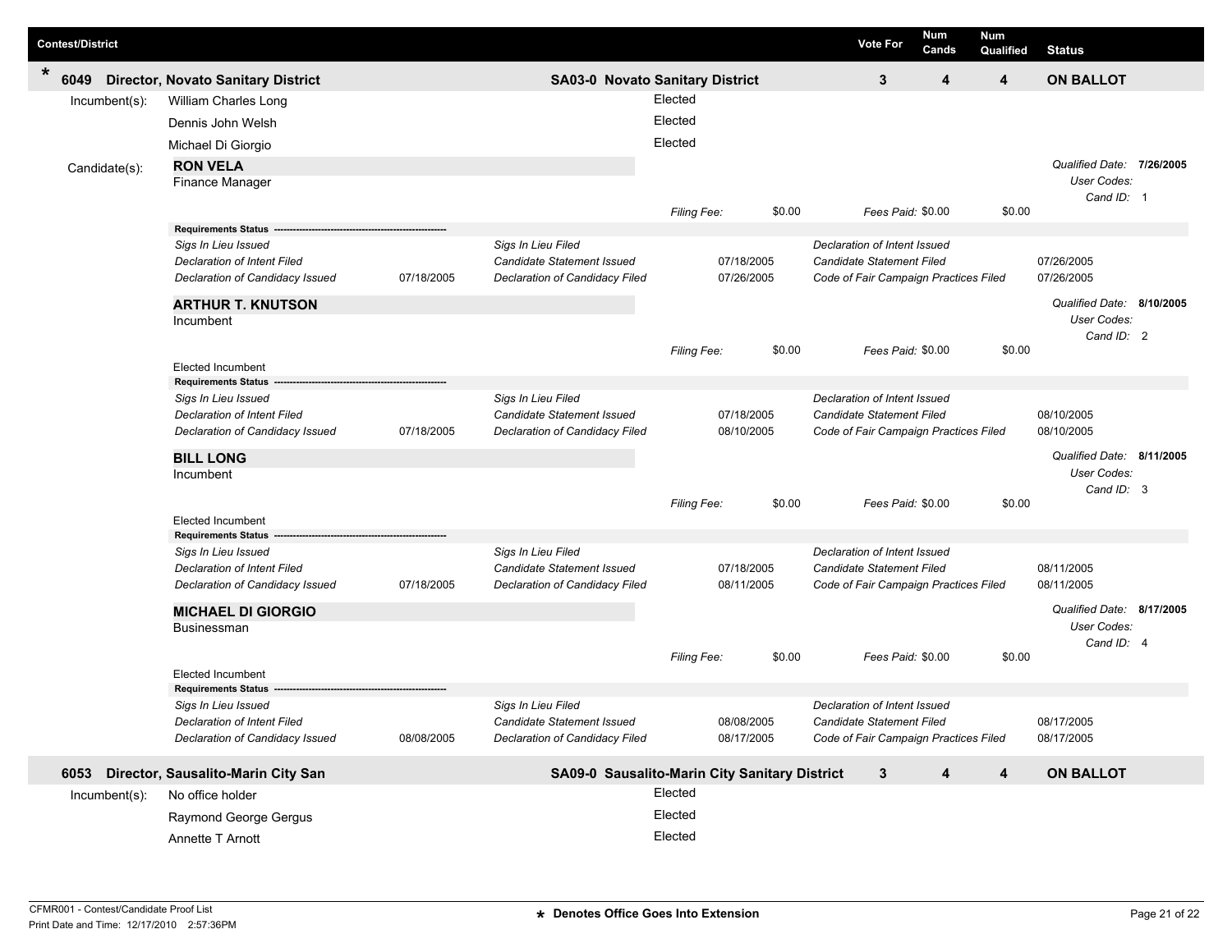| <b>Contest/District</b> |               |                                                                |            |                                                              |             |                          |        | <b>Vote For</b>                                                  | Num<br>Cands | <b>Num</b><br>Qualified | <b>Status</b>                                          |  |
|-------------------------|---------------|----------------------------------------------------------------|------------|--------------------------------------------------------------|-------------|--------------------------|--------|------------------------------------------------------------------|--------------|-------------------------|--------------------------------------------------------|--|
| *<br>6049               |               | <b>Director, Novato Sanitary District</b>                      |            | SA03-0 Novato Sanitary District                              |             |                          |        | 3                                                                | 4            | 4                       | <b>ON BALLOT</b>                                       |  |
|                         | Incumbent(s): | William Charles Long                                           |            |                                                              | Elected     |                          |        |                                                                  |              |                         |                                                        |  |
|                         |               | Dennis John Welsh                                              |            |                                                              | Elected     |                          |        |                                                                  |              |                         |                                                        |  |
|                         |               | Michael Di Giorgio                                             |            |                                                              | Elected     |                          |        |                                                                  |              |                         |                                                        |  |
|                         | Candidate(s): | <b>RON VELA</b><br>Finance Manager                             |            |                                                              |             |                          |        |                                                                  |              |                         | Qualified Date: 7/26/2005<br>User Codes:<br>Cand ID: 1 |  |
|                         |               | <b>Requirements Status</b>                                     |            |                                                              | Filing Fee: |                          | \$0.00 | Fees Paid: \$0.00                                                |              | \$0.00                  |                                                        |  |
|                         |               | Sigs In Lieu Issued                                            |            | Sigs In Lieu Filed                                           |             |                          |        | Declaration of Intent Issued                                     |              |                         |                                                        |  |
|                         |               | <b>Declaration of Intent Filed</b>                             |            | Candidate Statement Issued                                   |             | 07/18/2005               |        | <b>Candidate Statement Filed</b>                                 |              |                         | 07/26/2005                                             |  |
|                         |               | Declaration of Candidacy Issued                                | 07/18/2005 | Declaration of Candidacy Filed                               |             | 07/26/2005               |        | Code of Fair Campaign Practices Filed                            |              |                         | 07/26/2005                                             |  |
|                         |               | <b>ARTHUR T. KNUTSON</b><br>Incumbent                          |            |                                                              |             |                          |        |                                                                  |              |                         | Qualified Date: 8/10/2005<br>User Codes:<br>Cand ID: 2 |  |
|                         |               | <b>Elected Incumbent</b>                                       |            |                                                              | Filing Fee: |                          | \$0.00 | Fees Paid: \$0.00                                                |              | \$0.00                  |                                                        |  |
|                         |               | <b>Requirements Status</b><br>Sigs In Lieu Issued              |            | Sigs In Lieu Filed                                           |             |                          |        | Declaration of Intent Issued                                     |              |                         |                                                        |  |
|                         |               | <b>Declaration of Intent Filed</b>                             |            | Candidate Statement Issued                                   |             | 07/18/2005               |        | <b>Candidate Statement Filed</b>                                 |              |                         | 08/10/2005                                             |  |
|                         |               | Declaration of Candidacy Issued                                | 07/18/2005 | Declaration of Candidacy Filed                               |             | 08/10/2005               |        | Code of Fair Campaign Practices Filed                            |              |                         | 08/10/2005                                             |  |
|                         |               | <b>BILL LONG</b>                                               |            |                                                              |             |                          |        |                                                                  |              |                         | Qualified Date: 8/11/2005                              |  |
|                         |               | Incumbent                                                      |            |                                                              |             |                          |        |                                                                  |              |                         | User Codes:                                            |  |
|                         |               |                                                                |            |                                                              | Filing Fee: |                          | \$0.00 | Fees Paid: \$0.00                                                |              | \$0.00                  | Cand ID: 3                                             |  |
|                         |               | <b>Elected Incumbent</b>                                       |            |                                                              |             |                          |        |                                                                  |              |                         |                                                        |  |
|                         |               | <b>Requirements Status</b>                                     |            |                                                              |             |                          |        |                                                                  |              |                         |                                                        |  |
|                         |               | Sigs In Lieu Issued                                            |            | Sigs In Lieu Filed                                           |             |                          |        | Declaration of Intent Issued<br><b>Candidate Statement Filed</b> |              |                         | 08/11/2005                                             |  |
|                         |               | Declaration of Intent Filed<br>Declaration of Candidacy Issued | 07/18/2005 | Candidate Statement Issued<br>Declaration of Candidacy Filed |             | 07/18/2005<br>08/11/2005 |        | Code of Fair Campaign Practices Filed                            |              |                         | 08/11/2005                                             |  |
|                         |               |                                                                |            |                                                              |             |                          |        |                                                                  |              |                         |                                                        |  |
|                         |               | <b>MICHAEL DI GIORGIO</b>                                      |            |                                                              |             |                          |        |                                                                  |              |                         | Qualified Date: 8/17/2005<br>User Codes:               |  |
|                         |               | <b>Businessman</b>                                             |            |                                                              |             |                          |        |                                                                  |              |                         | Cand ID: 4                                             |  |
|                         |               |                                                                |            |                                                              | Filing Fee: |                          | \$0.00 | Fees Paid: \$0.00                                                |              | \$0.00                  |                                                        |  |
|                         |               | <b>Elected Incumbent</b><br><b>Requirements Status</b>         |            |                                                              |             |                          |        |                                                                  |              |                         |                                                        |  |
|                         |               | Sigs In Lieu Issued                                            |            | Sigs In Lieu Filed                                           |             |                          |        | Declaration of Intent Issued                                     |              |                         |                                                        |  |
|                         |               | Declaration of Intent Filed                                    |            | Candidate Statement Issued                                   |             | 08/08/2005               |        | Candidate Statement Filed                                        |              |                         | 08/17/2005                                             |  |
|                         |               | Declaration of Candidacy Issued                                | 08/08/2005 | Declaration of Candidacy Filed                               |             | 08/17/2005               |        | Code of Fair Campaign Practices Filed                            |              |                         | 08/17/2005                                             |  |
|                         |               | 6053 Director, Sausalito-Marin City San                        |            | SA09-0 Sausalito-Marin City Sanitary District                |             |                          |        | $\mathbf{3}$                                                     | 4            | 4                       | <b>ON BALLOT</b>                                       |  |
|                         | Incumbent(s): | No office holder                                               |            |                                                              | Elected     |                          |        |                                                                  |              |                         |                                                        |  |
|                         |               | Raymond George Gergus                                          |            |                                                              | Elected     |                          |        |                                                                  |              |                         |                                                        |  |
|                         |               | Annette T Arnott                                               |            |                                                              | Elected     |                          |        |                                                                  |              |                         |                                                        |  |

Г